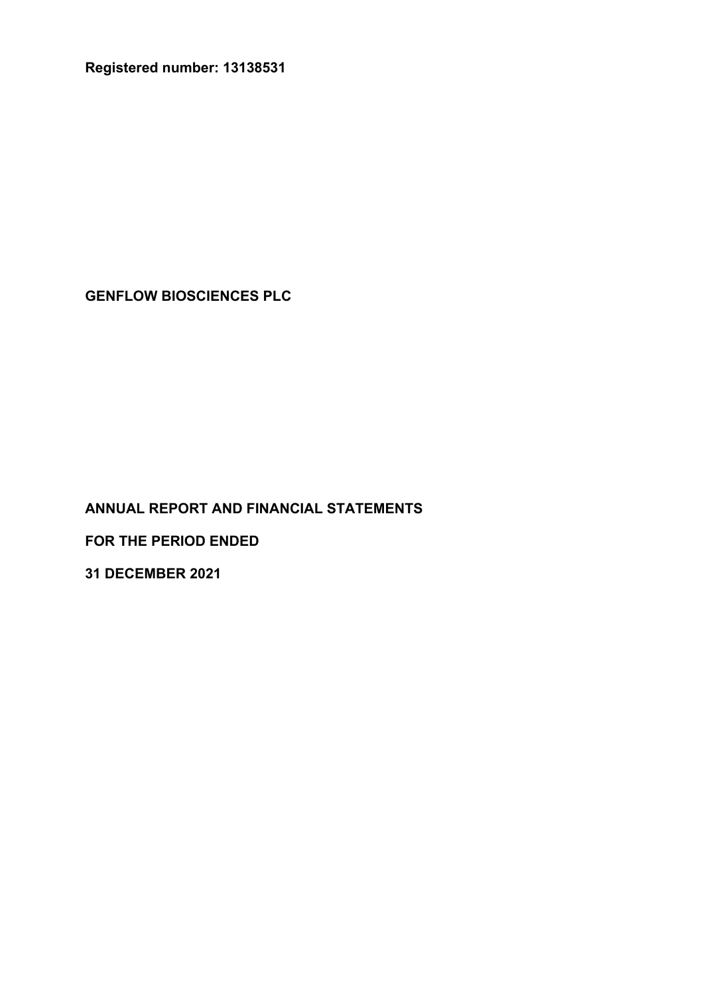**Registered number: 13138531**

**GENFLOW BIOSCIENCES PLC** 

**ANNUAL REPORT AND FINANCIAL STATEMENTS**

**FOR THE PERIOD ENDED**

**31 DECEMBER 2021**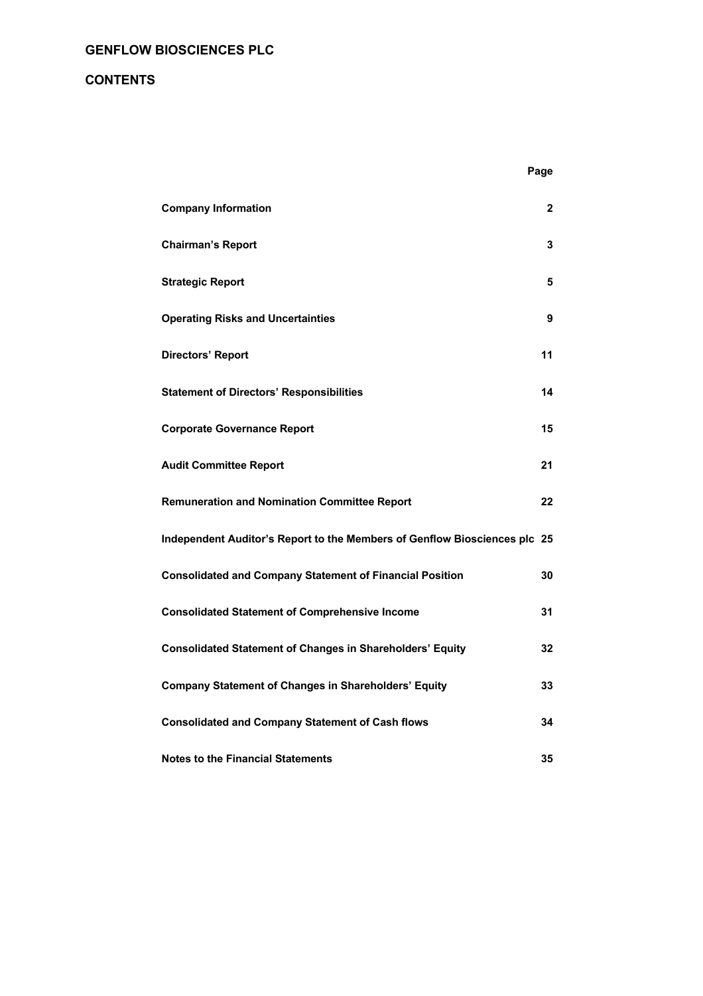## **CONTENTS**

|                                                                           | Page |
|---------------------------------------------------------------------------|------|
| <b>Company Information</b>                                                | 2    |
| <b>Chairman's Report</b>                                                  | 3    |
| <b>Strategic Report</b>                                                   | 5    |
| <b>Operating Risks and Uncertainties</b>                                  | 9    |
| <b>Directors' Report</b>                                                  | 11   |
| <b>Statement of Directors' Responsibilities</b>                           | 14   |
| <b>Corporate Governance Report</b>                                        | 15   |
| <b>Audit Committee Report</b>                                             | 21   |
| <b>Remuneration and Nomination Committee Report</b>                       | 22   |
| Independent Auditor's Report to the Members of Genflow Biosciences plc 25 |      |
| <b>Consolidated and Company Statement of Financial Position</b>           | 30   |
| <b>Consolidated Statement of Comprehensive Income</b>                     | 31   |
| <b>Consolidated Statement of Changes in Shareholders' Equity</b>          | 32   |
| <b>Company Statement of Changes in Shareholders' Equity</b>               | 33   |
| <b>Consolidated and Company Statement of Cash flows</b>                   | 34   |
| <b>Notes to the Financial Statements</b>                                  | 35   |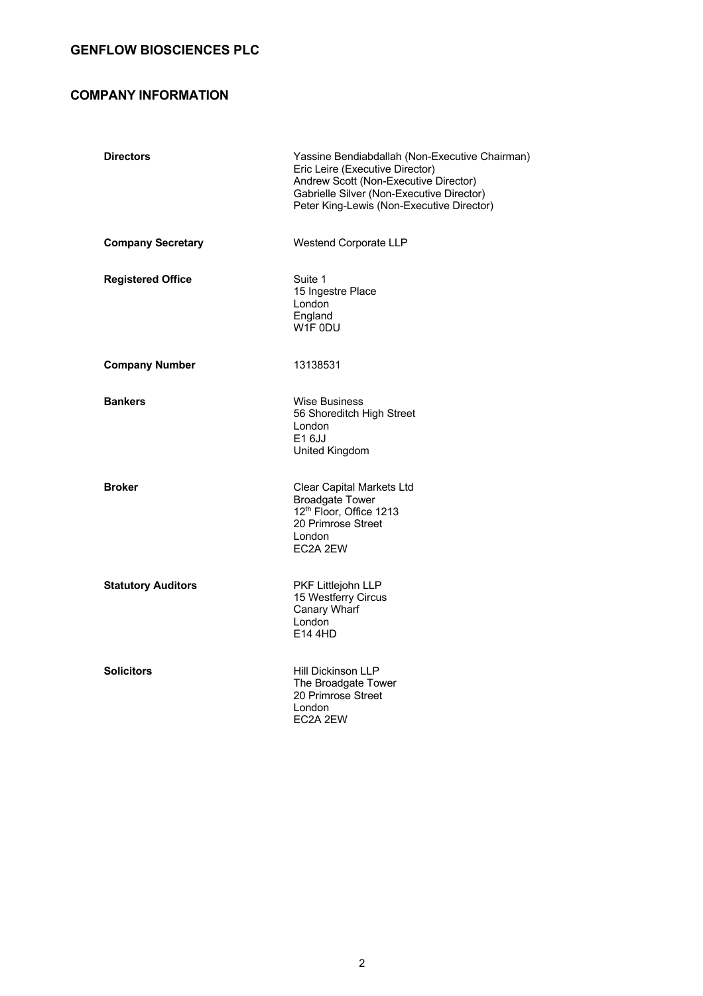## **COMPANY INFORMATION**

| <b>Directors</b>          | Yassine Bendiabdallah (Non-Executive Chairman)<br>Eric Leire (Executive Director)<br>Andrew Scott (Non-Executive Director)<br>Gabrielle Silver (Non-Executive Director)<br>Peter King-Lewis (Non-Executive Director) |
|---------------------------|----------------------------------------------------------------------------------------------------------------------------------------------------------------------------------------------------------------------|
| <b>Company Secretary</b>  | Westend Corporate LLP                                                                                                                                                                                                |
| <b>Registered Office</b>  | Suite 1<br>15 Ingestre Place<br>London<br>England<br>W1F 0DU                                                                                                                                                         |
| <b>Company Number</b>     | 13138531                                                                                                                                                                                                             |
| <b>Bankers</b>            | <b>Wise Business</b><br>56 Shoreditch High Street<br>London<br>E1 6JJ<br>United Kingdom                                                                                                                              |
| <b>Broker</b>             | Clear Capital Markets Ltd<br><b>Broadgate Tower</b><br>12 <sup>th</sup> Floor, Office 1213<br>20 Primrose Street<br>London<br>EC2A 2EW                                                                               |
| <b>Statutory Auditors</b> | PKF Littlejohn LLP<br>15 Westferry Circus<br>Canary Wharf<br>London<br>E14 4HD                                                                                                                                       |
| <b>Solicitors</b>         | Hill Dickinson LLP<br>The Broadgate Tower<br>20 Primrose Street<br>London<br>EC2A 2EW                                                                                                                                |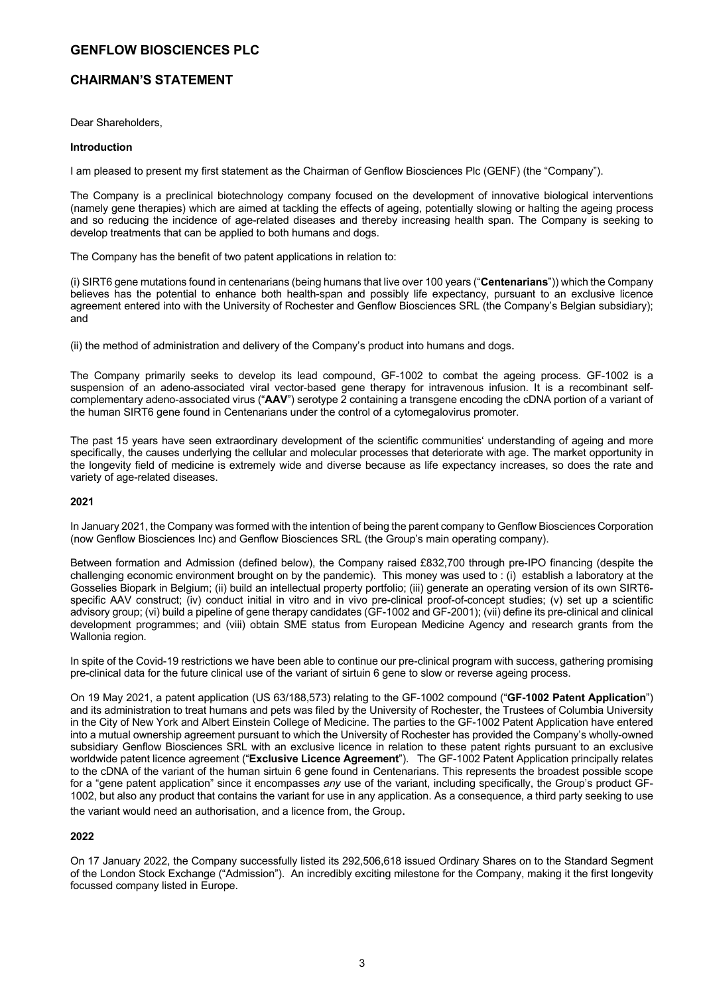### **CHAIRMAN'S STATEMENT**

Dear Shareholders,

### **Introduction**

I am pleased to present my first statement as the Chairman of Genflow Biosciences Plc (GENF) (the "Company").

The Company is a preclinical biotechnology company focused on the development of innovative biological interventions (namely gene therapies) which are aimed at tackling the effects of ageing, potentially slowing or halting the ageing process and so reducing the incidence of age-related diseases and thereby increasing health span. The Company is seeking to develop treatments that can be applied to both humans and dogs.

The Company has the benefit of two patent applications in relation to:

(i) SIRT6 gene mutations found in centenarians (being humans that live over 100 years ("**Centenarians**")) which the Company believes has the potential to enhance both health-span and possibly life expectancy, pursuant to an exclusive licence agreement entered into with the University of Rochester and Genflow Biosciences SRL (the Company's Belgian subsidiary); and

(ii) the method of administration and delivery of the Company's product into humans and dogs.

The Company primarily seeks to develop its lead compound, GF-1002 to combat the ageing process. GF-1002 is a suspension of an adeno-associated viral vector-based gene therapy for intravenous infusion. It is a recombinant selfcomplementary adeno-associated virus ("**AAV**") serotype 2 containing a transgene encoding the cDNA portion of a variant of the human SIRT6 gene found in Centenarians under the control of a cytomegalovirus promoter.

The past 15 years have seen extraordinary development of the scientific communities' understanding of ageing and more specifically, the causes underlying the cellular and molecular processes that deteriorate with age. The market opportunity in the longevity field of medicine is extremely wide and diverse because as life expectancy increases, so does the rate and variety of age-related diseases.

### **2021**

In January 2021, the Company was formed with the intention of being the parent company to Genflow Biosciences Corporation (now Genflow Biosciences Inc) and Genflow Biosciences SRL (the Group's main operating company).

Between formation and Admission (defined below), the Company raised £832,700 through pre-IPO financing (despite the challenging economic environment brought on by the pandemic). This money was used to : (i) establish a laboratory at the Gosselies Biopark in Belgium; (ii) build an intellectual property portfolio; (iii) generate an operating version of its own SIRT6 specific AAV construct; (iv) conduct initial in vitro and in vivo pre-clinical proof-of-concept studies; (v) set up a scientific advisory group; (vi) build a pipeline of gene therapy candidates (GF-1002 and GF-2001); (vii) define its pre-clinical and clinical development programmes; and (viii) obtain SME status from European Medicine Agency and research grants from the Wallonia region.

In spite of the Covid-19 restrictions we have been able to continue our pre-clinical program with success, gathering promising pre-clinical data for the future clinical use of the variant of sirtuin 6 gene to slow or reverse ageing process.

On 19 May 2021, a patent application (US 63/188,573) relating to the GF-1002 compound ("**GF-1002 Patent Application**") and its administration to treat humans and pets was filed by the University of Rochester, the Trustees of Columbia University in the City of New York and Albert Einstein College of Medicine. The parties to the GF-1002 Patent Application have entered into a mutual ownership agreement pursuant to which the University of Rochester has provided the Company's wholly-owned subsidiary Genflow Biosciences SRL with an exclusive licence in relation to these patent rights pursuant to an exclusive worldwide patent licence agreement ("**Exclusive Licence Agreement**"). The GF-1002 Patent Application principally relates to the cDNA of the variant of the human sirtuin 6 gene found in Centenarians. This represents the broadest possible scope for a "gene patent application" since it encompasses *any* use of the variant, including specifically, the Group's product GF-1002, but also any product that contains the variant for use in any application. As a consequence, a third party seeking to use the variant would need an authorisation, and a licence from, the Group.

### **2022**

On 17 January 2022, the Company successfully listed its 292,506,618 issued Ordinary Shares on to the Standard Segment of the London Stock Exchange ("Admission"). An incredibly exciting milestone for the Company, making it the first longevity focussed company listed in Europe.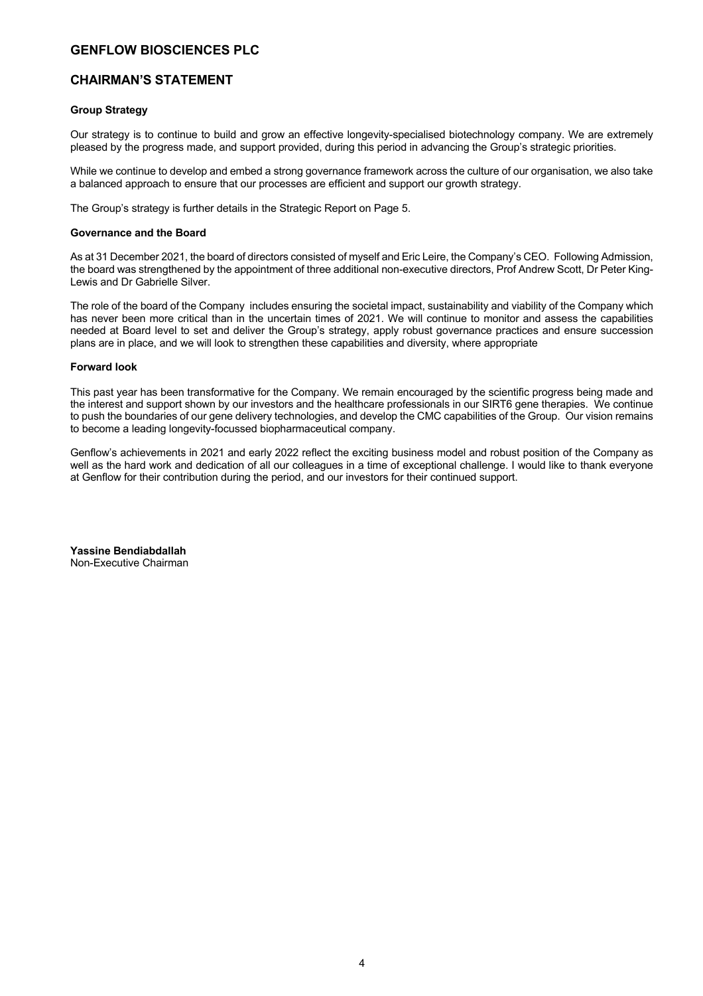### **CHAIRMAN'S STATEMENT**

### **Group Strategy**

Our strategy is to continue to build and grow an effective longevity-specialised biotechnology company. We are extremely pleased by the progress made, and support provided, during this period in advancing the Group's strategic priorities.

While we continue to develop and embed a strong governance framework across the culture of our organisation, we also take a balanced approach to ensure that our processes are efficient and support our growth strategy.

The Group's strategy is further details in the Strategic Report on Page 5.

### **Governance and the Board**

As at 31 December 2021, the board of directors consisted of myself and Eric Leire, the Company's CEO. Following Admission, the board was strengthened by the appointment of three additional non-executive directors, Prof Andrew Scott, Dr Peter King-Lewis and Dr Gabrielle Silver.

The role of the board of the Company includes ensuring the societal impact, sustainability and viability of the Company which has never been more critical than in the uncertain times of 2021. We will continue to monitor and assess the capabilities needed at Board level to set and deliver the Group's strategy, apply robust governance practices and ensure succession plans are in place, and we will look to strengthen these capabilities and diversity, where appropriate

### **Forward look**

This past year has been transformative for the Company. We remain encouraged by the scientific progress being made and the interest and support shown by our investors and the healthcare professionals in our SIRT6 gene therapies. We continue to push the boundaries of our gene delivery technologies, and develop the CMC capabilities of the Group. Our vision remains to become a leading longevity-focussed biopharmaceutical company.

Genflow's achievements in 2021 and early 2022 reflect the exciting business model and robust position of the Company as well as the hard work and dedication of all our colleagues in a time of exceptional challenge. I would like to thank everyone at Genflow for their contribution during the period, and our investors for their continued support.

**Yassine Bendiabdallah**  Non-Executive Chairman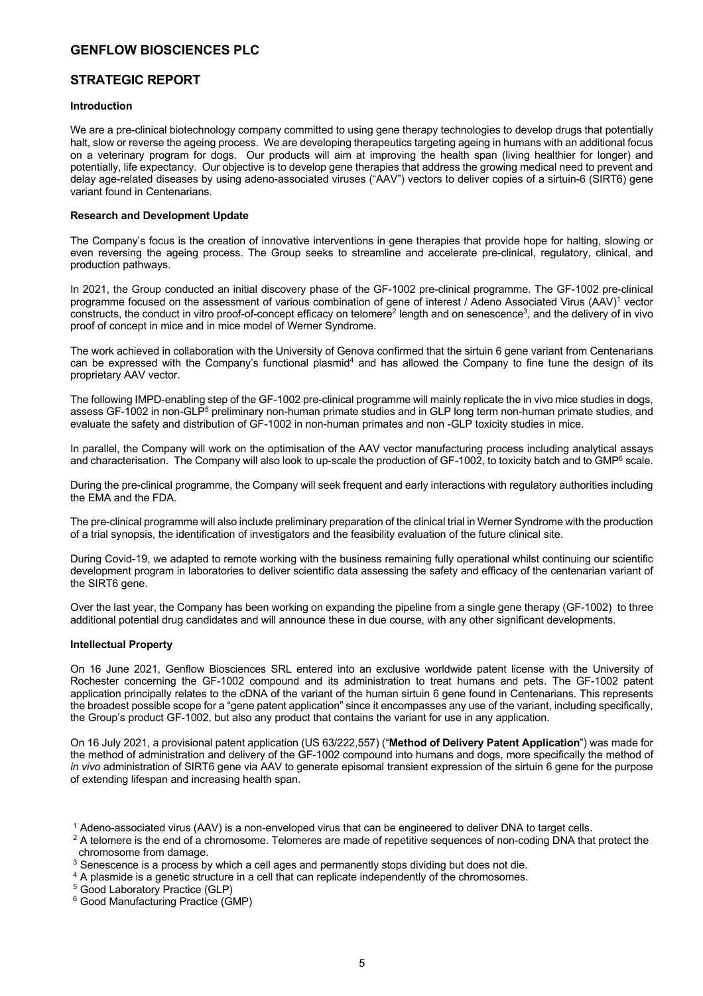### **STRATEGIC REPORT**

### **Introduction**

We are a pre-clinical biotechnology company committed to using gene therapy technologies to develop drugs that potentially halt, slow or reverse the ageing process. We are developing therapeutics targeting ageing in humans with an additional focus on a veterinary program for dogs. Our products will aim at improving the health span (living healthier for longer) and potentially, life expectancy. Our objective is to develop gene therapies that address the growing medical need to prevent and delay age-related diseases by using adeno-associated viruses ("AAV") vectors to deliver copies of a sirtuin-6 (SIRT6) gene variant found in Centenarians.

### **Research and Development Update**

The Company's focus is the creation of innovative interventions in gene therapies that provide hope for halting, slowing or even reversing the ageing process. The Group seeks to streamline and accelerate pre-clinical, regulatory, clinical, and production pathways.

In 2021, the Group conducted an initial discovery phase of the GF-1002 pre-clinical programme. The GF-1002 pre-clinical programme focused on the assessment of various combination of gene of interest / Adeno Associated Virus (AAV)<sup>1</sup> vector constructs, the conduct in vitro proof-of-concept efficacy on telomere<sup>2</sup> length and on senescence<sup>3</sup>, and the delivery of in vivo proof of concept in mice and in mice model of Werner Syndrome.

The work achieved in collaboration with the University of Genova confirmed that the sirtuin 6 gene variant from Centenarians can be expressed with the Company's functional plasmid<sup>4</sup> and has allowed the Company to fine tune the design of its proprietary AAV vector.

The following IMPD-enabling step of the GF-1002 pre-clinical programme will mainly replicate the in vivo mice studies in dogs, assess GF-1002 in non-GLP<sup>5</sup> preliminary non-human primate studies and in GLP long term non-human primate studies, and evaluate the safety and distribution of GF-1002 in non-human primates and non -GLP toxicity studies in mice.

In parallel, the Company will work on the optimisation of the AAV vector manufacturing process including analytical assays and characterisation. The Company will also look to up-scale the production of GF-1002, to toxicity batch and to GMP<sup>6</sup> scale.

During the pre-clinical programme, the Company will seek frequent and early interactions with regulatory authorities including the EMA and the FDA.

The pre-clinical programme will also include preliminary preparation of the clinical trial in Werner Syndrome with the production of a trial synopsis, the identification of investigators and the feasibility evaluation of the future clinical site.

During Covid-19, we adapted to remote working with the business remaining fully operational whilst continuing our scientific development program in laboratories to deliver scientific data assessing the safety and efficacy of the centenarian variant of the SIRT6 gene.

Over the last year, the Company has been working on expanding the pipeline from a single gene therapy (GF-1002) to three additional potential drug candidates and will announce these in due course, with any other significant developments.

### **Intellectual Property**

On 16 June 2021, Genflow Biosciences SRL entered into an exclusive worldwide patent license with the University of Rochester concerning the GF-1002 compound and its administration to treat humans and pets. The GF-1002 patent application principally relates to the cDNA of the variant of the human sirtuin 6 gene found in Centenarians. This represents the broadest possible scope for a "gene patent application" since it encompasses any use of the variant, including specifically, the Group's product GF-1002, but also any product that contains the variant for use in any application.

On 16 July 2021, a provisional patent application (US 63/222,557) ("**Method of Delivery Patent Application**") was made for the method of administration and delivery of the GF-1002 compound into humans and dogs, more specifically the method of *in vivo* administration of SIRT6 gene via AAV to generate episomal transient expression of the sirtuin 6 gene for the purpose of extending lifespan and increasing health span.

<sup>1</sup> Adeno-associated virus (AAV) is a non-enveloped virus that can be engineered to deliver DNA to target cells.

<sup>2</sup> A telomere is the end of a chromosome. Telomeres are made of repetitive sequences of non-coding DNA that protect the chromosome from damage.

<sup>3</sup> Senescence is a process by which a cell ages and permanently stops dividing but does not die.

<sup>4</sup> A plasmide is a genetic structure in a cell that can replicate independently of the chromosomes.

<sup>5</sup> Good Laboratory Practice (GLP)

<sup>6</sup> Good Manufacturing Practice (GMP)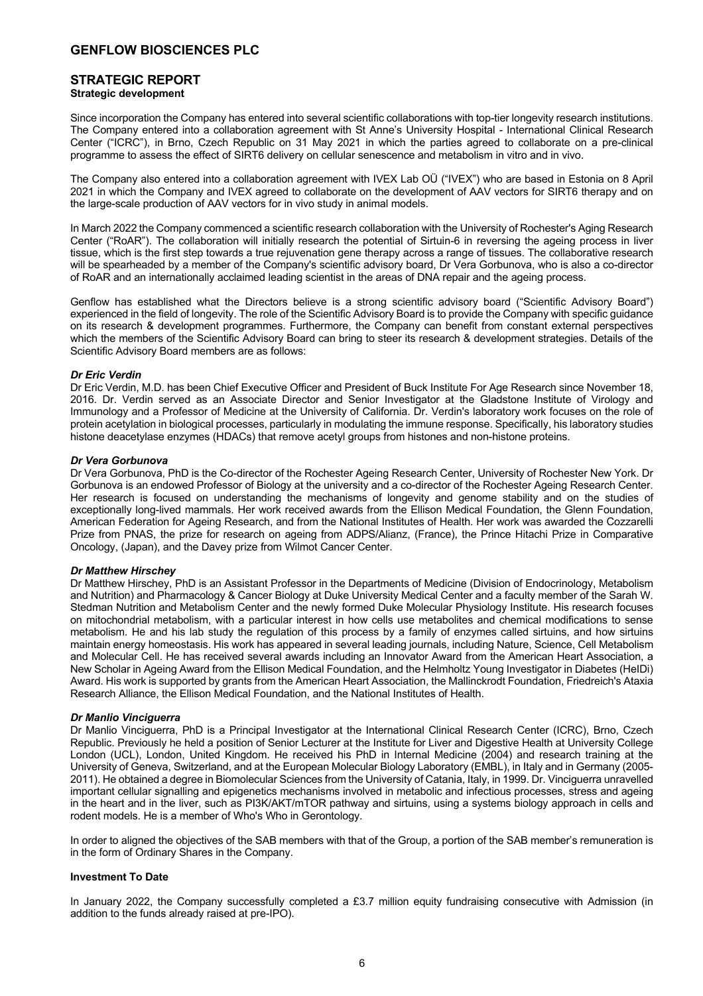### **STRATEGIC REPORT Strategic development**

Since incorporation the Company has entered into several scientific collaborations with top-tier longevity research institutions. The Company entered into a collaboration agreement with St Anne's University Hospital - International Clinical Research Center ("ICRC"), in Brno, Czech Republic on 31 May 2021 in which the parties agreed to collaborate on a pre-clinical programme to assess the effect of SIRT6 delivery on cellular senescence and metabolism in vitro and in vivo.

The Company also entered into a collaboration agreement with IVEX Lab OÜ ("IVEX") who are based in Estonia on 8 April 2021 in which the Company and IVEX agreed to collaborate on the development of AAV vectors for SIRT6 therapy and on the large-scale production of AAV vectors for in vivo study in animal models.

In March 2022 the Company commenced a scientific research collaboration with the University of Rochester's Aging Research Center ("RoAR"). The collaboration will initially research the potential of Sirtuin-6 in reversing the ageing process in liver tissue, which is the first step towards a true rejuvenation gene therapy across a range of tissues. The collaborative research will be spearheaded by a member of the Company's scientific advisory board, Dr Vera Gorbunova, who is also a co-director of RoAR and an internationally acclaimed leading scientist in the areas of DNA repair and the ageing process.

Genflow has established what the Directors believe is a strong scientific advisory board ("Scientific Advisory Board") experienced in the field of longevity. The role of the Scientific Advisory Board is to provide the Company with specific guidance on its research & development programmes. Furthermore, the Company can benefit from constant external perspectives which the members of the Scientific Advisory Board can bring to steer its research & development strategies. Details of the Scientific Advisory Board members are as follows:

### *Dr Eric Verdin*

Dr Eric Verdin, M.D. has been Chief Executive Officer and President of Buck Institute For Age Research since November 18, 2016. Dr. Verdin served as an Associate Director and Senior Investigator at the Gladstone Institute of Virology and Immunology and a Professor of Medicine at the University of California. Dr. Verdin's laboratory work focuses on the role of protein acetylation in biological processes, particularly in modulating the immune response. Specifically, his laboratory studies histone deacetylase enzymes (HDACs) that remove acetyl groups from histones and non-histone proteins.

### *Dr Vera Gorbunova*

Dr Vera Gorbunova, PhD is the Co-director of the Rochester Ageing Research Center, University of Rochester New York. Dr Gorbunova is an endowed Professor of Biology at the university and a co-director of the Rochester Ageing Research Center. Her research is focused on understanding the mechanisms of longevity and genome stability and on the studies of exceptionally long-lived mammals. Her work received awards from the Ellison Medical Foundation, the Glenn Foundation, American Federation for Ageing Research, and from the National Institutes of Health. Her work was awarded the Cozzarelli Prize from PNAS, the prize for research on ageing from ADPS/Alianz, (France), the Prince Hitachi Prize in Comparative Oncology, (Japan), and the Davey prize from Wilmot Cancer Center.

### *Dr Matthew Hirschey*

Dr Matthew Hirschey, PhD is an Assistant Professor in the Departments of Medicine (Division of Endocrinology, Metabolism and Nutrition) and Pharmacology & Cancer Biology at Duke University Medical Center and a faculty member of the Sarah W. Stedman Nutrition and Metabolism Center and the newly formed Duke Molecular Physiology Institute. His research focuses on mitochondrial metabolism, with a particular interest in how cells use metabolites and chemical modifications to sense metabolism. He and his lab study the regulation of this process by a family of enzymes called sirtuins, and how sirtuins maintain energy homeostasis. His work has appeared in several leading journals, including Nature, Science, Cell Metabolism and Molecular Cell. He has received several awards including an Innovator Award from the American Heart Association, a New Scholar in Ageing Award from the Ellison Medical Foundation, and the Helmholtz Young Investigator in Diabetes (HeIDi) Award. His work is supported by grants from the American Heart Association, the Mallinckrodt Foundation, Friedreich's Ataxia Research Alliance, the Ellison Medical Foundation, and the National Institutes of Health.

### *Dr Manlio Vinciguerra*

Dr Manlio Vinciguerra, PhD is a Principal Investigator at the International Clinical Research Center (ICRC), Brno, Czech Republic. Previously he held a position of Senior Lecturer at the Institute for Liver and Digestive Health at University College London (UCL), London, United Kingdom. He received his PhD in Internal Medicine (2004) and research training at the University of Geneva, Switzerland, and at the European Molecular Biology Laboratory (EMBL), in Italy and in Germany (2005- 2011). He obtained a degree in Biomolecular Sciences from the University of Catania, Italy, in 1999. Dr. Vinciguerra unravelled important cellular signalling and epigenetics mechanisms involved in metabolic and infectious processes, stress and ageing in the heart and in the liver, such as PI3K/AKT/mTOR pathway and sirtuins, using a systems biology approach in cells and rodent models. He is a member of Who's Who in Gerontology.

In order to aligned the objectives of the SAB members with that of the Group, a portion of the SAB member's remuneration is in the form of Ordinary Shares in the Company.

### **Investment To Date**

In January 2022, the Company successfully completed a £3.7 million equity fundraising consecutive with Admission (in addition to the funds already raised at pre-IPO).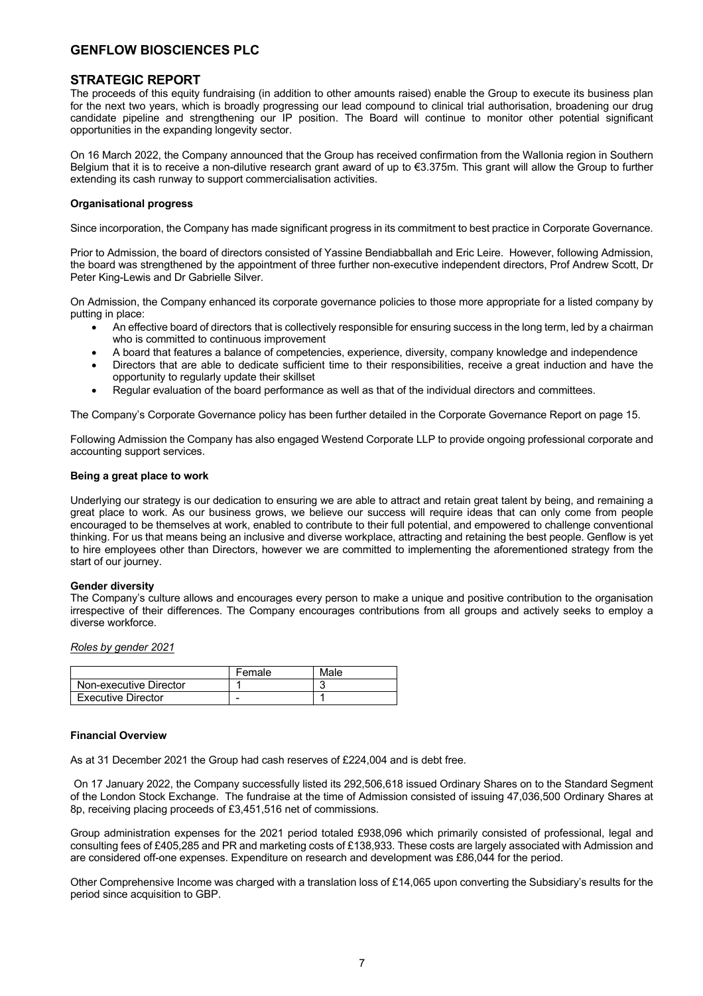### **STRATEGIC REPORT**

The proceeds of this equity fundraising (in addition to other amounts raised) enable the Group to execute its business plan for the next two years, which is broadly progressing our lead compound to clinical trial authorisation, broadening our drug candidate pipeline and strengthening our IP position. The Board will continue to monitor other potential significant opportunities in the expanding longevity sector.

On 16 March 2022, the Company announced that the Group has received confirmation from the Wallonia region in Southern Belgium that it is to receive a non-dilutive research grant award of up to €3.375m. This grant will allow the Group to further extending its cash runway to support commercialisation activities.

### **Organisational progress**

Since incorporation, the Company has made significant progress in its commitment to best practice in Corporate Governance.

Prior to Admission, the board of directors consisted of Yassine Bendiabballah and Eric Leire. However, following Admission, the board was strengthened by the appointment of three further non-executive independent directors, Prof Andrew Scott, Dr Peter King-Lewis and Dr Gabrielle Silver.

On Admission, the Company enhanced its corporate governance policies to those more appropriate for a listed company by putting in place:

- An effective board of directors that is collectively responsible for ensuring success in the long term, led by a chairman who is committed to continuous improvement
- A board that features a balance of competencies, experience, diversity, company knowledge and independence
- Directors that are able to dedicate sufficient time to their responsibilities, receive a great induction and have the opportunity to regularly update their skillset
- Regular evaluation of the board performance as well as that of the individual directors and committees.

The Company's Corporate Governance policy has been further detailed in the Corporate Governance Report on page 15.

Following Admission the Company has also engaged Westend Corporate LLP to provide ongoing professional corporate and accounting support services.

### **Being a great place to work**

Underlying our strategy is our dedication to ensuring we are able to attract and retain great talent by being, and remaining a great place to work. As our business grows, we believe our success will require ideas that can only come from people encouraged to be themselves at work, enabled to contribute to their full potential, and empowered to challenge conventional thinking. For us that means being an inclusive and diverse workplace, attracting and retaining the best people. Genflow is yet to hire employees other than Directors, however we are committed to implementing the aforementioned strategy from the start of our journey.

### **Gender diversity**

The Company's culture allows and encourages every person to make a unique and positive contribution to the organisation irrespective of their differences. The Company encourages contributions from all groups and actively seeks to employ a diverse workforce.

*Roles by gender 2021*

|                           | Female | Male |
|---------------------------|--------|------|
| Non-executive Director    |        |      |
| <b>Executive Director</b> | -      |      |

### **Financial Overview**

As at 31 December 2021 the Group had cash reserves of £224,004 and is debt free.

On 17 January 2022, the Company successfully listed its 292,506,618 issued Ordinary Shares on to the Standard Segment of the London Stock Exchange. The fundraise at the time of Admission consisted of issuing 47,036,500 Ordinary Shares at 8p, receiving placing proceeds of £3,451,516 net of commissions.

Group administration expenses for the 2021 period totaled £938,096 which primarily consisted of professional, legal and consulting fees of £405,285 and PR and marketing costs of £138,933. These costs are largely associated with Admission and are considered off-one expenses. Expenditure on research and development was £86,044 for the period.

Other Comprehensive Income was charged with a translation loss of £14,065 upon converting the Subsidiary's results for the period since acquisition to GBP.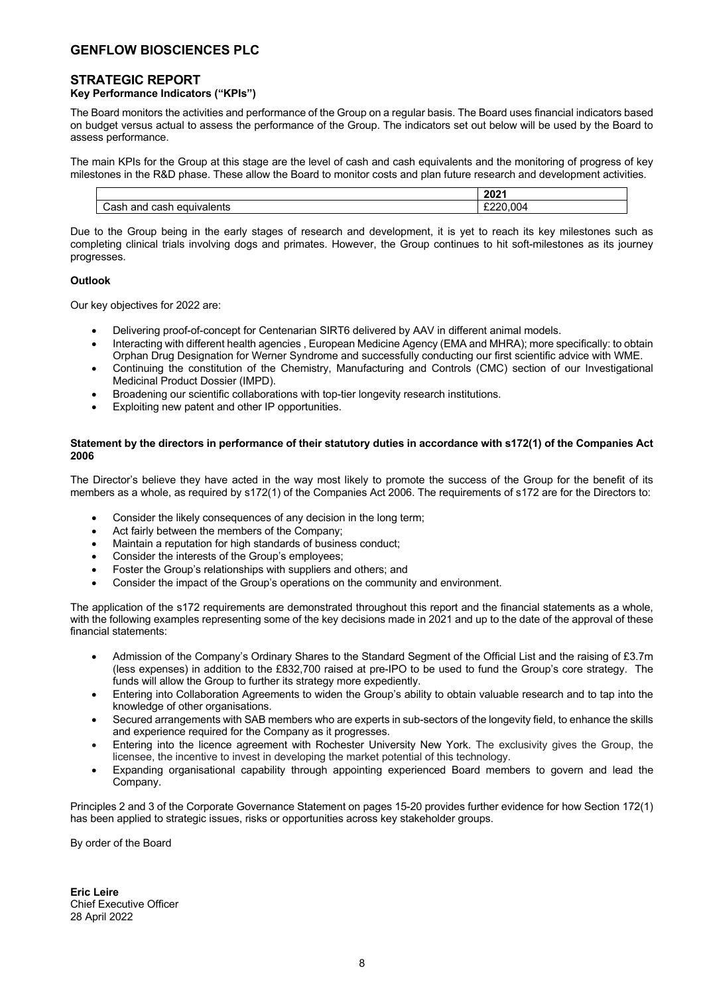### **STRATEGIC REPORT**

### **Key Performance Indicators ("KPIs")**

The Board monitors the activities and performance of the Group on a regular basis. The Board uses financial indicators based on budget versus actual to assess the performance of the Group. The indicators set out below will be used by the Board to assess performance.

The main KPIs for the Group at this stage are the level of cash and cash equivalents and the monitoring of progress of key milestones in the R&D phase. These allow the Board to monitor costs and plan future research and development activities.

|                                          | 2021<br>ZUZ 1 |
|------------------------------------------|---------------|
| ∘and<br>eau<br>.<br>casu<br>טווס<br>cası | .uu<br>-----  |

Due to the Group being in the early stages of research and development, it is yet to reach its key milestones such as completing clinical trials involving dogs and primates. However, the Group continues to hit soft-milestones as its journey progresses.

### **Outlook**

Our key objectives for 2022 are:

- Delivering proof-of-concept for Centenarian SIRT6 delivered by AAV in different animal models.
- Interacting with different health agencies , European Medicine Agency (EMA and MHRA); more specifically: to obtain Orphan Drug Designation for Werner Syndrome and successfully conducting our first scientific advice with WME.
- Continuing the constitution of the Chemistry, Manufacturing and Controls (CMC) section of our Investigational Medicinal Product Dossier (IMPD).
- Broadening our scientific collaborations with top-tier longevity research institutions.
- Exploiting new patent and other IP opportunities.

### **Statement by the directors in performance of their statutory duties in accordance with s172(1) of the Companies Act 2006**

The Director's believe they have acted in the way most likely to promote the success of the Group for the benefit of its members as a whole, as required by s172(1) of the Companies Act 2006. The requirements of s172 are for the Directors to:

- Consider the likely consequences of any decision in the long term;
- Act fairly between the members of the Company;
- Maintain a reputation for high standards of business conduct;
- Consider the interests of the Group's employees;
- Foster the Group's relationships with suppliers and others; and
- Consider the impact of the Group's operations on the community and environment.

The application of the s172 requirements are demonstrated throughout this report and the financial statements as a whole, with the following examples representing some of the key decisions made in 2021 and up to the date of the approval of these financial statements:

- Admission of the Company's Ordinary Shares to the Standard Segment of the Official List and the raising of £3.7m (less expenses) in addition to the £832,700 raised at pre-IPO to be used to fund the Group's core strategy. The funds will allow the Group to further its strategy more expediently.
- Entering into Collaboration Agreements to widen the Group's ability to obtain valuable research and to tap into the knowledge of other organisations.
- Secured arrangements with SAB members who are experts in sub-sectors of the longevity field, to enhance the skills and experience required for the Company as it progresses.
- Entering into the licence agreement with Rochester University New York. The exclusivity gives the Group, the licensee, the incentive to invest in developing the market potential of this technology.
- Expanding organisational capability through appointing experienced Board members to govern and lead the Company.

Principles 2 and 3 of the Corporate Governance Statement on pages 15-20 provides further evidence for how Section 172(1) has been applied to strategic issues, risks or opportunities across key stakeholder groups.

By order of the Board

**Eric Leire** Chief Executive Officer 28 April 2022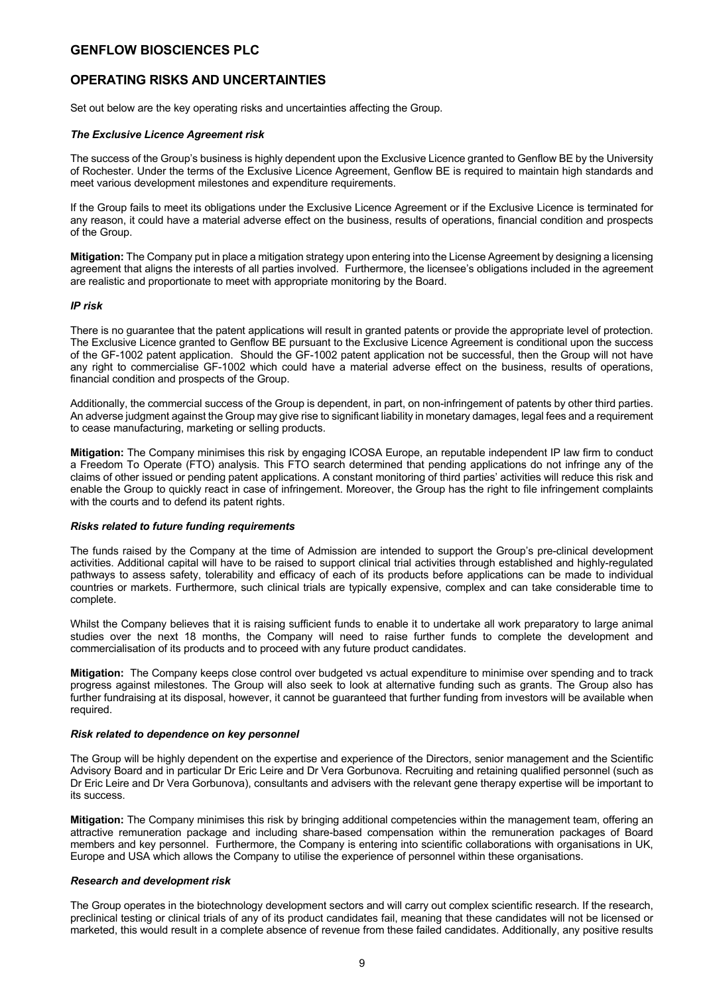## **OPERATING RISKS AND UNCERTAINTIES**

Set out below are the key operating risks and uncertainties affecting the Group.

### *The Exclusive Licence Agreement risk*

The success of the Group's business is highly dependent upon the Exclusive Licence granted to Genflow BE by the University of Rochester. Under the terms of the Exclusive Licence Agreement, Genflow BE is required to maintain high standards and meet various development milestones and expenditure requirements.

If the Group fails to meet its obligations under the Exclusive Licence Agreement or if the Exclusive Licence is terminated for any reason, it could have a material adverse effect on the business, results of operations, financial condition and prospects of the Group.

**Mitigation:** The Company put in place a mitigation strategy upon entering into the License Agreement by designing a licensing agreement that aligns the interests of all parties involved. Furthermore, the licensee's obligations included in the agreement are realistic and proportionate to meet with appropriate monitoring by the Board.

### *IP risk*

There is no guarantee that the patent applications will result in granted patents or provide the appropriate level of protection. The Exclusive Licence granted to Genflow BE pursuant to the Exclusive Licence Agreement is conditional upon the success of the GF-1002 patent application. Should the GF-1002 patent application not be successful, then the Group will not have any right to commercialise GF-1002 which could have a material adverse effect on the business, results of operations, financial condition and prospects of the Group.

Additionally, the commercial success of the Group is dependent, in part, on non-infringement of patents by other third parties. An adverse judgment against the Group may give rise to significant liability in monetary damages, legal fees and a requirement to cease manufacturing, marketing or selling products.

**Mitigation:** The Company minimises this risk by engaging ICOSA Europe, an reputable independent IP law firm to conduct a Freedom To Operate (FTO) analysis. This FTO search determined that pending applications do not infringe any of the claims of other issued or pending patent applications. A constant monitoring of third parties' activities will reduce this risk and enable the Group to quickly react in case of infringement. Moreover, the Group has the right to file infringement complaints with the courts and to defend its patent rights.

### *Risks related to future funding requirements*

The funds raised by the Company at the time of Admission are intended to support the Group's pre-clinical development activities. Additional capital will have to be raised to support clinical trial activities through established and highly-regulated pathways to assess safety, tolerability and efficacy of each of its products before applications can be made to individual countries or markets. Furthermore, such clinical trials are typically expensive, complex and can take considerable time to complete.

Whilst the Company believes that it is raising sufficient funds to enable it to undertake all work preparatory to large animal studies over the next 18 months, the Company will need to raise further funds to complete the development and commercialisation of its products and to proceed with any future product candidates.

**Mitigation:** The Company keeps close control over budgeted vs actual expenditure to minimise over spending and to track progress against milestones. The Group will also seek to look at alternative funding such as grants. The Group also has further fundraising at its disposal, however, it cannot be guaranteed that further funding from investors will be available when required.

### *Risk related to dependence on key personnel*

The Group will be highly dependent on the expertise and experience of the Directors, senior management and the Scientific Advisory Board and in particular Dr Eric Leire and Dr Vera Gorbunova. Recruiting and retaining qualified personnel (such as Dr Eric Leire and Dr Vera Gorbunova), consultants and advisers with the relevant gene therapy expertise will be important to its success.

**Mitigation:** The Company minimises this risk by bringing additional competencies within the management team, offering an attractive remuneration package and including share-based compensation within the remuneration packages of Board members and key personnel. Furthermore, the Company is entering into scientific collaborations with organisations in UK, Europe and USA which allows the Company to utilise the experience of personnel within these organisations.

### *Research and development risk*

The Group operates in the biotechnology development sectors and will carry out complex scientific research. If the research, preclinical testing or clinical trials of any of its product candidates fail, meaning that these candidates will not be licensed or marketed, this would result in a complete absence of revenue from these failed candidates. Additionally, any positive results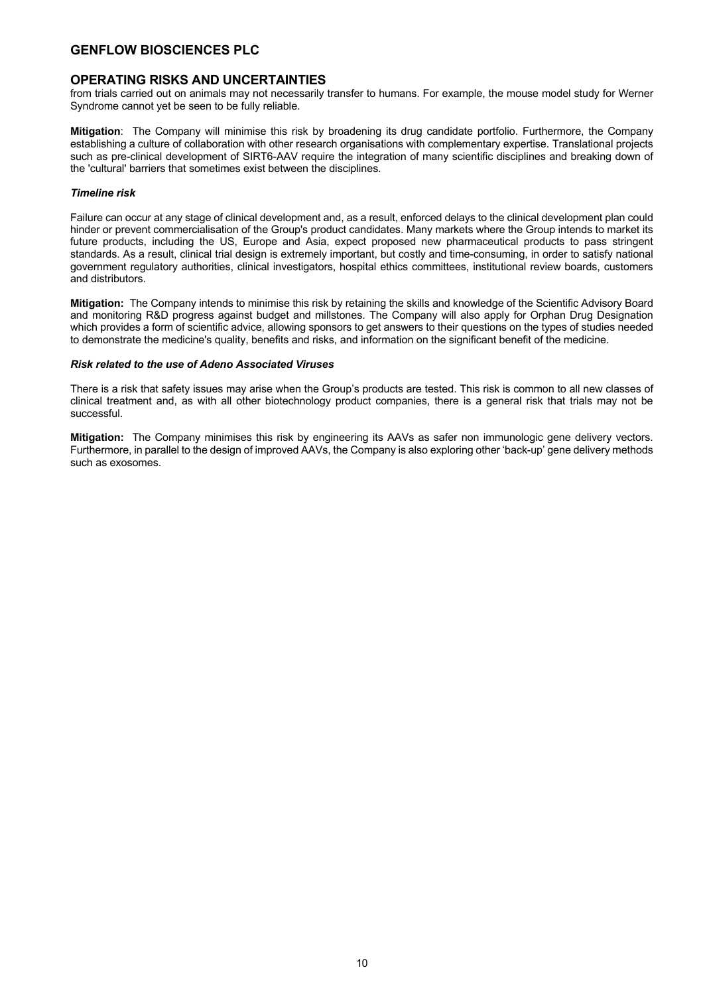### **OPERATING RISKS AND UNCERTAINTIES**

from trials carried out on animals may not necessarily transfer to humans. For example, the mouse model study for Werner Syndrome cannot yet be seen to be fully reliable.

**Mitigation**: The Company will minimise this risk by broadening its drug candidate portfolio. Furthermore, the Company establishing a culture of collaboration with other research organisations with complementary expertise. Translational projects such as pre-clinical development of SIRT6-AAV require the integration of many scientific disciplines and breaking down of the 'cultural' barriers that sometimes exist between the disciplines.

### *Timeline risk*

Failure can occur at any stage of clinical development and, as a result, enforced delays to the clinical development plan could hinder or prevent commercialisation of the Group's product candidates. Many markets where the Group intends to market its future products, including the US, Europe and Asia, expect proposed new pharmaceutical products to pass stringent standards. As a result, clinical trial design is extremely important, but costly and time-consuming, in order to satisfy national government regulatory authorities, clinical investigators, hospital ethics committees, institutional review boards, customers and distributors.

**Mitigation:** The Company intends to minimise this risk by retaining the skills and knowledge of the Scientific Advisory Board and monitoring R&D progress against budget and millstones. The Company will also apply for Orphan Drug Designation which provides a form of scientific advice, allowing sponsors to get answers to their questions on the types of studies needed to demonstrate the medicine's quality, benefits and risks, and information on the significant benefit of the medicine.

### *Risk related to the use of Adeno Associated Viruses*

There is a risk that safety issues may arise when the Group's products are tested. This risk is common to all new classes of clinical treatment and, as with all other biotechnology product companies, there is a general risk that trials may not be successful.

**Mitigation:** The Company minimises this risk by engineering its AAVs as safer non immunologic gene delivery vectors. Furthermore, in parallel to the design of improved AAVs, the Company is also exploring other 'back-up' gene delivery methods such as exosomes.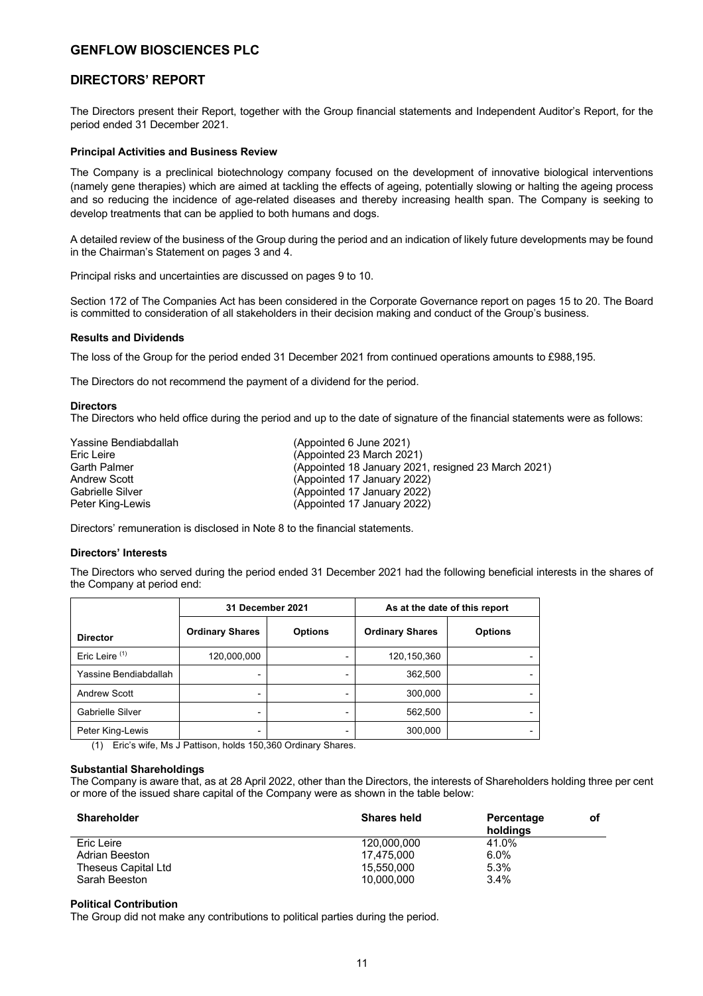### **DIRECTORS' REPORT**

The Directors present their Report, together with the Group financial statements and Independent Auditor's Report, for the period ended 31 December 2021.

#### **Principal Activities and Business Review**

The Company is a preclinical biotechnology company focused on the development of innovative biological interventions (namely gene therapies) which are aimed at tackling the effects of ageing, potentially slowing or halting the ageing process and so reducing the incidence of age-related diseases and thereby increasing health span. The Company is seeking to develop treatments that can be applied to both humans and dogs.

A detailed review of the business of the Group during the period and an indication of likely future developments may be found in the Chairman's Statement on pages 3 and 4.

Principal risks and uncertainties are discussed on pages 9 to 10.

Section 172 of The Companies Act has been considered in the Corporate Governance report on pages 15 to 20. The Board is committed to consideration of all stakeholders in their decision making and conduct of the Group's business.

#### **Results and Dividends**

The loss of the Group for the period ended 31 December 2021 from continued operations amounts to £988,195.

The Directors do not recommend the payment of a dividend for the period.

#### **Directors**

The Directors who held office during the period and up to the date of signature of the financial statements were as follows:

| Yassine Bendiabdallah | (Appointed 6 June 2021)                             |
|-----------------------|-----------------------------------------------------|
| Eric Leire            | (Appointed 23 March 2021)                           |
| <b>Garth Palmer</b>   | (Appointed 18 January 2021, resigned 23 March 2021) |
| Andrew Scott          | (Appointed 17 January 2022)                         |
| Gabrielle Silver      | (Appointed 17 January 2022)                         |
| Peter King-Lewis      | (Appointed 17 January 2022)                         |

Directors' remuneration is disclosed in Note 8 to the financial statements.

### **Directors' Interests**

The Directors who served during the period ended 31 December 2021 had the following beneficial interests in the shares of the Company at period end:

|                       | 31 December 2021       |                |                        | As at the date of this report |
|-----------------------|------------------------|----------------|------------------------|-------------------------------|
| <b>Director</b>       | <b>Ordinary Shares</b> | <b>Options</b> | <b>Ordinary Shares</b> | <b>Options</b>                |
| Eric Leire $(1)$      | 120,000,000            |                | 120,150,360            |                               |
| Yassine Bendiabdallah |                        |                | 362,500                |                               |
| <b>Andrew Scott</b>   |                        |                | 300,000                |                               |
| Gabrielle Silver      |                        |                | 562,500                |                               |
| Peter King-Lewis      |                        |                | 300,000                |                               |

(1) Eric's wife, Ms J Pattison, holds 150,360 Ordinary Shares.

#### **Substantial Shareholdings**

The Company is aware that, as at 28 April 2022, other than the Directors, the interests of Shareholders holding three per cent or more of the issued share capital of the Company were as shown in the table below:

| <b>Shareholder</b>  | <b>Shares held</b> | Percentage<br>holdings | оf |
|---------------------|--------------------|------------------------|----|
| Eric Leire          | 120.000.000        | 41.0%                  |    |
| Adrian Beeston      | 17.475.000         | 6.0%                   |    |
| Theseus Capital Ltd | 15.550.000         | 5.3%                   |    |
| Sarah Beeston       | 10.000.000         | $3.4\%$                |    |

#### **Political Contribution**

The Group did not make any contributions to political parties during the period.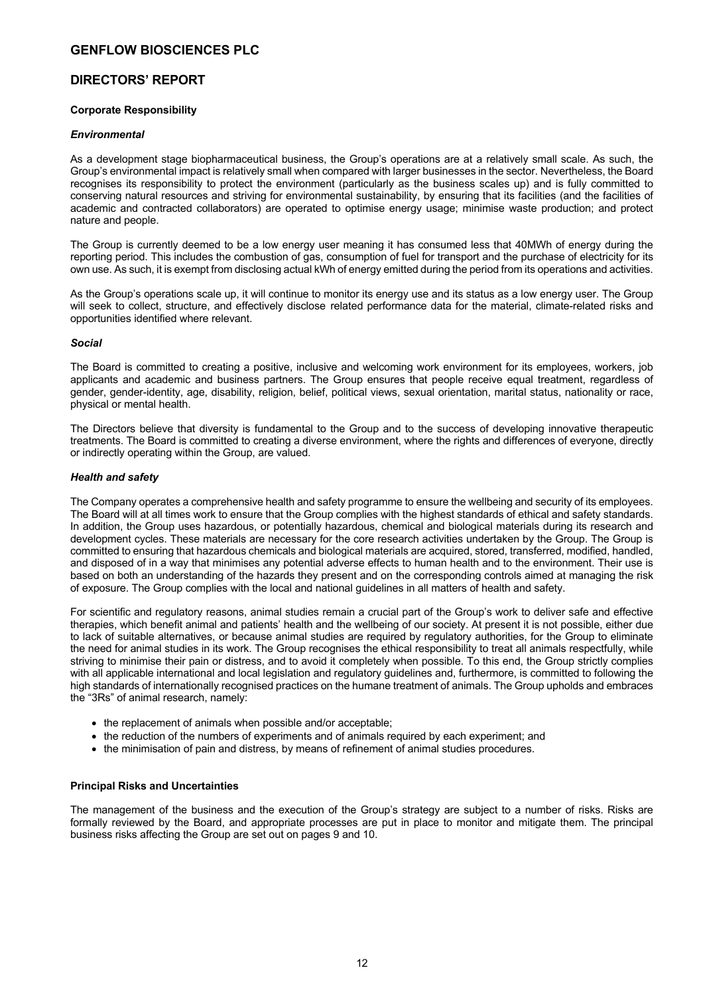### **DIRECTORS' REPORT**

### **Corporate Responsibility**

### *Environmental*

As a development stage biopharmaceutical business, the Group's operations are at a relatively small scale. As such, the Group's environmental impact is relatively small when compared with larger businesses in the sector. Nevertheless, the Board recognises its responsibility to protect the environment (particularly as the business scales up) and is fully committed to conserving natural resources and striving for environmental sustainability, by ensuring that its facilities (and the facilities of academic and contracted collaborators) are operated to optimise energy usage; minimise waste production; and protect nature and people.

The Group is currently deemed to be a low energy user meaning it has consumed less that 40MWh of energy during the reporting period. This includes the combustion of gas, consumption of fuel for transport and the purchase of electricity for its own use. As such, it is exempt from disclosing actual kWh of energy emitted during the period from its operations and activities.

As the Group's operations scale up, it will continue to monitor its energy use and its status as a low energy user. The Group will seek to collect, structure, and effectively disclose related performance data for the material, climate-related risks and opportunities identified where relevant.

### *Social*

The Board is committed to creating a positive, inclusive and welcoming work environment for its employees, workers, job applicants and academic and business partners. The Group ensures that people receive equal treatment, regardless of gender, gender-identity, age, disability, religion, belief, political views, sexual orientation, marital status, nationality or race, physical or mental health.

The Directors believe that diversity is fundamental to the Group and to the success of developing innovative therapeutic treatments. The Board is committed to creating a diverse environment, where the rights and differences of everyone, directly or indirectly operating within the Group, are valued.

### *Health and safety*

The Company operates a comprehensive health and safety programme to ensure the wellbeing and security of its employees. The Board will at all times work to ensure that the Group complies with the highest standards of ethical and safety standards. In addition, the Group uses hazardous, or potentially hazardous, chemical and biological materials during its research and development cycles. These materials are necessary for the core research activities undertaken by the Group. The Group is committed to ensuring that hazardous chemicals and biological materials are acquired, stored, transferred, modified, handled, and disposed of in a way that minimises any potential adverse effects to human health and to the environment. Their use is based on both an understanding of the hazards they present and on the corresponding controls aimed at managing the risk of exposure. The Group complies with the local and national guidelines in all matters of health and safety.

For scientific and regulatory reasons, animal studies remain a crucial part of the Group's work to deliver safe and effective therapies, which benefit animal and patients' health and the wellbeing of our society. At present it is not possible, either due to lack of suitable alternatives, or because animal studies are required by regulatory authorities, for the Group to eliminate the need for animal studies in its work. The Group recognises the ethical responsibility to treat all animals respectfully, while striving to minimise their pain or distress, and to avoid it completely when possible. To this end, the Group strictly complies with all applicable international and local legislation and regulatory guidelines and, furthermore, is committed to following the high standards of internationally recognised practices on the humane treatment of animals. The Group upholds and embraces the "3Rs" of animal research, namely:

- the replacement of animals when possible and/or acceptable;
- the reduction of the numbers of experiments and of animals required by each experiment; and
- the minimisation of pain and distress, by means of refinement of animal studies procedures.

### **Principal Risks and Uncertainties**

The management of the business and the execution of the Group's strategy are subject to a number of risks. Risks are formally reviewed by the Board, and appropriate processes are put in place to monitor and mitigate them. The principal business risks affecting the Group are set out on pages 9 and 10.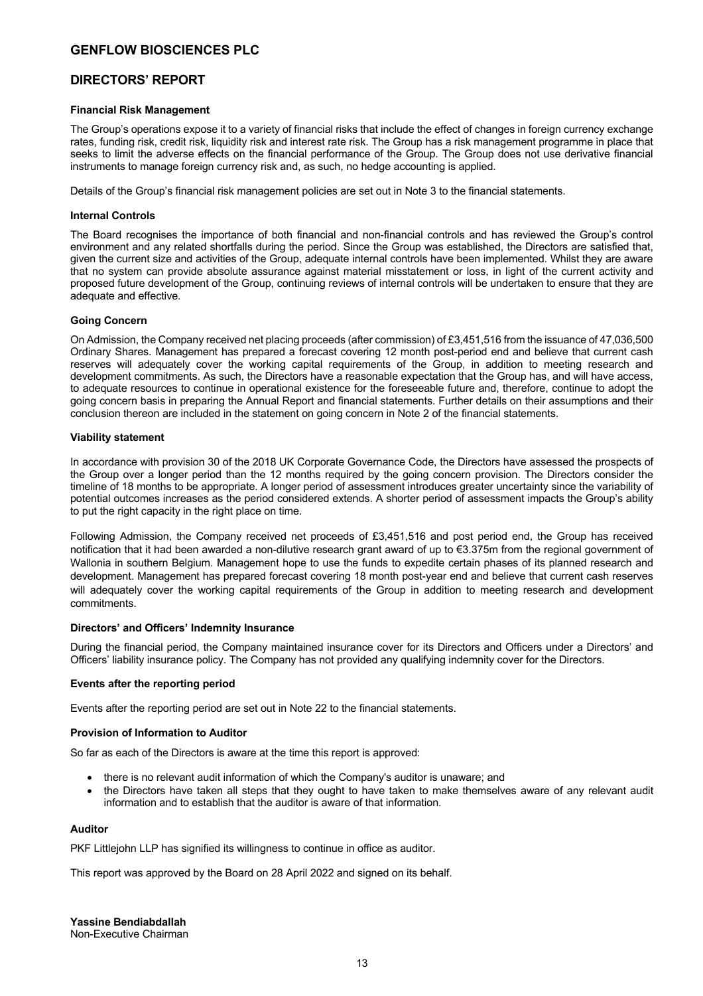### **DIRECTORS' REPORT**

### **Financial Risk Management**

The Group's operations expose it to a variety of financial risks that include the effect of changes in foreign currency exchange rates, funding risk, credit risk, liquidity risk and interest rate risk. The Group has a risk management programme in place that seeks to limit the adverse effects on the financial performance of the Group. The Group does not use derivative financial instruments to manage foreign currency risk and, as such, no hedge accounting is applied.

Details of the Group's financial risk management policies are set out in Note 3 to the financial statements.

### **Internal Controls**

The Board recognises the importance of both financial and non-financial controls and has reviewed the Group's control environment and any related shortfalls during the period. Since the Group was established, the Directors are satisfied that, given the current size and activities of the Group, adequate internal controls have been implemented. Whilst they are aware that no system can provide absolute assurance against material misstatement or loss, in light of the current activity and proposed future development of the Group, continuing reviews of internal controls will be undertaken to ensure that they are adequate and effective.

### **Going Concern**

On Admission, the Company received net placing proceeds (after commission) of £3,451,516 from the issuance of 47,036,500 Ordinary Shares. Management has prepared a forecast covering 12 month post-period end and believe that current cash reserves will adequately cover the working capital requirements of the Group, in addition to meeting research and development commitments. As such, the Directors have a reasonable expectation that the Group has, and will have access, to adequate resources to continue in operational existence for the foreseeable future and, therefore, continue to adopt the going concern basis in preparing the Annual Report and financial statements. Further details on their assumptions and their conclusion thereon are included in the statement on going concern in Note 2 of the financial statements.

### **Viability statement**

In accordance with provision 30 of the 2018 UK Corporate Governance Code, the Directors have assessed the prospects of the Group over a longer period than the 12 months required by the going concern provision. The Directors consider the timeline of 18 months to be appropriate. A longer period of assessment introduces greater uncertainty since the variability of potential outcomes increases as the period considered extends. A shorter period of assessment impacts the Group's ability to put the right capacity in the right place on time.

Following Admission, the Company received net proceeds of £3,451,516 and post period end, the Group has received notification that it had been awarded a non-dilutive research grant award of up to €3.375m from the regional government of Wallonia in southern Belgium. Management hope to use the funds to expedite certain phases of its planned research and development. Management has prepared forecast covering 18 month post-year end and believe that current cash reserves will adequately cover the working capital requirements of the Group in addition to meeting research and development commitments.

### **Directors' and Officers' Indemnity Insurance**

During the financial period, the Company maintained insurance cover for its Directors and Officers under a Directors' and Officers' liability insurance policy. The Company has not provided any qualifying indemnity cover for the Directors.

### **Events after the reporting period**

Events after the reporting period are set out in Note 22 to the financial statements.

### **Provision of Information to Auditor**

So far as each of the Directors is aware at the time this report is approved:

- there is no relevant audit information of which the Company's auditor is unaware; and
- the Directors have taken all steps that they ought to have taken to make themselves aware of any relevant audit information and to establish that the auditor is aware of that information.

### **Auditor**

PKF Littlejohn LLP has signified its willingness to continue in office as auditor.

This report was approved by the Board on 28 April 2022 and signed on its behalf.

**Yassine Bendiabdallah**  Non-Executive Chairman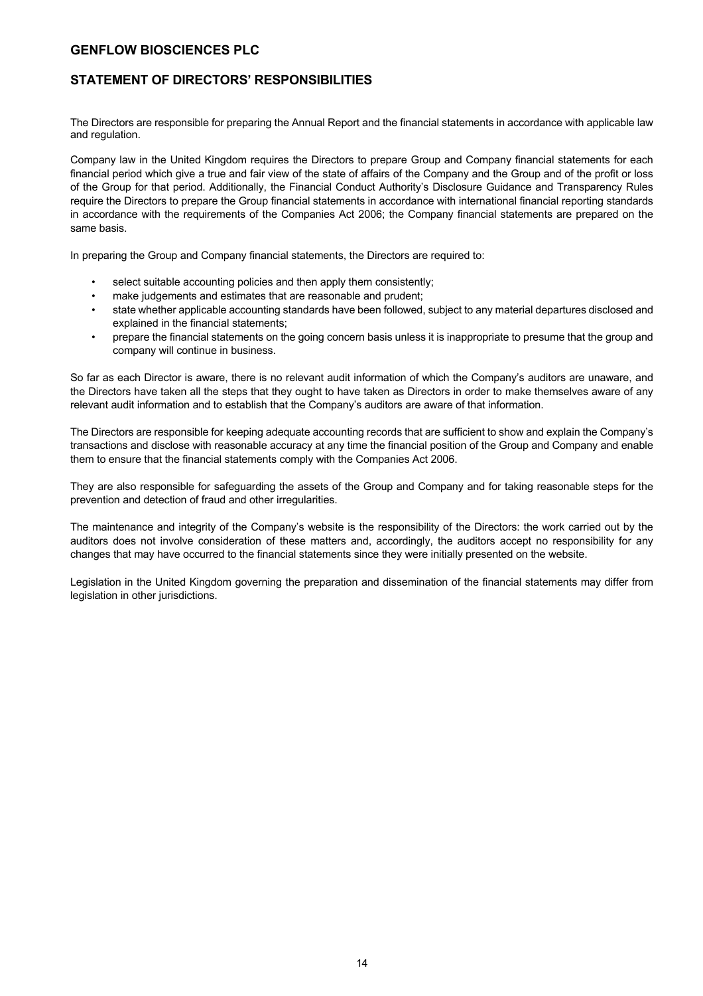## **STATEMENT OF DIRECTORS' RESPONSIBILITIES**

The Directors are responsible for preparing the Annual Report and the financial statements in accordance with applicable law and regulation.

Company law in the United Kingdom requires the Directors to prepare Group and Company financial statements for each financial period which give a true and fair view of the state of affairs of the Company and the Group and of the profit or loss of the Group for that period. Additionally, the Financial Conduct Authority's Disclosure Guidance and Transparency Rules require the Directors to prepare the Group financial statements in accordance with international financial reporting standards in accordance with the requirements of the Companies Act 2006; the Company financial statements are prepared on the same basis.

In preparing the Group and Company financial statements, the Directors are required to:

- select suitable accounting policies and then apply them consistently;
- make judgements and estimates that are reasonable and prudent:
- state whether applicable accounting standards have been followed, subject to any material departures disclosed and explained in the financial statements;
- prepare the financial statements on the going concern basis unless it is inappropriate to presume that the group and company will continue in business.

So far as each Director is aware, there is no relevant audit information of which the Company's auditors are unaware, and the Directors have taken all the steps that they ought to have taken as Directors in order to make themselves aware of any relevant audit information and to establish that the Company's auditors are aware of that information.

The Directors are responsible for keeping adequate accounting records that are sufficient to show and explain the Company's transactions and disclose with reasonable accuracy at any time the financial position of the Group and Company and enable them to ensure that the financial statements comply with the Companies Act 2006.

They are also responsible for safeguarding the assets of the Group and Company and for taking reasonable steps for the prevention and detection of fraud and other irregularities.

The maintenance and integrity of the Company's website is the responsibility of the Directors: the work carried out by the auditors does not involve consideration of these matters and, accordingly, the auditors accept no responsibility for any changes that may have occurred to the financial statements since they were initially presented on the website.

Legislation in the United Kingdom governing the preparation and dissemination of the financial statements may differ from legislation in other jurisdictions.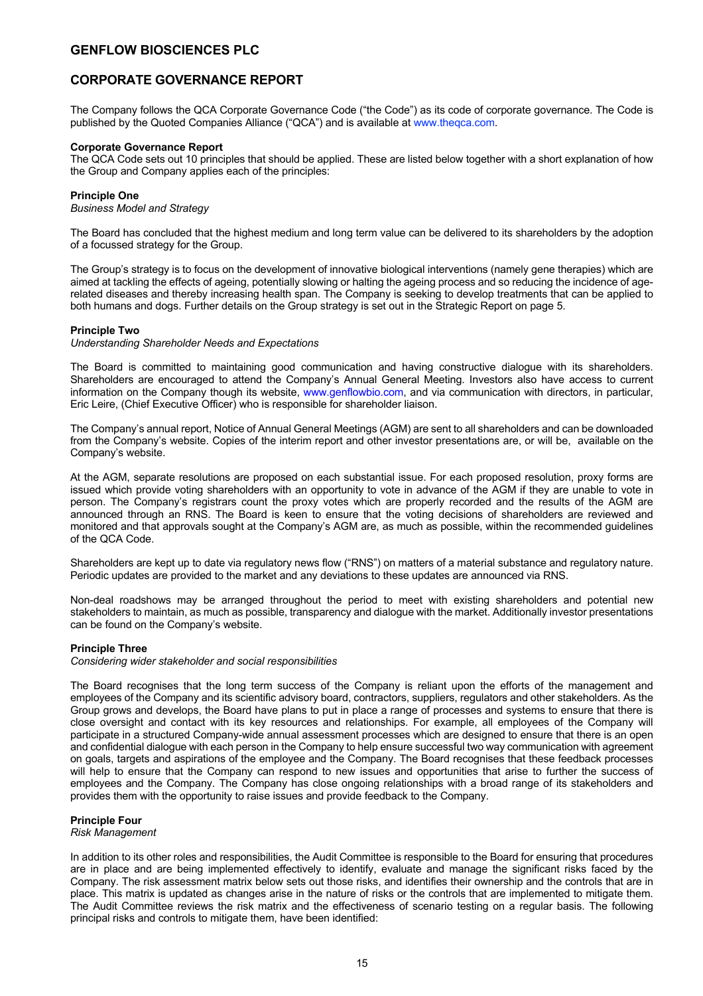## **CORPORATE GOVERNANCE REPORT**

The Company follows the QCA Corporate Governance Code ("the Code") as its code of corporate governance. The Code is published by the Quoted Companies Alliance ("QCA") and is available at www.theqca.com.

### **Corporate Governance Report**

The QCA Code sets out 10 principles that should be applied. These are listed below together with a short explanation of how the Group and Company applies each of the principles:

### **Principle One**

*Business Model and Strategy* 

The Board has concluded that the highest medium and long term value can be delivered to its shareholders by the adoption of a focussed strategy for the Group.

The Group's strategy is to focus on the development of innovative biological interventions (namely gene therapies) which are aimed at tackling the effects of ageing, potentially slowing or halting the ageing process and so reducing the incidence of agerelated diseases and thereby increasing health span. The Company is seeking to develop treatments that can be applied to both humans and dogs. Further details on the Group strategy is set out in the Strategic Report on page 5.

### **Principle Two**

*Understanding Shareholder Needs and Expectations* 

The Board is committed to maintaining good communication and having constructive dialogue with its shareholders. Shareholders are encouraged to attend the Company's Annual General Meeting. Investors also have access to current information on the Company though its website, www.genflowbio.com, and via communication with directors, in particular, Eric Leire, (Chief Executive Officer) who is responsible for shareholder liaison.

The Company's annual report, Notice of Annual General Meetings (AGM) are sent to all shareholders and can be downloaded from the Company's website. Copies of the interim report and other investor presentations are, or will be, available on the Company's website.

At the AGM, separate resolutions are proposed on each substantial issue. For each proposed resolution, proxy forms are issued which provide voting shareholders with an opportunity to vote in advance of the AGM if they are unable to vote in person. The Company's registrars count the proxy votes which are properly recorded and the results of the AGM are announced through an RNS. The Board is keen to ensure that the voting decisions of shareholders are reviewed and monitored and that approvals sought at the Company's AGM are, as much as possible, within the recommended guidelines of the QCA Code.

Shareholders are kept up to date via regulatory news flow ("RNS") on matters of a material substance and regulatory nature. Periodic updates are provided to the market and any deviations to these updates are announced via RNS.

Non-deal roadshows may be arranged throughout the period to meet with existing shareholders and potential new stakeholders to maintain, as much as possible, transparency and dialogue with the market. Additionally investor presentations can be found on the Company's website.

### **Principle Three**

*Considering wider stakeholder and social responsibilities* 

The Board recognises that the long term success of the Company is reliant upon the efforts of the management and employees of the Company and its scientific advisory board, contractors, suppliers, regulators and other stakeholders. As the Group grows and develops, the Board have plans to put in place a range of processes and systems to ensure that there is close oversight and contact with its key resources and relationships. For example, all employees of the Company will participate in a structured Company-wide annual assessment processes which are designed to ensure that there is an open and confidential dialogue with each person in the Company to help ensure successful two way communication with agreement on goals, targets and aspirations of the employee and the Company. The Board recognises that these feedback processes will help to ensure that the Company can respond to new issues and opportunities that arise to further the success of employees and the Company. The Company has close ongoing relationships with a broad range of its stakeholders and provides them with the opportunity to raise issues and provide feedback to the Company.

### **Principle Four**

*Risk Management* 

In addition to its other roles and responsibilities, the Audit Committee is responsible to the Board for ensuring that procedures are in place and are being implemented effectively to identify, evaluate and manage the significant risks faced by the Company. The risk assessment matrix below sets out those risks, and identifies their ownership and the controls that are in place. This matrix is updated as changes arise in the nature of risks or the controls that are implemented to mitigate them. The Audit Committee reviews the risk matrix and the effectiveness of scenario testing on a regular basis. The following principal risks and controls to mitigate them, have been identified: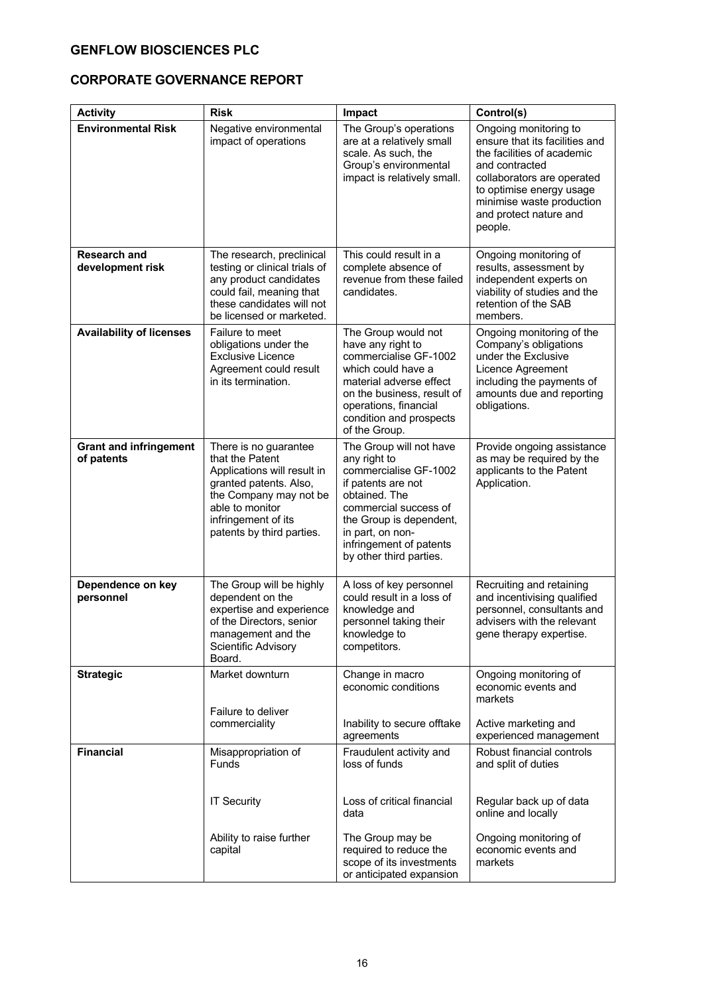# **CORPORATE GOVERNANCE REPORT**

| <b>Activity</b>                             | <b>Risk</b>                                                                                                                                                                                        | Impact                                                                                                                                                                                                                                | Control(s)                                                                                                                                                                                                                          |
|---------------------------------------------|----------------------------------------------------------------------------------------------------------------------------------------------------------------------------------------------------|---------------------------------------------------------------------------------------------------------------------------------------------------------------------------------------------------------------------------------------|-------------------------------------------------------------------------------------------------------------------------------------------------------------------------------------------------------------------------------------|
| <b>Environmental Risk</b>                   | Negative environmental<br>impact of operations                                                                                                                                                     | The Group's operations<br>are at a relatively small<br>scale. As such, the<br>Group's environmental<br>impact is relatively small.                                                                                                    | Ongoing monitoring to<br>ensure that its facilities and<br>the facilities of academic<br>and contracted<br>collaborators are operated<br>to optimise energy usage<br>minimise waste production<br>and protect nature and<br>people. |
| <b>Research and</b><br>development risk     | The research, preclinical<br>testing or clinical trials of<br>any product candidates<br>could fail, meaning that<br>these candidates will not<br>be licensed or marketed.                          | This could result in a<br>complete absence of<br>revenue from these failed<br>candidates.                                                                                                                                             | Ongoing monitoring of<br>results, assessment by<br>independent experts on<br>viability of studies and the<br>retention of the SAB<br>members.                                                                                       |
| <b>Availability of licenses</b>             | Failure to meet<br>obligations under the<br>Exclusive Licence<br>Agreement could result<br>in its termination.                                                                                     | The Group would not<br>have any right to<br>commercialise GF-1002<br>which could have a<br>material adverse effect<br>on the business, result of<br>operations, financial<br>condition and prospects<br>of the Group.                 | Ongoing monitoring of the<br>Company's obligations<br>under the Exclusive<br>Licence Agreement<br>including the payments of<br>amounts due and reporting<br>obligations.                                                            |
| <b>Grant and infringement</b><br>of patents | There is no guarantee<br>that the Patent<br>Applications will result in<br>granted patents. Also,<br>the Company may not be<br>able to monitor<br>infringement of its<br>patents by third parties. | The Group will not have<br>any right to<br>commercialise GF-1002<br>if patents are not<br>obtained. The<br>commercial success of<br>the Group is dependent,<br>in part, on non-<br>infringement of patents<br>by other third parties. | Provide ongoing assistance<br>as may be required by the<br>applicants to the Patent<br>Application.                                                                                                                                 |
| Dependence on key<br>personnel              | The Group will be highly<br>dependent on the<br>expertise and experience<br>of the Directors, senior<br>management and the<br>Scientific Advisory<br>Board.                                        | A loss of key personnel<br>could result in a loss of<br>knowledge and<br>personnel taking their<br>knowledge to<br>competitors.                                                                                                       | Recruiting and retaining<br>and incentivising qualified<br>personnel, consultants and<br>advisers with the relevant<br>gene therapy expertise.                                                                                      |
| <b>Strategic</b>                            | Market downturn<br>Failure to deliver<br>commerciality                                                                                                                                             | Change in macro<br>economic conditions<br>Inability to secure offtake                                                                                                                                                                 | Ongoing monitoring of<br>economic events and<br>markets<br>Active marketing and                                                                                                                                                     |
|                                             |                                                                                                                                                                                                    | agreements                                                                                                                                                                                                                            | experienced management                                                                                                                                                                                                              |
| <b>Financial</b>                            | Misappropriation of<br>Funds                                                                                                                                                                       | Fraudulent activity and<br>loss of funds                                                                                                                                                                                              | Robust financial controls<br>and split of duties                                                                                                                                                                                    |
|                                             | <b>IT Security</b>                                                                                                                                                                                 | Loss of critical financial<br>data                                                                                                                                                                                                    | Regular back up of data<br>online and locally                                                                                                                                                                                       |
|                                             | Ability to raise further<br>capital                                                                                                                                                                | The Group may be<br>required to reduce the<br>scope of its investments<br>or anticipated expansion                                                                                                                                    | Ongoing monitoring of<br>economic events and<br>markets                                                                                                                                                                             |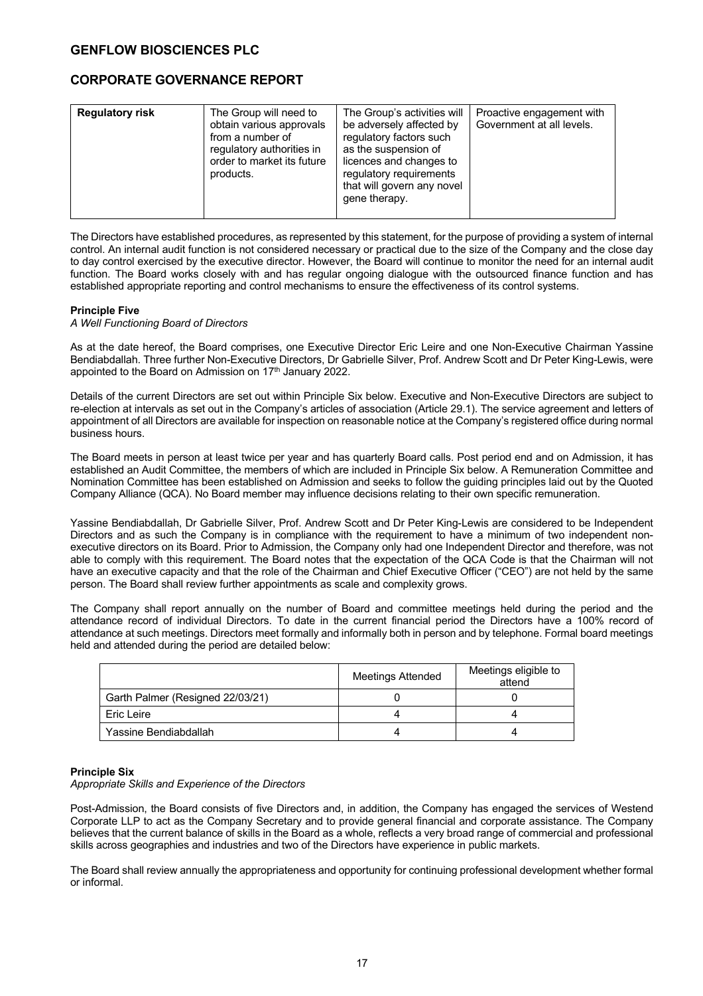## **CORPORATE GOVERNANCE REPORT**

| The Group's activities will<br><b>Regulatory risk</b><br>The Group will need to<br>Proactive engagement with<br>be adversely affected by<br>Government at all levels.<br>obtain various approvals<br>regulatory factors such<br>from a number of<br>as the suspension of<br>regulatory authorities in<br>order to market its future<br>licences and changes to<br>regulatory requirements<br>products.<br>that will govern any novel<br>gene therapy. |  |
|-------------------------------------------------------------------------------------------------------------------------------------------------------------------------------------------------------------------------------------------------------------------------------------------------------------------------------------------------------------------------------------------------------------------------------------------------------|--|
|-------------------------------------------------------------------------------------------------------------------------------------------------------------------------------------------------------------------------------------------------------------------------------------------------------------------------------------------------------------------------------------------------------------------------------------------------------|--|

The Directors have established procedures, as represented by this statement, for the purpose of providing a system of internal control. An internal audit function is not considered necessary or practical due to the size of the Company and the close day to day control exercised by the executive director. However, the Board will continue to monitor the need for an internal audit function. The Board works closely with and has regular ongoing dialogue with the outsourced finance function and has established appropriate reporting and control mechanisms to ensure the effectiveness of its control systems.

### **Principle Five**

### *A Well Functioning Board of Directors*

As at the date hereof, the Board comprises, one Executive Director Eric Leire and one Non-Executive Chairman Yassine Bendiabdallah. Three further Non-Executive Directors, Dr Gabrielle Silver, Prof. Andrew Scott and Dr Peter King-Lewis, were appointed to the Board on Admission on 17<sup>th</sup> January 2022.

Details of the current Directors are set out within Principle Six below. Executive and Non-Executive Directors are subject to re-election at intervals as set out in the Company's articles of association (Article 29.1). The service agreement and letters of appointment of all Directors are available for inspection on reasonable notice at the Company's registered office during normal business hours.

The Board meets in person at least twice per year and has quarterly Board calls. Post period end and on Admission, it has established an Audit Committee, the members of which are included in Principle Six below. A Remuneration Committee and Nomination Committee has been established on Admission and seeks to follow the guiding principles laid out by the Quoted Company Alliance (QCA). No Board member may influence decisions relating to their own specific remuneration.

Yassine Bendiabdallah, Dr Gabrielle Silver, Prof. Andrew Scott and Dr Peter King-Lewis are considered to be Independent Directors and as such the Company is in compliance with the requirement to have a minimum of two independent nonexecutive directors on its Board. Prior to Admission, the Company only had one Independent Director and therefore, was not able to comply with this requirement. The Board notes that the expectation of the QCA Code is that the Chairman will not have an executive capacity and that the role of the Chairman and Chief Executive Officer ("CEO") are not held by the same person. The Board shall review further appointments as scale and complexity grows.

The Company shall report annually on the number of Board and committee meetings held during the period and the attendance record of individual Directors. To date in the current financial period the Directors have a 100% record of attendance at such meetings. Directors meet formally and informally both in person and by telephone. Formal board meetings held and attended during the period are detailed below:

|                                  | <b>Meetings Attended</b> |  |
|----------------------------------|--------------------------|--|
| Garth Palmer (Resigned 22/03/21) |                          |  |
| Eric Leire                       |                          |  |
| Yassine Bendiabdallah            |                          |  |

### **Principle Six**

### *Appropriate Skills and Experience of the Directors*

Post-Admission, the Board consists of five Directors and, in addition, the Company has engaged the services of Westend Corporate LLP to act as the Company Secretary and to provide general financial and corporate assistance. The Company believes that the current balance of skills in the Board as a whole, reflects a very broad range of commercial and professional skills across geographies and industries and two of the Directors have experience in public markets.

The Board shall review annually the appropriateness and opportunity for continuing professional development whether formal or informal.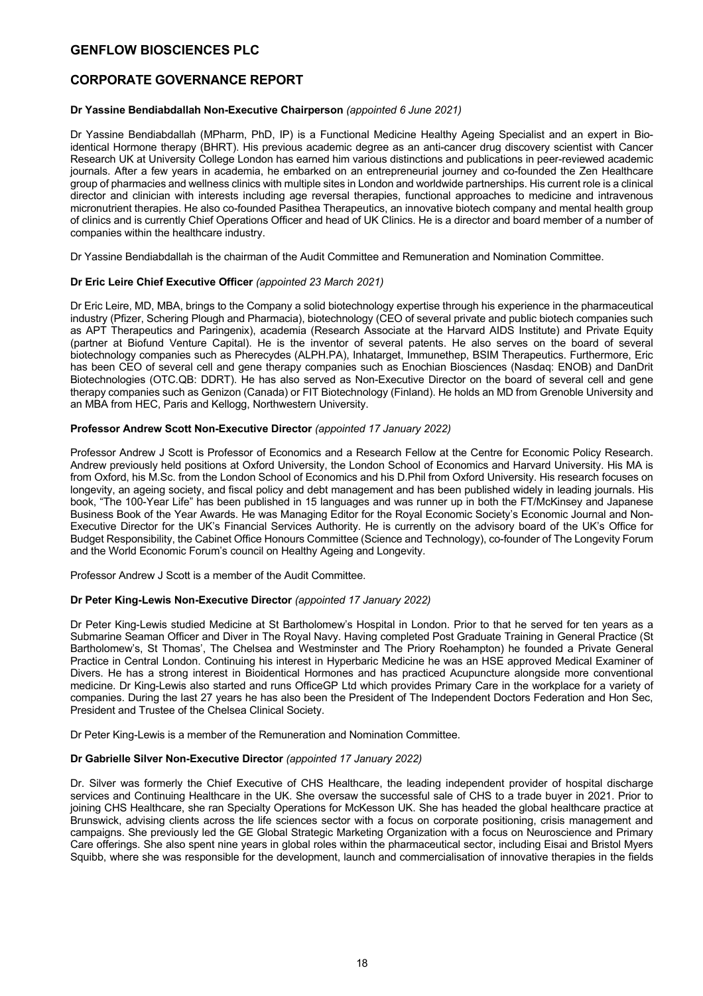## **CORPORATE GOVERNANCE REPORT**

### **Dr Yassine Bendiabdallah Non-Executive Chairperson** *(appointed 6 June 2021)*

Dr Yassine Bendiabdallah (MPharm, PhD, IP) is a Functional Medicine Healthy Ageing Specialist and an expert in Bioidentical Hormone therapy (BHRT). His previous academic degree as an anti-cancer drug discovery scientist with Cancer Research UK at University College London has earned him various distinctions and publications in peer-reviewed academic journals. After a few years in academia, he embarked on an entrepreneurial journey and co-founded the Zen Healthcare group of pharmacies and wellness clinics with multiple sites in London and worldwide partnerships. His current role is a clinical director and clinician with interests including age reversal therapies, functional approaches to medicine and intravenous micronutrient therapies. He also co-founded Pasithea Therapeutics, an innovative biotech company and mental health group of clinics and is currently Chief Operations Officer and head of UK Clinics. He is a director and board member of a number of companies within the healthcare industry.

Dr Yassine Bendiabdallah is the chairman of the Audit Committee and Remuneration and Nomination Committee.

### **Dr Eric Leire Chief Executive Officer** *(appointed 23 March 2021)*

Dr Eric Leire, MD, MBA, brings to the Company a solid biotechnology expertise through his experience in the pharmaceutical industry (Pfizer, Schering Plough and Pharmacia), biotechnology (CEO of several private and public biotech companies such as APT Therapeutics and Paringenix), academia (Research Associate at the Harvard AIDS Institute) and Private Equity (partner at Biofund Venture Capital). He is the inventor of several patents. He also serves on the board of several biotechnology companies such as Pherecydes (ALPH.PA), Inhatarget, Immunethep, BSIM Therapeutics. Furthermore, Eric has been CEO of several cell and gene therapy companies such as Enochian Biosciences (Nasdaq: ENOB) and DanDrit Biotechnologies (OTC.QB: DDRT). He has also served as Non-Executive Director on the board of several cell and gene therapy companies such as Genizon (Canada) or FIT Biotechnology (Finland). He holds an MD from Grenoble University and an MBA from HEC, Paris and Kellogg, Northwestern University.

### **Professor Andrew Scott Non-Executive Director** *(appointed 17 January 2022)*

Professor Andrew J Scott is Professor of Economics and a Research Fellow at the Centre for Economic Policy Research. Andrew previously held positions at Oxford University, the London School of Economics and Harvard University. His MA is from Oxford, his M.Sc. from the London School of Economics and his D.Phil from Oxford University. His research focuses on longevity, an ageing society, and fiscal policy and debt management and has been published widely in leading journals. His book, "The 100-Year Life" has been published in 15 languages and was runner up in both the FT/McKinsey and Japanese Business Book of the Year Awards. He was Managing Editor for the Royal Economic Society's Economic Journal and Non-Executive Director for the UK's Financial Services Authority. He is currently on the advisory board of the UK's Office for Budget Responsibility, the Cabinet Office Honours Committee (Science and Technology), co-founder of The Longevity Forum and the World Economic Forum's council on Healthy Ageing and Longevity.

Professor Andrew J Scott is a member of the Audit Committee.

### **Dr Peter King-Lewis Non-Executive Director** *(appointed 17 January 2022)*

Dr Peter King-Lewis studied Medicine at St Bartholomew's Hospital in London. Prior to that he served for ten years as a Submarine Seaman Officer and Diver in The Royal Navy. Having completed Post Graduate Training in General Practice (St Bartholomew's, St Thomas', The Chelsea and Westminster and The Priory Roehampton) he founded a Private General Practice in Central London. Continuing his interest in Hyperbaric Medicine he was an HSE approved Medical Examiner of Divers. He has a strong interest in Bioidentical Hormones and has practiced Acupuncture alongside more conventional medicine. Dr King-Lewis also started and runs OfficeGP Ltd which provides Primary Care in the workplace for a variety of companies. During the last 27 years he has also been the President of The Independent Doctors Federation and Hon Sec, President and Trustee of the Chelsea Clinical Society.

Dr Peter King-Lewis is a member of the Remuneration and Nomination Committee.

### **Dr Gabrielle Silver Non-Executive Director** *(appointed 17 January 2022)*

Dr. Silver was formerly the Chief Executive of CHS Healthcare, the leading independent provider of hospital discharge services and Continuing Healthcare in the UK. She oversaw the successful sale of CHS to a trade buyer in 2021. Prior to joining CHS Healthcare, she ran Specialty Operations for McKesson UK. She has headed the global healthcare practice at Brunswick, advising clients across the life sciences sector with a focus on corporate positioning, crisis management and campaigns. She previously led the GE Global Strategic Marketing Organization with a focus on Neuroscience and Primary Care offerings. She also spent nine years in global roles within the pharmaceutical sector, including Eisai and Bristol Myers Squibb, where she was responsible for the development, launch and commercialisation of innovative therapies in the fields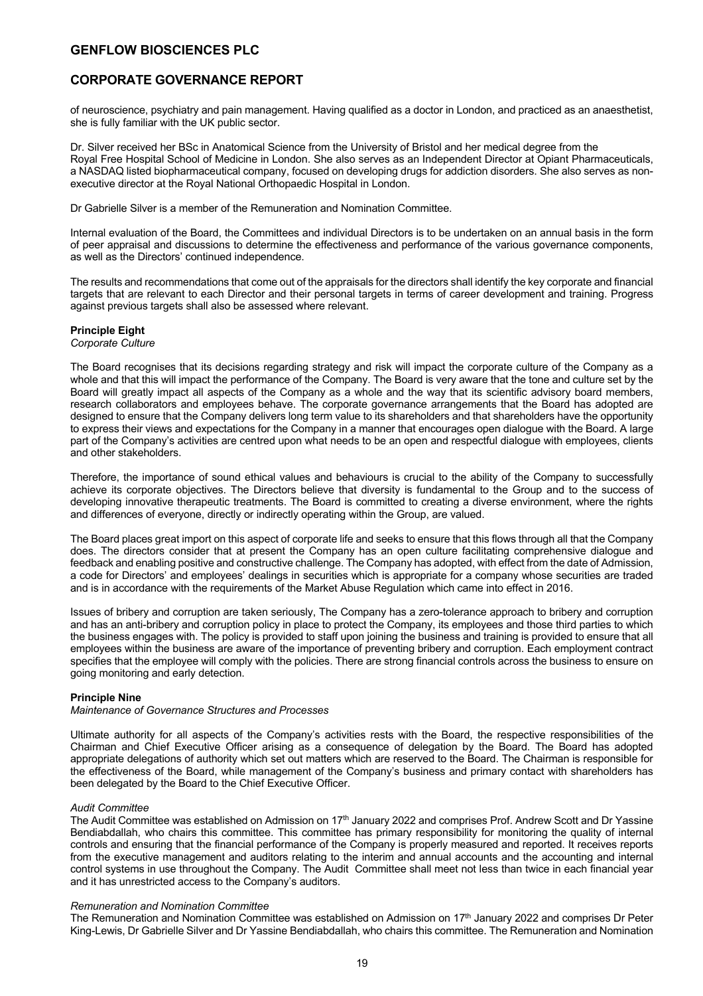## **CORPORATE GOVERNANCE REPORT**

of neuroscience, psychiatry and pain management. Having qualified as a doctor in London, and practiced as an anaesthetist, she is fully familiar with the UK public sector.

Dr. Silver received her BSc in Anatomical Science from the University of Bristol and her medical degree from the Royal Free Hospital School of Medicine in London. She also serves as an Independent Director at Opiant Pharmaceuticals, a NASDAQ listed biopharmaceutical company, focused on developing drugs for addiction disorders. She also serves as nonexecutive director at the Royal National Orthopaedic Hospital in London.

Dr Gabrielle Silver is a member of the Remuneration and Nomination Committee.

Internal evaluation of the Board, the Committees and individual Directors is to be undertaken on an annual basis in the form of peer appraisal and discussions to determine the effectiveness and performance of the various governance components, as well as the Directors' continued independence.

The results and recommendations that come out of the appraisals for the directors shall identify the key corporate and financial targets that are relevant to each Director and their personal targets in terms of career development and training. Progress against previous targets shall also be assessed where relevant.

### **Principle Eight**

### *Corporate Culture*

The Board recognises that its decisions regarding strategy and risk will impact the corporate culture of the Company as a whole and that this will impact the performance of the Company. The Board is very aware that the tone and culture set by the Board will greatly impact all aspects of the Company as a whole and the way that its scientific advisory board members, research collaborators and employees behave. The corporate governance arrangements that the Board has adopted are designed to ensure that the Company delivers long term value to its shareholders and that shareholders have the opportunity to express their views and expectations for the Company in a manner that encourages open dialogue with the Board. A large part of the Company's activities are centred upon what needs to be an open and respectful dialogue with employees, clients and other stakeholders.

Therefore, the importance of sound ethical values and behaviours is crucial to the ability of the Company to successfully achieve its corporate objectives. The Directors believe that diversity is fundamental to the Group and to the success of developing innovative therapeutic treatments. The Board is committed to creating a diverse environment, where the rights and differences of everyone, directly or indirectly operating within the Group, are valued.

The Board places great import on this aspect of corporate life and seeks to ensure that this flows through all that the Company does. The directors consider that at present the Company has an open culture facilitating comprehensive dialogue and feedback and enabling positive and constructive challenge. The Company has adopted, with effect from the date of Admission, a code for Directors' and employees' dealings in securities which is appropriate for a company whose securities are traded and is in accordance with the requirements of the Market Abuse Regulation which came into effect in 2016.

Issues of bribery and corruption are taken seriously, The Company has a zero-tolerance approach to bribery and corruption and has an anti-bribery and corruption policy in place to protect the Company, its employees and those third parties to which the business engages with. The policy is provided to staff upon joining the business and training is provided to ensure that all employees within the business are aware of the importance of preventing bribery and corruption. Each employment contract specifies that the employee will comply with the policies. There are strong financial controls across the business to ensure on going monitoring and early detection.

### **Principle Nine**

### *Maintenance of Governance Structures and Processes*

Ultimate authority for all aspects of the Company's activities rests with the Board, the respective responsibilities of the Chairman and Chief Executive Officer arising as a consequence of delegation by the Board. The Board has adopted appropriate delegations of authority which set out matters which are reserved to the Board. The Chairman is responsible for the effectiveness of the Board, while management of the Company's business and primary contact with shareholders has been delegated by the Board to the Chief Executive Officer.

### *Audit Committee*

The Audit Committee was established on Admission on 17<sup>th</sup> January 2022 and comprises Prof. Andrew Scott and Dr Yassine Bendiabdallah, who chairs this committee. This committee has primary responsibility for monitoring the quality of internal controls and ensuring that the financial performance of the Company is properly measured and reported. It receives reports from the executive management and auditors relating to the interim and annual accounts and the accounting and internal control systems in use throughout the Company. The Audit Committee shall meet not less than twice in each financial year and it has unrestricted access to the Company's auditors.

#### *Remuneration and Nomination Committee*

The Remuneration and Nomination Committee was established on Admission on 17<sup>th</sup> January 2022 and comprises Dr Peter King-Lewis, Dr Gabrielle Silver and Dr Yassine Bendiabdallah, who chairs this committee. The Remuneration and Nomination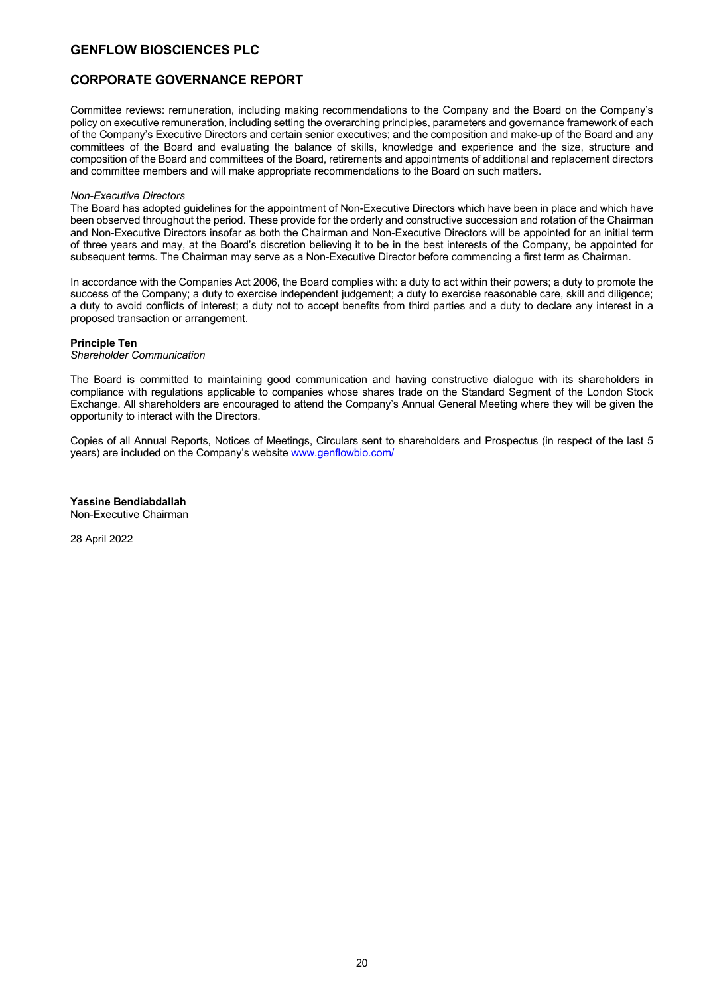## **CORPORATE GOVERNANCE REPORT**

Committee reviews: remuneration, including making recommendations to the Company and the Board on the Company's policy on executive remuneration, including setting the overarching principles, parameters and governance framework of each of the Company's Executive Directors and certain senior executives; and the composition and make-up of the Board and any committees of the Board and evaluating the balance of skills, knowledge and experience and the size, structure and composition of the Board and committees of the Board, retirements and appointments of additional and replacement directors and committee members and will make appropriate recommendations to the Board on such matters.

#### *Non-Executive Directors*

The Board has adopted guidelines for the appointment of Non-Executive Directors which have been in place and which have been observed throughout the period. These provide for the orderly and constructive succession and rotation of the Chairman and Non-Executive Directors insofar as both the Chairman and Non-Executive Directors will be appointed for an initial term of three years and may, at the Board's discretion believing it to be in the best interests of the Company, be appointed for subsequent terms. The Chairman may serve as a Non-Executive Director before commencing a first term as Chairman.

In accordance with the Companies Act 2006, the Board complies with: a duty to act within their powers; a duty to promote the success of the Company; a duty to exercise independent judgement; a duty to exercise reasonable care, skill and diligence; a duty to avoid conflicts of interest; a duty not to accept benefits from third parties and a duty to declare any interest in a proposed transaction or arrangement.

### **Principle Ten**

#### *Shareholder Communication*

The Board is committed to maintaining good communication and having constructive dialogue with its shareholders in compliance with regulations applicable to companies whose shares trade on the Standard Segment of the London Stock Exchange. All shareholders are encouraged to attend the Company's Annual General Meeting where they will be given the opportunity to interact with the Directors.

Copies of all Annual Reports, Notices of Meetings, Circulars sent to shareholders and Prospectus (in respect of the last 5 years) are included on the Company's website www.genflowbio.com/

**Yassine Bendiabdallah** 

Non-Executive Chairman

28 April 2022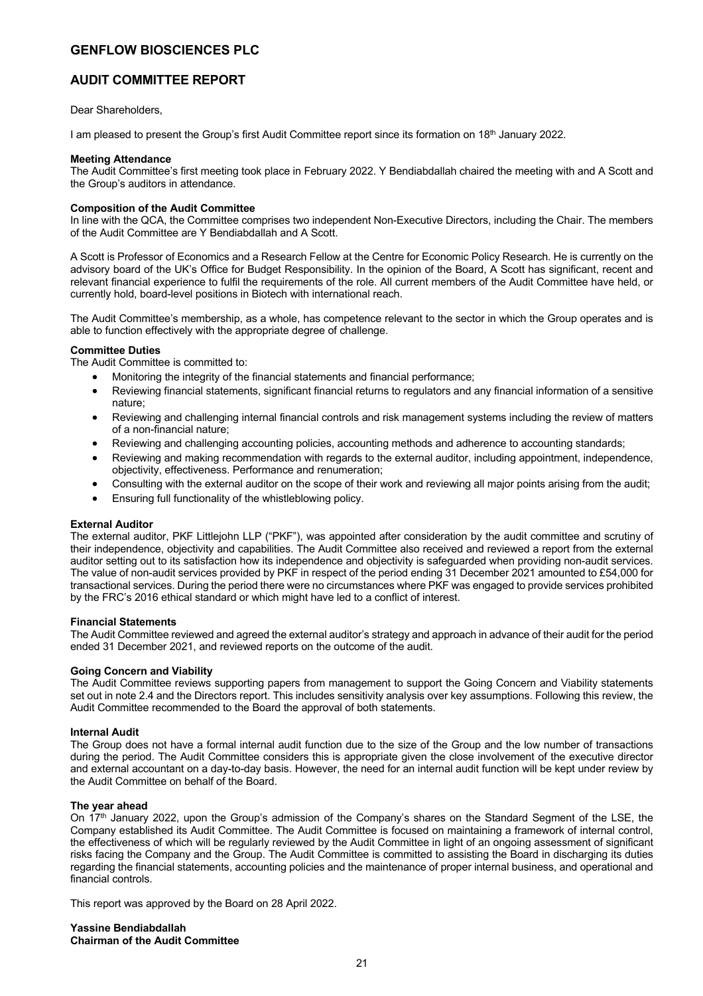## **AUDIT COMMITTEE REPORT**

Dear Shareholders,

I am pleased to present the Group's first Audit Committee report since its formation on 18<sup>th</sup> January 2022.

### **Meeting Attendance**

The Audit Committee's first meeting took place in February 2022. Y Bendiabdallah chaired the meeting with and A Scott and the Group's auditors in attendance.

### **Composition of the Audit Committee**

In line with the QCA, the Committee comprises two independent Non-Executive Directors, including the Chair. The members of the Audit Committee are Y Bendiabdallah and A Scott.

A Scott is Professor of Economics and a Research Fellow at the Centre for Economic Policy Research. He is currently on the advisory board of the UK's Office for Budget Responsibility. In the opinion of the Board, A Scott has significant, recent and relevant financial experience to fulfil the requirements of the role. All current members of the Audit Committee have held, or currently hold, board-level positions in Biotech with international reach.

The Audit Committee's membership, as a whole, has competence relevant to the sector in which the Group operates and is able to function effectively with the appropriate degree of challenge.

### **Committee Duties**

The Audit Committee is committed to:

- Monitoring the integrity of the financial statements and financial performance;
- Reviewing financial statements, significant financial returns to regulators and any financial information of a sensitive nature;
- Reviewing and challenging internal financial controls and risk management systems including the review of matters of a non-financial nature;
- Reviewing and challenging accounting policies, accounting methods and adherence to accounting standards;
- Reviewing and making recommendation with regards to the external auditor, including appointment, independence, objectivity, effectiveness. Performance and renumeration;
- Consulting with the external auditor on the scope of their work and reviewing all major points arising from the audit;
- Ensuring full functionality of the whistleblowing policy.

### **External Auditor**

The external auditor, PKF Littlejohn LLP ("PKF"), was appointed after consideration by the audit committee and scrutiny of their independence, objectivity and capabilities. The Audit Committee also received and reviewed a report from the external auditor setting out to its satisfaction how its independence and objectivity is safeguarded when providing non-audit services. The value of non-audit services provided by PKF in respect of the period ending 31 December 2021 amounted to £54,000 for transactional services. During the period there were no circumstances where PKF was engaged to provide services prohibited by the FRC's 2016 ethical standard or which might have led to a conflict of interest.

#### **Financial Statements**

The Audit Committee reviewed and agreed the external auditor's strategy and approach in advance of their audit for the period ended 31 December 2021, and reviewed reports on the outcome of the audit.

### **Going Concern and Viability**

The Audit Committee reviews supporting papers from management to support the Going Concern and Viability statements set out in note 2.4 and the Directors report. This includes sensitivity analysis over key assumptions. Following this review, the Audit Committee recommended to the Board the approval of both statements.

### **Internal Audit**

The Group does not have a formal internal audit function due to the size of the Group and the low number of transactions during the period. The Audit Committee considers this is appropriate given the close involvement of the executive director and external accountant on a day-to-day basis. However, the need for an internal audit function will be kept under review by the Audit Committee on behalf of the Board.

### **The year ahead**

On 17<sup>th</sup> January 2022, upon the Group's admission of the Company's shares on the Standard Segment of the LSE, the Company established its Audit Committee. The Audit Committee is focused on maintaining a framework of internal control, the effectiveness of which will be regularly reviewed by the Audit Committee in light of an ongoing assessment of significant risks facing the Company and the Group. The Audit Committee is committed to assisting the Board in discharging its duties regarding the financial statements, accounting policies and the maintenance of proper internal business, and operational and financial controls.

This report was approved by the Board on 28 April 2022.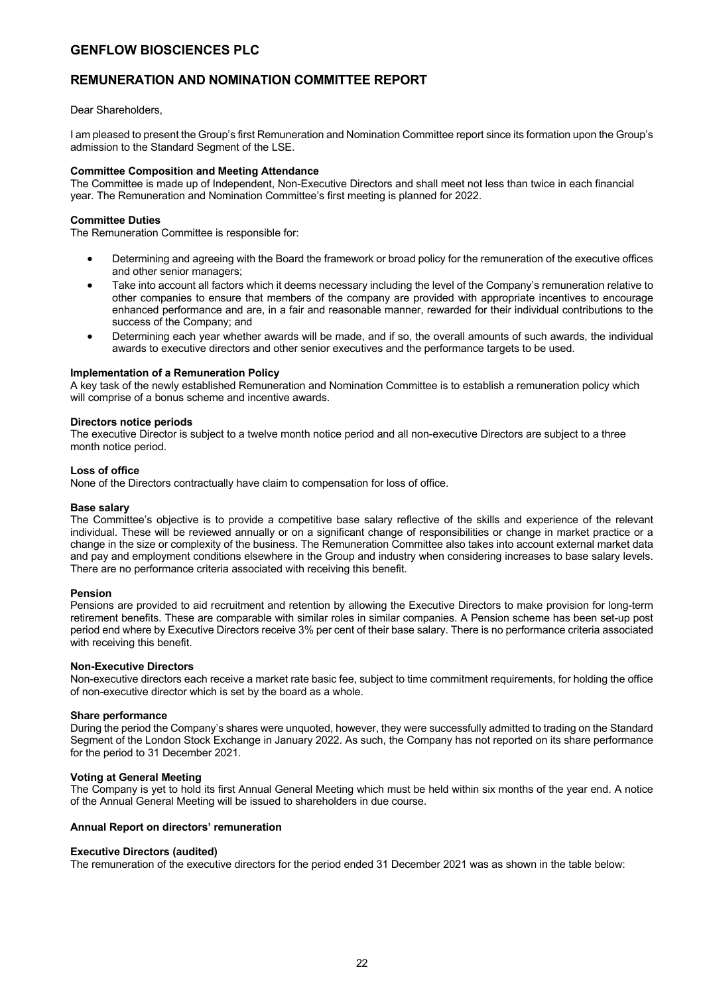### **REMUNERATION AND NOMINATION COMMITTEE REPORT**

### Dear Shareholders,

I am pleased to present the Group's first Remuneration and Nomination Committee report since its formation upon the Group's admission to the Standard Segment of the LSE.

### **Committee Composition and Meeting Attendance**

The Committee is made up of Independent, Non-Executive Directors and shall meet not less than twice in each financial year. The Remuneration and Nomination Committee's first meeting is planned for 2022.

### **Committee Duties**

The Remuneration Committee is responsible for:

- Determining and agreeing with the Board the framework or broad policy for the remuneration of the executive offices and other senior managers;
- Take into account all factors which it deems necessary including the level of the Company's remuneration relative to other companies to ensure that members of the company are provided with appropriate incentives to encourage enhanced performance and are, in a fair and reasonable manner, rewarded for their individual contributions to the success of the Company; and
- Determining each year whether awards will be made, and if so, the overall amounts of such awards, the individual awards to executive directors and other senior executives and the performance targets to be used.

### **Implementation of a Remuneration Policy**

A key task of the newly established Remuneration and Nomination Committee is to establish a remuneration policy which will comprise of a bonus scheme and incentive awards.

### **Directors notice periods**

The executive Director is subject to a twelve month notice period and all non-executive Directors are subject to a three month notice period.

### **Loss of office**

None of the Directors contractually have claim to compensation for loss of office.

### **Base salary**

The Committee's objective is to provide a competitive base salary reflective of the skills and experience of the relevant individual. These will be reviewed annually or on a significant change of responsibilities or change in market practice or a change in the size or complexity of the business. The Remuneration Committee also takes into account external market data and pay and employment conditions elsewhere in the Group and industry when considering increases to base salary levels. There are no performance criteria associated with receiving this benefit.

### **Pension**

Pensions are provided to aid recruitment and retention by allowing the Executive Directors to make provision for long-term retirement benefits. These are comparable with similar roles in similar companies. A Pension scheme has been set-up post period end where by Executive Directors receive 3% per cent of their base salary. There is no performance criteria associated with receiving this benefit.

### **Non-Executive Directors**

Non-executive directors each receive a market rate basic fee, subject to time commitment requirements, for holding the office of non-executive director which is set by the board as a whole.

### **Share performance**

During the period the Company's shares were unquoted, however, they were successfully admitted to trading on the Standard Segment of the London Stock Exchange in January 2022. As such, the Company has not reported on its share performance for the period to 31 December 2021.

### **Voting at General Meeting**

The Company is yet to hold its first Annual General Meeting which must be held within six months of the year end. A notice of the Annual General Meeting will be issued to shareholders in due course.

### **Annual Report on directors' remuneration**

#### **Executive Directors (audited)**

The remuneration of the executive directors for the period ended 31 December 2021 was as shown in the table below: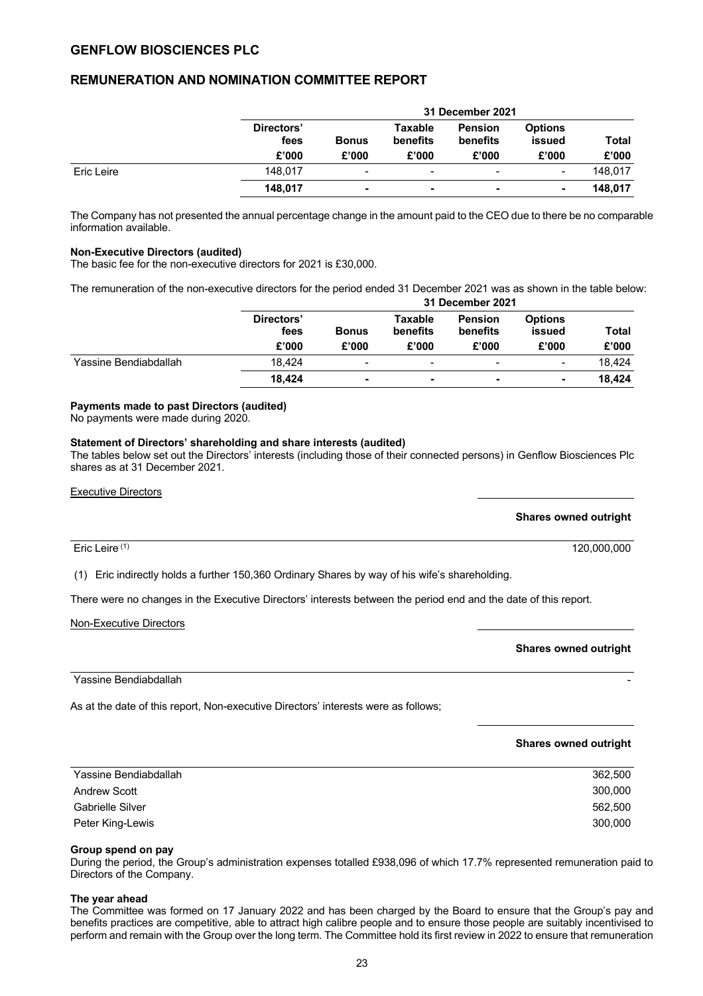### **REMUNERATION AND NOMINATION COMMITTEE REPORT**

|            |                             |                       |                              | 31 December 2021                           |                                   |                |
|------------|-----------------------------|-----------------------|------------------------------|--------------------------------------------|-----------------------------------|----------------|
|            | Directors'<br>fees<br>£'000 | <b>Bonus</b><br>£'000 | Taxable<br>benefits<br>£'000 | <b>Pension</b><br><b>benefits</b><br>£'000 | <b>Options</b><br>issued<br>£'000 | Total<br>£'000 |
| Eric Leire | 148.017                     | -                     | $\overline{\phantom{a}}$     | ٠                                          | -                                 | 148.017        |
|            | 148.017                     |                       | $\blacksquare$               |                                            |                                   | 148.017        |

The Company has not presented the annual percentage change in the amount paid to the CEO due to there be no comparable information available.

### **Non-Executive Directors (audited)**

The basic fee for the non-executive directors for 2021 is £30,000.

The remuneration of the non-executive directors for the period ended 31 December 2021 was as shown in the table below: **31 December 2021**

|                       |                             |                          |                          | .                          |                          |              |
|-----------------------|-----------------------------|--------------------------|--------------------------|----------------------------|--------------------------|--------------|
|                       | Directors'<br>fees<br>£'000 | <b>Bonus</b>             | Taxable<br>benefits      | <b>Pension</b><br>benefits | <b>Options</b><br>issued | <b>Total</b> |
|                       |                             | £'000                    | £'000                    | £'000                      | £'000                    | £'000        |
| Yassine Bendiabdallah | 18.424                      | $\overline{\phantom{a}}$ | $\overline{\phantom{0}}$ | $\overline{\phantom{0}}$   | $\overline{\phantom{a}}$ | 18.424       |
|                       | 18.424                      | ۰                        | $\blacksquare$           |                            | ۰                        | 18.424       |

### **Payments made to past Directors (audited)**

No payments were made during 2020.

### **Statement of Directors' shareholding and share interests (audited)**

The tables below set out the Directors' interests (including those of their connected persons) in Genflow Biosciences Plc shares as at 31 December 2021.

#### Executive Directors

### **Shares owned outright**

 $\blacksquare$  Eric Leire  $^{(1)}$  120,000,000

(1) Eric indirectly holds a further 150,360 Ordinary Shares by way of his wife's shareholding.

There were no changes in the Executive Directors' interests between the period end and the date of this report.

### Non-Executive Directors

### **Shares owned outright**

Yassine Bendiabdallah

As at the date of this report, Non-executive Directors' interests were as follows;

### **Shares owned outright**

| Yassine Bendiabdallah   | 362,500 |
|-------------------------|---------|
| <b>Andrew Scott</b>     | 300,000 |
| <b>Gabrielle Silver</b> | 562,500 |
| Peter King-Lewis        | 300,000 |
|                         |         |

### **Group spend on pay**

During the period, the Group's administration expenses totalled £938,096 of which 17.7% represented remuneration paid to Directors of the Company.

### **The year ahead**

The Committee was formed on 17 January 2022 and has been charged by the Board to ensure that the Group's pay and benefits practices are competitive, able to attract high calibre people and to ensure those people are suitably incentivised to perform and remain with the Group over the long term. The Committee hold its first review in 2022 to ensure that remuneration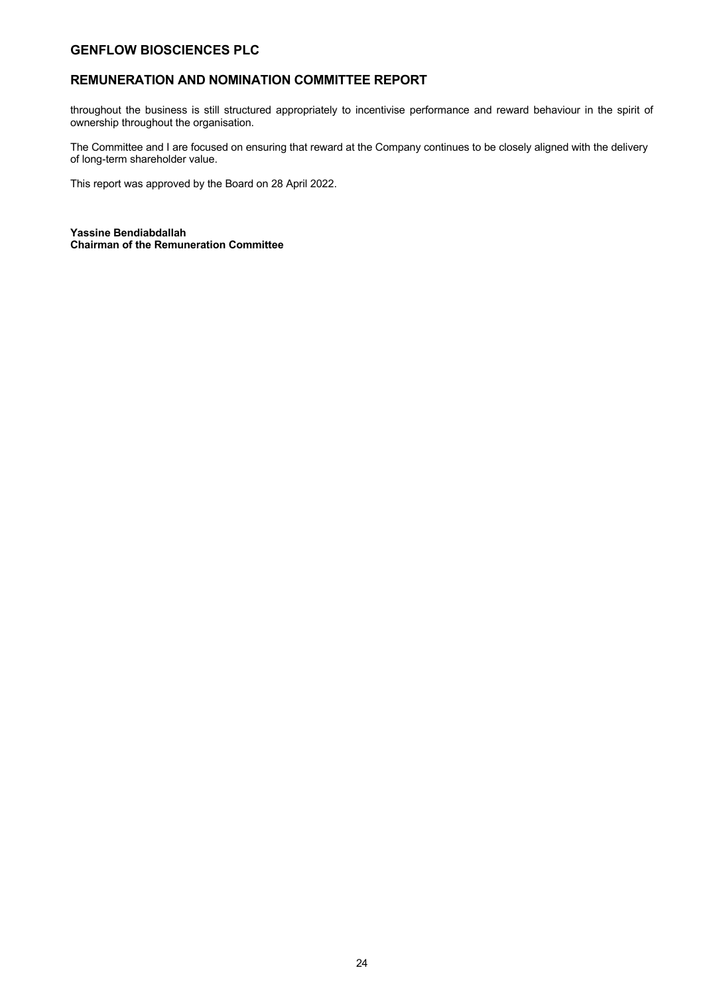## **REMUNERATION AND NOMINATION COMMITTEE REPORT**

throughout the business is still structured appropriately to incentivise performance and reward behaviour in the spirit of ownership throughout the organisation.

The Committee and I are focused on ensuring that reward at the Company continues to be closely aligned with the delivery of long-term shareholder value.

This report was approved by the Board on 28 April 2022.

**Yassine Bendiabdallah Chairman of the Remuneration Committee**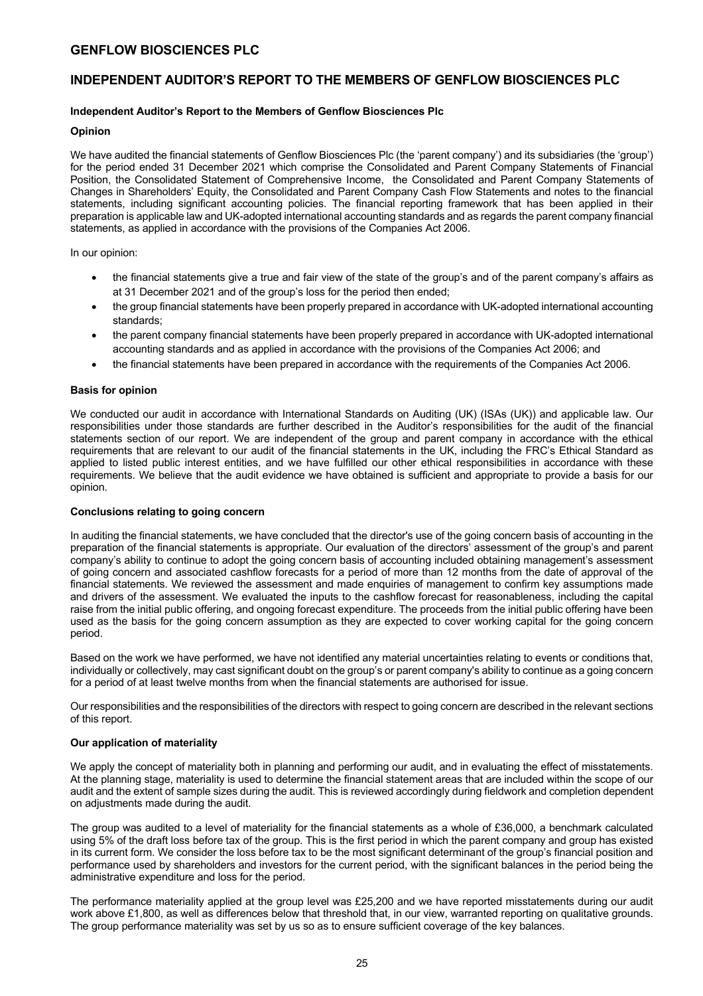### **INDEPENDENT AUDITOR'S REPORT TO THE MEMBERS OF GENFLOW BIOSCIENCES PLC**

### **Independent Auditor's Report to the Members of Genflow Biosciences Plc**

### **Opinion**

We have audited the financial statements of Genflow Biosciences Plc (the 'parent company') and its subsidiaries (the 'group') for the period ended 31 December 2021 which comprise the Consolidated and Parent Company Statements of Financial Position, the Consolidated Statement of Comprehensive Income, the Consolidated and Parent Company Statements of Changes in Shareholders' Equity, the Consolidated and Parent Company Cash Flow Statements and notes to the financial statements, including significant accounting policies. The financial reporting framework that has been applied in their preparation is applicable law and UK-adopted international accounting standards and as regards the parent company financial statements, as applied in accordance with the provisions of the Companies Act 2006.

In our opinion:

- the financial statements give a true and fair view of the state of the group's and of the parent company's affairs as at 31 December 2021 and of the group's loss for the period then ended;
- the group financial statements have been properly prepared in accordance with UK-adopted international accounting standards;
- the parent company financial statements have been properly prepared in accordance with UK-adopted international accounting standards and as applied in accordance with the provisions of the Companies Act 2006; and
- the financial statements have been prepared in accordance with the requirements of the Companies Act 2006.

### **Basis for opinion**

We conducted our audit in accordance with International Standards on Auditing (UK) (ISAs (UK)) and applicable law. Our responsibilities under those standards are further described in the Auditor's responsibilities for the audit of the financial statements section of our report. We are independent of the group and parent company in accordance with the ethical requirements that are relevant to our audit of the financial statements in the UK, including the FRC's Ethical Standard as applied to listed public interest entities, and we have fulfilled our other ethical responsibilities in accordance with these requirements. We believe that the audit evidence we have obtained is sufficient and appropriate to provide a basis for our opinion.

### **Conclusions relating to going concern**

In auditing the financial statements, we have concluded that the director's use of the going concern basis of accounting in the preparation of the financial statements is appropriate. Our evaluation of the directors' assessment of the group's and parent company's ability to continue to adopt the going concern basis of accounting included obtaining management's assessment of going concern and associated cashflow forecasts for a period of more than 12 months from the date of approval of the financial statements. We reviewed the assessment and made enquiries of management to confirm key assumptions made and drivers of the assessment. We evaluated the inputs to the cashflow forecast for reasonableness, including the capital raise from the initial public offering, and ongoing forecast expenditure. The proceeds from the initial public offering have been used as the basis for the going concern assumption as they are expected to cover working capital for the going concern period.

Based on the work we have performed, we have not identified any material uncertainties relating to events or conditions that, individually or collectively, may cast significant doubt on the group's or parent company's ability to continue as a going concern for a period of at least twelve months from when the financial statements are authorised for issue.

Our responsibilities and the responsibilities of the directors with respect to going concern are described in the relevant sections of this report.

### **Our application of materiality**

We apply the concept of materiality both in planning and performing our audit, and in evaluating the effect of misstatements. At the planning stage, materiality is used to determine the financial statement areas that are included within the scope of our audit and the extent of sample sizes during the audit. This is reviewed accordingly during fieldwork and completion dependent on adjustments made during the audit.

The group was audited to a level of materiality for the financial statements as a whole of £36,000, a benchmark calculated using 5% of the draft loss before tax of the group. This is the first period in which the parent company and group has existed in its current form. We consider the loss before tax to be the most significant determinant of the group's financial position and performance used by shareholders and investors for the current period, with the significant balances in the period being the administrative expenditure and loss for the period.

The performance materiality applied at the group level was £25,200 and we have reported misstatements during our audit work above £1,800, as well as differences below that threshold that, in our view, warranted reporting on qualitative grounds. The group performance materiality was set by us so as to ensure sufficient coverage of the key balances.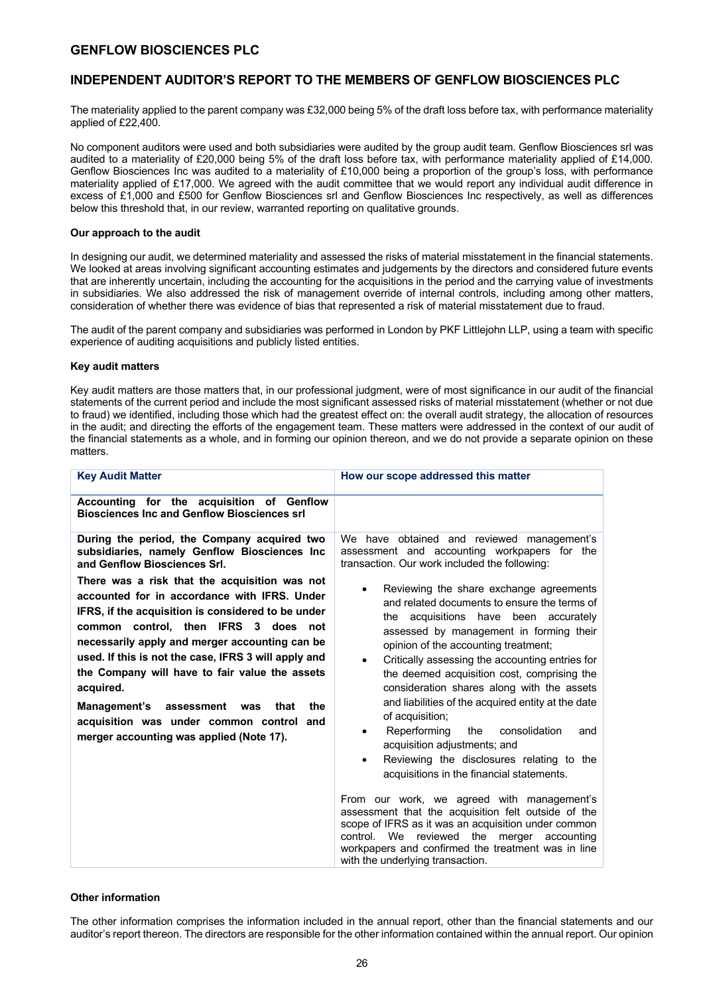## **INDEPENDENT AUDITOR'S REPORT TO THE MEMBERS OF GENFLOW BIOSCIENCES PLC**

The materiality applied to the parent company was £32,000 being 5% of the draft loss before tax, with performance materiality applied of £22,400.

No component auditors were used and both subsidiaries were audited by the group audit team. Genflow Biosciences srl was audited to a materiality of £20,000 being 5% of the draft loss before tax, with performance materiality applied of £14,000. Genflow Biosciences Inc was audited to a materiality of £10,000 being a proportion of the group's loss, with performance materiality applied of £17,000. We agreed with the audit committee that we would report any individual audit difference in excess of £1,000 and £500 for Genflow Biosciences srl and Genflow Biosciences Inc respectively, as well as differences below this threshold that, in our review, warranted reporting on qualitative grounds.

### **Our approach to the audit**

In designing our audit, we determined materiality and assessed the risks of material misstatement in the financial statements. We looked at areas involving significant accounting estimates and judgements by the directors and considered future events that are inherently uncertain, including the accounting for the acquisitions in the period and the carrying value of investments in subsidiaries. We also addressed the risk of management override of internal controls, including among other matters, consideration of whether there was evidence of bias that represented a risk of material misstatement due to fraud.

The audit of the parent company and subsidiaries was performed in London by PKF Littlejohn LLP, using a team with specific experience of auditing acquisitions and publicly listed entities.

### **Key audit matters**

Key audit matters are those matters that, in our professional judgment, were of most significance in our audit of the financial statements of the current period and include the most significant assessed risks of material misstatement (whether or not due to fraud) we identified, including those which had the greatest effect on: the overall audit strategy, the allocation of resources in the audit; and directing the efforts of the engagement team. These matters were addressed in the context of our audit of the financial statements as a whole, and in forming our opinion thereon, and we do not provide a separate opinion on these matters.

| <b>Key Audit Matter</b>                                                                                                                                                                                                                                                                                                                                                                                                                                                                                                                                                                                                                         | How our scope addressed this matter                                                                                                                                                                                                                                                                                                                                                                                                                                                                                                                                                                                                                                                                                                                                                                                                                                                                                                                                                                  |
|-------------------------------------------------------------------------------------------------------------------------------------------------------------------------------------------------------------------------------------------------------------------------------------------------------------------------------------------------------------------------------------------------------------------------------------------------------------------------------------------------------------------------------------------------------------------------------------------------------------------------------------------------|------------------------------------------------------------------------------------------------------------------------------------------------------------------------------------------------------------------------------------------------------------------------------------------------------------------------------------------------------------------------------------------------------------------------------------------------------------------------------------------------------------------------------------------------------------------------------------------------------------------------------------------------------------------------------------------------------------------------------------------------------------------------------------------------------------------------------------------------------------------------------------------------------------------------------------------------------------------------------------------------------|
| Accounting for the acquisition of Genflow<br><b>Biosciences Inc and Genflow Biosciences srl</b>                                                                                                                                                                                                                                                                                                                                                                                                                                                                                                                                                 |                                                                                                                                                                                                                                                                                                                                                                                                                                                                                                                                                                                                                                                                                                                                                                                                                                                                                                                                                                                                      |
| During the period, the Company acquired two<br>subsidiaries, namely Genflow Biosciences Inc<br>and Genflow Biosciences Srl.<br>There was a risk that the acquisition was not<br>accounted for in accordance with IFRS. Under<br>IFRS, if the acquisition is considered to be under<br>common control, then IFRS 3 does not<br>necessarily apply and merger accounting can be<br>used. If this is not the case, IFRS 3 will apply and<br>the Company will have to fair value the assets<br>acquired.<br>the<br>Management's<br>that<br>assessment<br>was<br>acquisition was under common control and<br>merger accounting was applied (Note 17). | We have obtained and reviewed management's<br>assessment and accounting workpapers for the<br>transaction. Our work included the following:<br>Reviewing the share exchange agreements<br>and related documents to ensure the terms of<br>the acquisitions have been accurately<br>assessed by management in forming their<br>opinion of the accounting treatment;<br>Critically assessing the accounting entries for<br>$\bullet$<br>the deemed acquisition cost, comprising the<br>consideration shares along with the assets<br>and liabilities of the acquired entity at the date<br>of acquisition;<br>Reperforming<br>consolidation<br>the<br>and<br>acquisition adjustments; and<br>Reviewing the disclosures relating to the<br>acquisitions in the financial statements.<br>From our work, we agreed with management's<br>assessment that the acquisition felt outside of the<br>scope of IFRS as it was an acquisition under common<br>control. We reviewed<br>the<br>merger<br>accounting |
|                                                                                                                                                                                                                                                                                                                                                                                                                                                                                                                                                                                                                                                 | workpapers and confirmed the treatment was in line<br>with the underlying transaction.                                                                                                                                                                                                                                                                                                                                                                                                                                                                                                                                                                                                                                                                                                                                                                                                                                                                                                               |

### **Other information**

The other information comprises the information included in the annual report, other than the financial statements and our auditor's report thereon. The directors are responsible for the other information contained within the annual report. Our opinion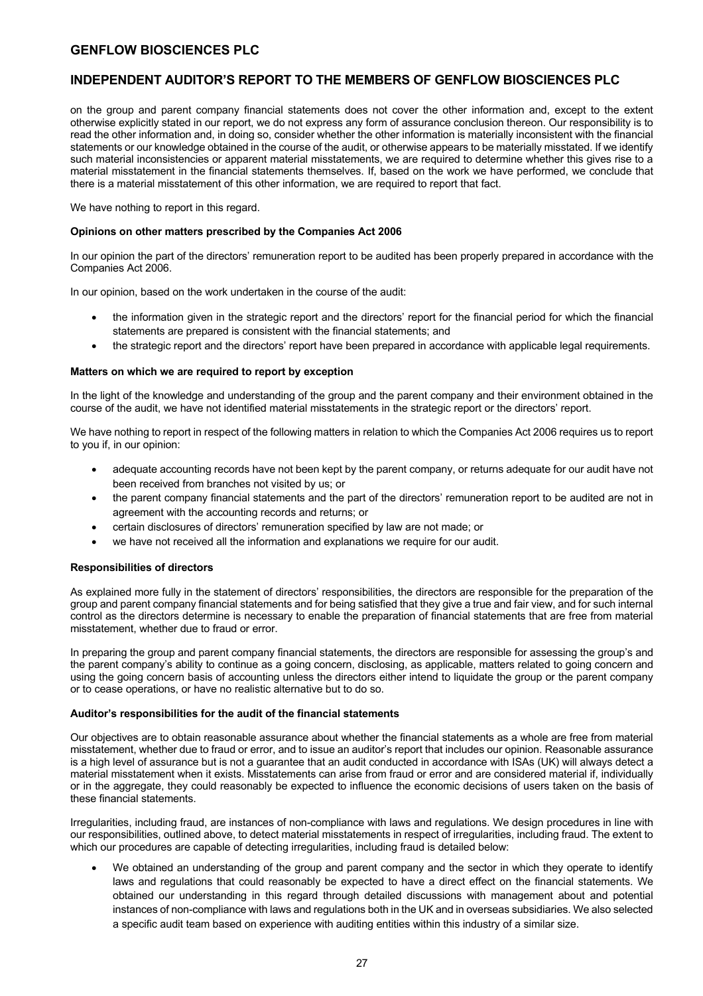### **INDEPENDENT AUDITOR'S REPORT TO THE MEMBERS OF GENFLOW BIOSCIENCES PLC**

on the group and parent company financial statements does not cover the other information and, except to the extent otherwise explicitly stated in our report, we do not express any form of assurance conclusion thereon. Our responsibility is to read the other information and, in doing so, consider whether the other information is materially inconsistent with the financial statements or our knowledge obtained in the course of the audit, or otherwise appears to be materially misstated. If we identify such material inconsistencies or apparent material misstatements, we are required to determine whether this gives rise to a material misstatement in the financial statements themselves. If, based on the work we have performed, we conclude that there is a material misstatement of this other information, we are required to report that fact.

We have nothing to report in this regard.

### **Opinions on other matters prescribed by the Companies Act 2006**

In our opinion the part of the directors' remuneration report to be audited has been properly prepared in accordance with the Companies Act 2006.

In our opinion, based on the work undertaken in the course of the audit:

- the information given in the strategic report and the directors' report for the financial period for which the financial statements are prepared is consistent with the financial statements; and
- the strategic report and the directors' report have been prepared in accordance with applicable legal requirements.

### **Matters on which we are required to report by exception**

In the light of the knowledge and understanding of the group and the parent company and their environment obtained in the course of the audit, we have not identified material misstatements in the strategic report or the directors' report.

We have nothing to report in respect of the following matters in relation to which the Companies Act 2006 requires us to report to you if, in our opinion:

- adequate accounting records have not been kept by the parent company, or returns adequate for our audit have not been received from branches not visited by us; or
- the parent company financial statements and the part of the directors' remuneration report to be audited are not in agreement with the accounting records and returns; or
- certain disclosures of directors' remuneration specified by law are not made; or
- we have not received all the information and explanations we require for our audit.

### **Responsibilities of directors**

As explained more fully in the statement of directors' responsibilities, the directors are responsible for the preparation of the group and parent company financial statements and for being satisfied that they give a true and fair view, and for such internal control as the directors determine is necessary to enable the preparation of financial statements that are free from material misstatement, whether due to fraud or error.

In preparing the group and parent company financial statements, the directors are responsible for assessing the group's and the parent company's ability to continue as a going concern, disclosing, as applicable, matters related to going concern and using the going concern basis of accounting unless the directors either intend to liquidate the group or the parent company or to cease operations, or have no realistic alternative but to do so.

### **Auditor's responsibilities for the audit of the financial statements**

Our objectives are to obtain reasonable assurance about whether the financial statements as a whole are free from material misstatement, whether due to fraud or error, and to issue an auditor's report that includes our opinion. Reasonable assurance is a high level of assurance but is not a guarantee that an audit conducted in accordance with ISAs (UK) will always detect a material misstatement when it exists. Misstatements can arise from fraud or error and are considered material if, individually or in the aggregate, they could reasonably be expected to influence the economic decisions of users taken on the basis of these financial statements.

Irregularities, including fraud, are instances of non-compliance with laws and regulations. We design procedures in line with our responsibilities, outlined above, to detect material misstatements in respect of irregularities, including fraud. The extent to which our procedures are capable of detecting irregularities, including fraud is detailed below:

• We obtained an understanding of the group and parent company and the sector in which they operate to identify laws and regulations that could reasonably be expected to have a direct effect on the financial statements. We obtained our understanding in this regard through detailed discussions with management about and potential instances of non-compliance with laws and regulations both in the UK and in overseas subsidiaries. We also selected a specific audit team based on experience with auditing entities within this industry of a similar size.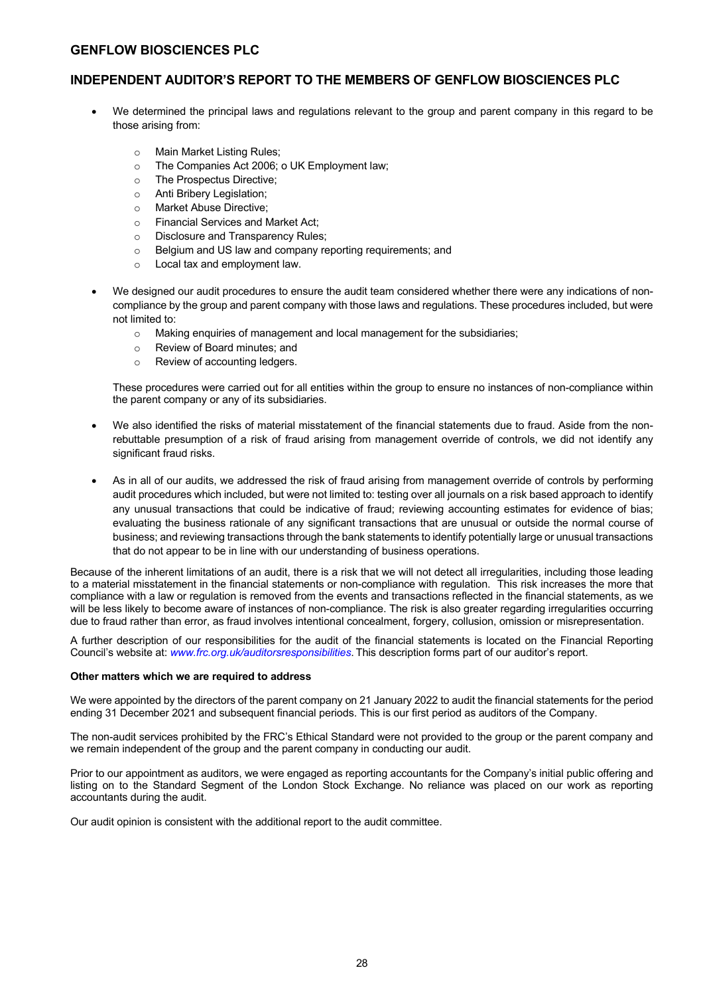## **INDEPENDENT AUDITOR'S REPORT TO THE MEMBERS OF GENFLOW BIOSCIENCES PLC**

- We determined the principal laws and regulations relevant to the group and parent company in this regard to be those arising from:
	- o Main Market Listing Rules;
	- o The Companies Act 2006; o UK Employment law;
	- o The Prospectus Directive;
	- o Anti Bribery Legislation;
	- o Market Abuse Directive;
	- o Financial Services and Market Act;
	- o Disclosure and Transparency Rules;
	- o Belgium and US law and company reporting requirements; and
	- o Local tax and employment law.
- We designed our audit procedures to ensure the audit team considered whether there were any indications of noncompliance by the group and parent company with those laws and regulations. These procedures included, but were not limited to:
	- o Making enquiries of management and local management for the subsidiaries;
	- o Review of Board minutes; and
	- o Review of accounting ledgers.

These procedures were carried out for all entities within the group to ensure no instances of non-compliance within the parent company or any of its subsidiaries.

- We also identified the risks of material misstatement of the financial statements due to fraud. Aside from the nonrebuttable presumption of a risk of fraud arising from management override of controls, we did not identify any significant fraud risks.
- As in all of our audits, we addressed the risk of fraud arising from management override of controls by performing audit procedures which included, but were not limited to: testing over all journals on a risk based approach to identify any unusual transactions that could be indicative of fraud; reviewing accounting estimates for evidence of bias; evaluating the business rationale of any significant transactions that are unusual or outside the normal course of business; and reviewing transactions through the bank statements to identify potentially large or unusual transactions that do not appear to be in line with our understanding of business operations.

Because of the inherent limitations of an audit, there is a risk that we will not detect all irregularities, including those leading to a material misstatement in the financial statements or non-compliance with regulation. This risk increases the more that compliance with a law or regulation is removed from the events and transactions reflected in the financial statements, as we will be less likely to become aware of instances of non-compliance. The risk is also greater regarding irregularities occurring due to fraud rather than error, as fraud involves intentional concealment, forgery, collusion, omission or misrepresentation.

A further description of our responsibilities for the audit of the financial statements is located on the Financial Reporting Council's website at: *www.frc.org.uk/auditorsresponsibilities*. This description forms part of our auditor's report.

### **Other matters which we are required to address**

We were appointed by the directors of the parent company on 21 January 2022 to audit the financial statements for the period ending 31 December 2021 and subsequent financial periods. This is our first period as auditors of the Company.

The non-audit services prohibited by the FRC's Ethical Standard were not provided to the group or the parent company and we remain independent of the group and the parent company in conducting our audit.

Prior to our appointment as auditors, we were engaged as reporting accountants for the Company's initial public offering and listing on to the Standard Segment of the London Stock Exchange. No reliance was placed on our work as reporting accountants during the audit.

Our audit opinion is consistent with the additional report to the audit committee.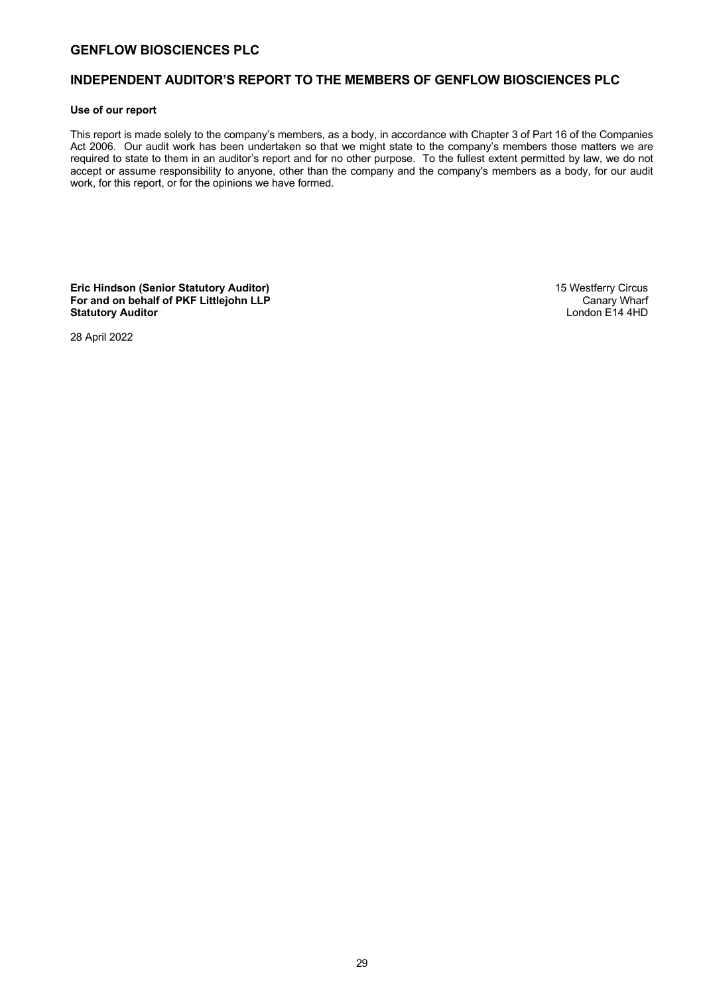### **INDEPENDENT AUDITOR'S REPORT TO THE MEMBERS OF GENFLOW BIOSCIENCES PLC**

### **Use of our report**

This report is made solely to the company's members, as a body, in accordance with Chapter 3 of Part 16 of the Companies Act 2006. Our audit work has been undertaken so that we might state to the company's members those matters we are required to state to them in an auditor's report and for no other purpose. To the fullest extent permitted by law, we do not accept or assume responsibility to anyone, other than the company and the company's members as a body, for our audit work, for this report, or for the opinions we have formed.

**Eric Hindson (Senior Statutory Auditor)** 15 Westferry Circus **For and on behalf of PKF Littlejohn LLP** Canary Wharf Canary Wharf Canary Wharf Canary Wharf Canary Wharf Canary Wharf Canary Wharf Canary Wharf Canary Wharf Canary Wharf Canary Wharf Canary Wharf Canary Wharf Canary Cana **Statutory Auditor** 

28 April 2022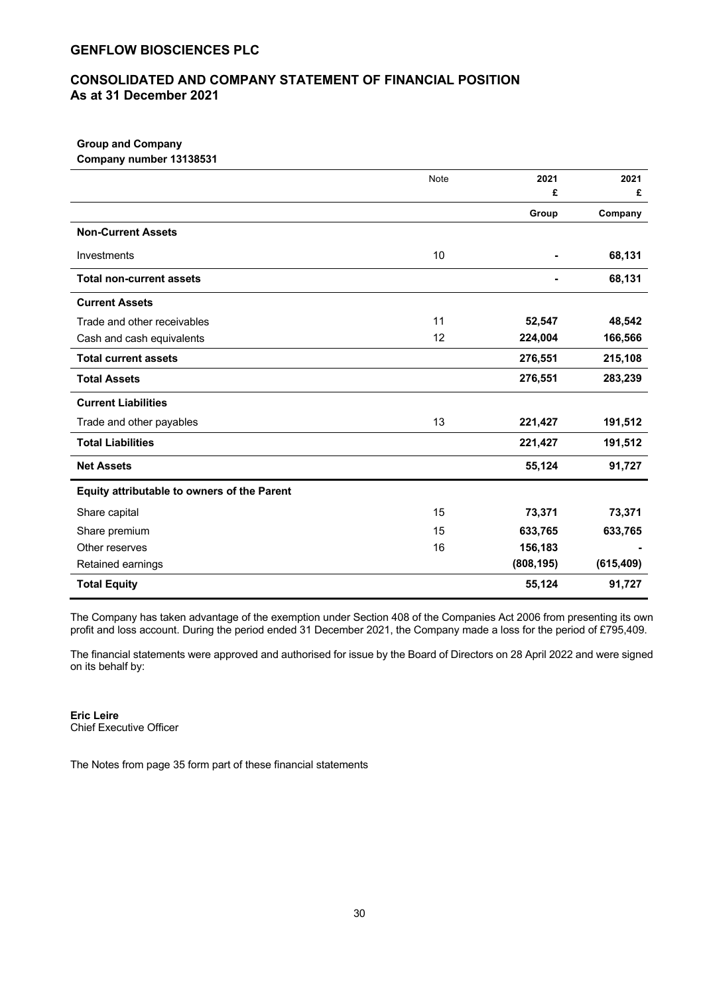## **CONSOLIDATED AND COMPANY STATEMENT OF FINANCIAL POSITION As at 31 December 2021**

#### **Group and Company Company number 13138531**

| <b>COLLIDALLY HULLINGE TO LOODS L</b>       |      |            |            |
|---------------------------------------------|------|------------|------------|
|                                             | Note | 2021       | 2021       |
|                                             |      | £          | £          |
|                                             |      | Group      | Company    |
| <b>Non-Current Assets</b>                   |      |            |            |
| Investments                                 | 10   |            | 68,131     |
| <b>Total non-current assets</b>             |      |            | 68,131     |
| <b>Current Assets</b>                       |      |            |            |
| Trade and other receivables                 | 11   | 52,547     | 48,542     |
| Cash and cash equivalents                   | 12   | 224,004    | 166,566    |
| <b>Total current assets</b>                 |      | 276,551    | 215,108    |
| <b>Total Assets</b>                         |      | 276,551    | 283,239    |
| <b>Current Liabilities</b>                  |      |            |            |
| Trade and other payables                    | 13   | 221,427    | 191,512    |
| <b>Total Liabilities</b>                    |      | 221,427    | 191,512    |
| <b>Net Assets</b>                           |      | 55,124     | 91,727     |
| Equity attributable to owners of the Parent |      |            |            |
| Share capital                               | 15   | 73,371     | 73,371     |
| Share premium                               | 15   | 633,765    | 633,765    |
| Other reserves                              | 16   | 156,183    |            |
| Retained earnings                           |      | (808, 195) | (615, 409) |
| <b>Total Equity</b>                         |      | 55,124     | 91,727     |

The Company has taken advantage of the exemption under Section 408 of the Companies Act 2006 from presenting its own profit and loss account. During the period ended 31 December 2021, the Company made a loss for the period of £795,409.

The financial statements were approved and authorised for issue by the Board of Directors on 28 April 2022 and were signed on its behalf by:

**Eric Leire**  Chief Executive Officer

The Notes from page 35 form part of these financial statements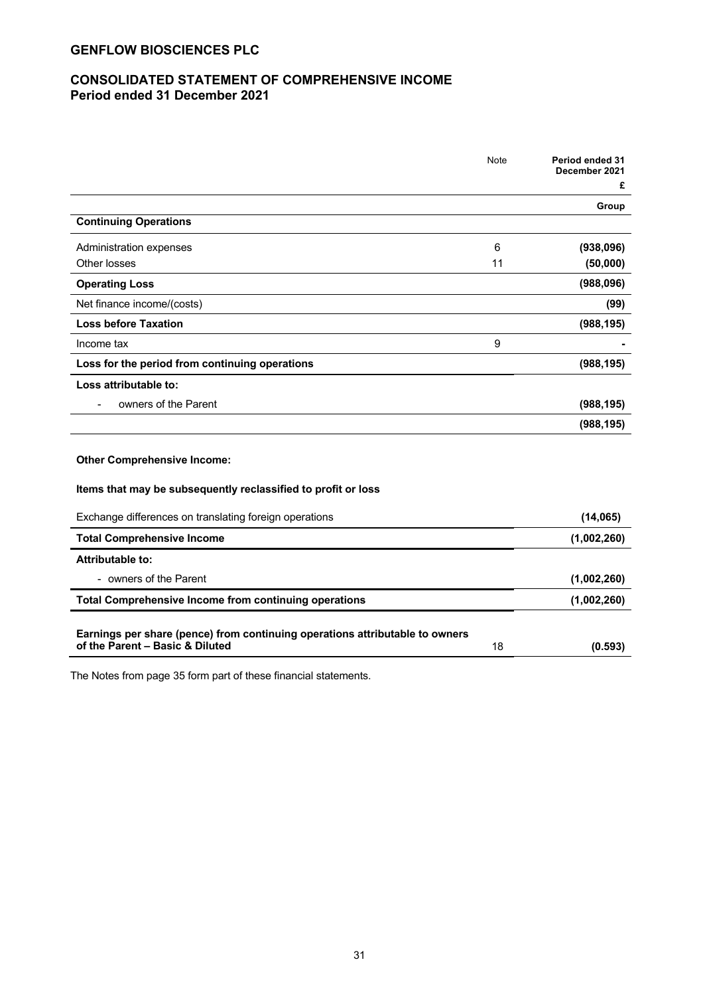## **CONSOLIDATED STATEMENT OF COMPREHENSIVE INCOME Period ended 31 December 2021**

|                                                                                                                 | Note | Period ended 31<br>December 2021 |
|-----------------------------------------------------------------------------------------------------------------|------|----------------------------------|
|                                                                                                                 |      | £                                |
|                                                                                                                 |      | Group                            |
| <b>Continuing Operations</b>                                                                                    |      |                                  |
| Administration expenses                                                                                         | 6    | (938,096)                        |
| Other losses                                                                                                    | 11   | (50,000)                         |
| <b>Operating Loss</b>                                                                                           |      | (988,096)                        |
| Net finance income/(costs)                                                                                      |      | (99)                             |
| <b>Loss before Taxation</b>                                                                                     |      | (988, 195)                       |
| Income tax                                                                                                      | 9    |                                  |
| Loss for the period from continuing operations                                                                  |      | (988, 195)                       |
| Loss attributable to:                                                                                           |      |                                  |
| owners of the Parent                                                                                            |      | (988, 195)                       |
|                                                                                                                 |      | (988, 195)                       |
|                                                                                                                 |      |                                  |
| <b>Other Comprehensive Income:</b>                                                                              |      |                                  |
| Items that may be subsequently reclassified to profit or loss                                                   |      |                                  |
| Exchange differences on translating foreign operations                                                          |      | (14,065)                         |
| <b>Total Comprehensive Income</b>                                                                               |      | (1,002,260)                      |
| <b>Attributable to:</b>                                                                                         |      |                                  |
| - owners of the Parent                                                                                          |      | (1,002,260)                      |
| <b>Total Comprehensive Income from continuing operations</b>                                                    |      | (1,002,260)                      |
|                                                                                                                 |      |                                  |
| Earnings per share (pence) from continuing operations attributable to owners<br>of the Parent - Basic & Diluted | 18   | (0.593)                          |
|                                                                                                                 |      |                                  |

The Notes from page 35 form part of these financial statements.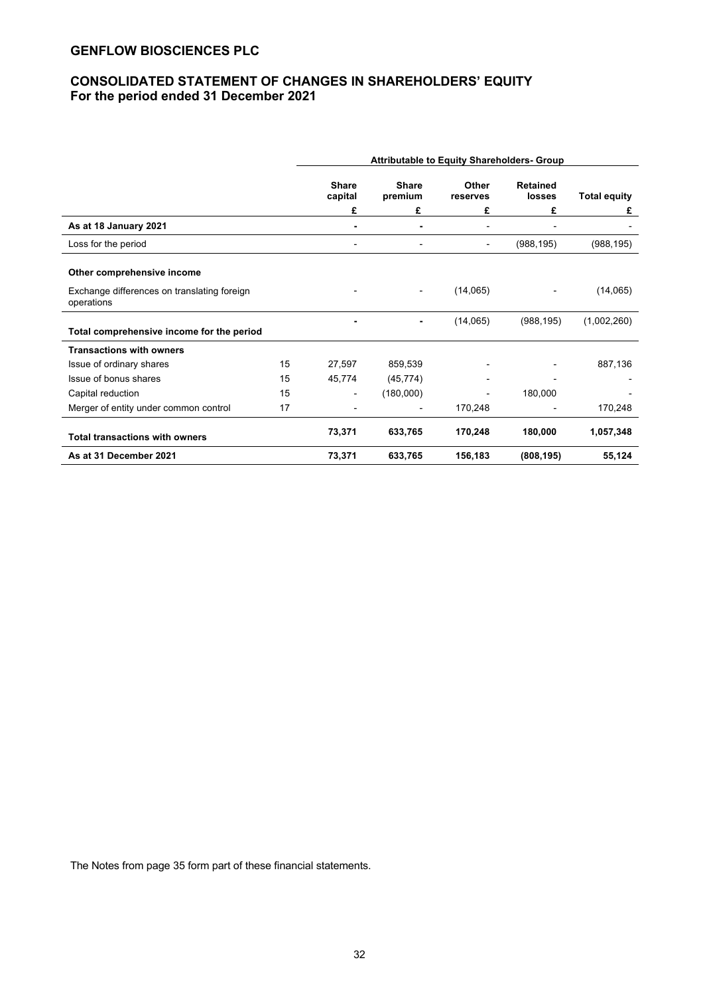## **CONSOLIDATED STATEMENT OF CHANGES IN SHAREHOLDERS' EQUITY For the period ended 31 December 2021**

|                                                           |    | <b>Attributable to Equity Shareholders- Group</b> |                         |                   |                           |                     |
|-----------------------------------------------------------|----|---------------------------------------------------|-------------------------|-------------------|---------------------------|---------------------|
|                                                           |    | <b>Share</b><br>capital                           | <b>Share</b><br>premium | Other<br>reserves | <b>Retained</b><br>losses | <b>Total equity</b> |
|                                                           |    | £                                                 | £                       | £                 | £                         | £                   |
| As at 18 January 2021                                     |    |                                                   |                         |                   |                           |                     |
| Loss for the period                                       |    |                                                   |                         |                   | (988, 195)                | (988, 195)          |
| Other comprehensive income                                |    |                                                   |                         |                   |                           |                     |
| Exchange differences on translating foreign<br>operations |    |                                                   |                         | (14,065)          |                           | (14,065)            |
|                                                           |    |                                                   |                         | (14,065)          | (988, 195)                | (1,002,260)         |
| Total comprehensive income for the period                 |    |                                                   |                         |                   |                           |                     |
| <b>Transactions with owners</b>                           |    |                                                   |                         |                   |                           |                     |
| Issue of ordinary shares                                  | 15 | 27,597                                            | 859,539                 |                   |                           | 887,136             |
| Issue of bonus shares                                     | 15 | 45,774                                            | (45, 774)               |                   |                           |                     |
| Capital reduction                                         | 15 |                                                   | (180,000)               |                   | 180,000                   |                     |
| Merger of entity under common control                     | 17 |                                                   |                         | 170,248           |                           | 170,248             |
| <b>Total transactions with owners</b>                     |    | 73,371                                            | 633,765                 | 170,248           | 180,000                   | 1,057,348           |
| As at 31 December 2021                                    |    | 73,371                                            | 633,765                 | 156,183           | (808, 195)                | 55,124              |

The Notes from page 35 form part of these financial statements.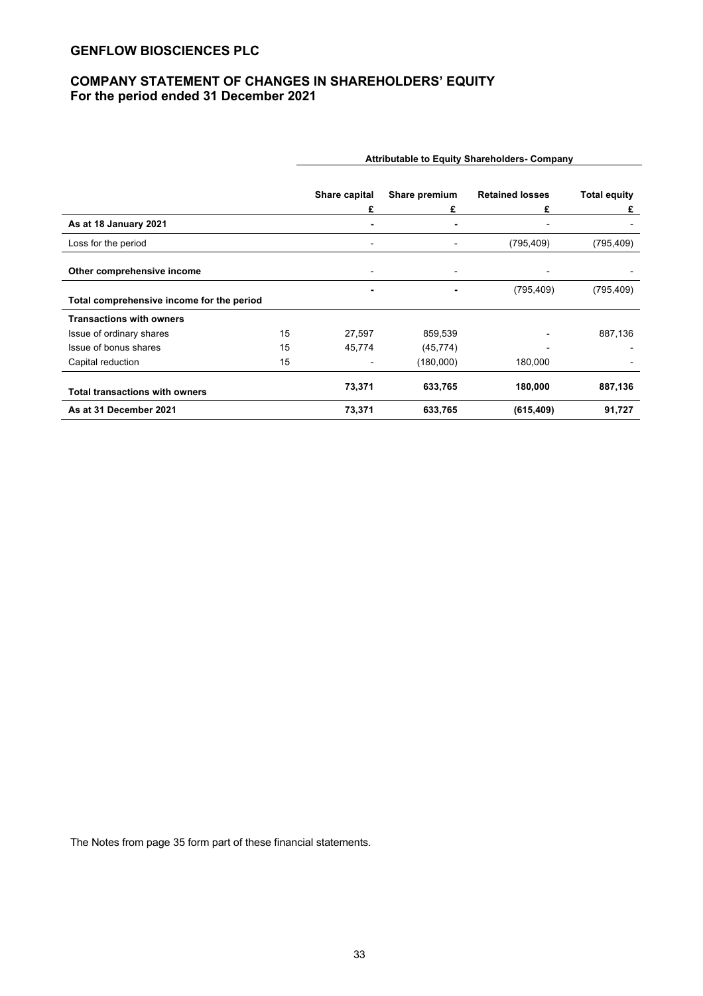## **COMPANY STATEMENT OF CHANGES IN SHAREHOLDERS' EQUITY For the period ended 31 December 2021**

|                                           |    | Share capital            | Share premium | <b>Retained losses</b> | <b>Total equity</b> |
|-------------------------------------------|----|--------------------------|---------------|------------------------|---------------------|
|                                           |    | £                        | £             | £                      | £                   |
| As at 18 January 2021                     |    |                          | ۰             |                        |                     |
| Loss for the period                       |    | $\overline{\phantom{0}}$ | ٠             | (795, 409)             | (795, 409)          |
|                                           |    |                          |               |                        |                     |
| Other comprehensive income                |    |                          |               |                        |                     |
|                                           |    | ۰                        | ۰             | (795, 409)             | (795, 409)          |
| Total comprehensive income for the period |    |                          |               |                        |                     |
| <b>Transactions with owners</b>           |    |                          |               |                        |                     |
| Issue of ordinary shares                  | 15 | 27,597                   | 859,539       |                        | 887,136             |
| Issue of bonus shares                     | 15 | 45,774                   | (45, 774)     |                        |                     |
| Capital reduction                         | 15 |                          | (180,000)     | 180,000                |                     |
| <b>Total transactions with owners</b>     |    | 73,371                   | 633,765       | 180,000                | 887,136             |
| As at 31 December 2021                    |    | 73,371                   | 633,765       | (615, 409)             | 91,727              |

**Attributable to Equity Shareholders- Company**

The Notes from page 35 form part of these financial statements.

33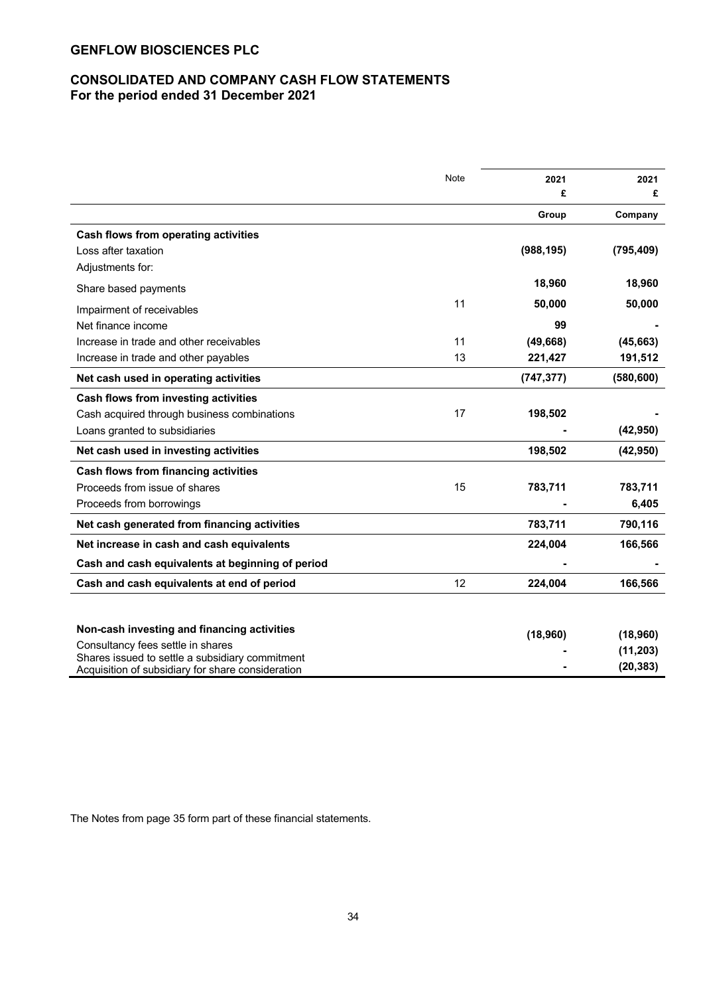## **CONSOLIDATED AND COMPANY CASH FLOW STATEMENTS For the period ended 31 December 2021**

|                                                   | Note | 2021       | 2021       |
|---------------------------------------------------|------|------------|------------|
|                                                   |      | £          | £          |
|                                                   |      | Group      | Company    |
| <b>Cash flows from operating activities</b>       |      |            |            |
| Loss after taxation                               |      | (988, 195) | (795, 409) |
| Adjustments for:                                  |      |            |            |
| Share based payments                              |      | 18,960     | 18,960     |
| Impairment of receivables                         | 11   | 50,000     | 50,000     |
| Net finance income                                |      | 99         |            |
| Increase in trade and other receivables           | 11   | (49, 668)  | (45, 663)  |
| Increase in trade and other payables              | 13   | 221,427    | 191,512    |
| Net cash used in operating activities             |      | (747, 377) | (580, 600) |
| Cash flows from investing activities              |      |            |            |
| Cash acquired through business combinations       | 17   | 198,502    |            |
| Loans granted to subsidiaries                     |      |            | (42, 950)  |
| Net cash used in investing activities             |      | 198,502    | (42, 950)  |
| <b>Cash flows from financing activities</b>       |      |            |            |
| Proceeds from issue of shares                     | 15   | 783,711    | 783,711    |
| Proceeds from borrowings                          |      |            | 6,405      |
| Net cash generated from financing activities      |      | 783,711    | 790,116    |
| Net increase in cash and cash equivalents         |      | 224,004    | 166,566    |
| Cash and cash equivalents at beginning of period  |      |            |            |
| Cash and cash equivalents at end of period        | 12   | 224,004    | 166,566    |
|                                                   |      |            |            |
| Non-cash investing and financing activities       |      |            |            |
| Consultancy fees settle in shares                 |      | (18,960)   | (18,960)   |
| Shares issued to settle a subsidiary commitment   |      |            | (11, 203)  |
| Acquisition of subsidiary for share consideration |      |            | (20, 383)  |

The Notes from page 35 form part of these financial statements.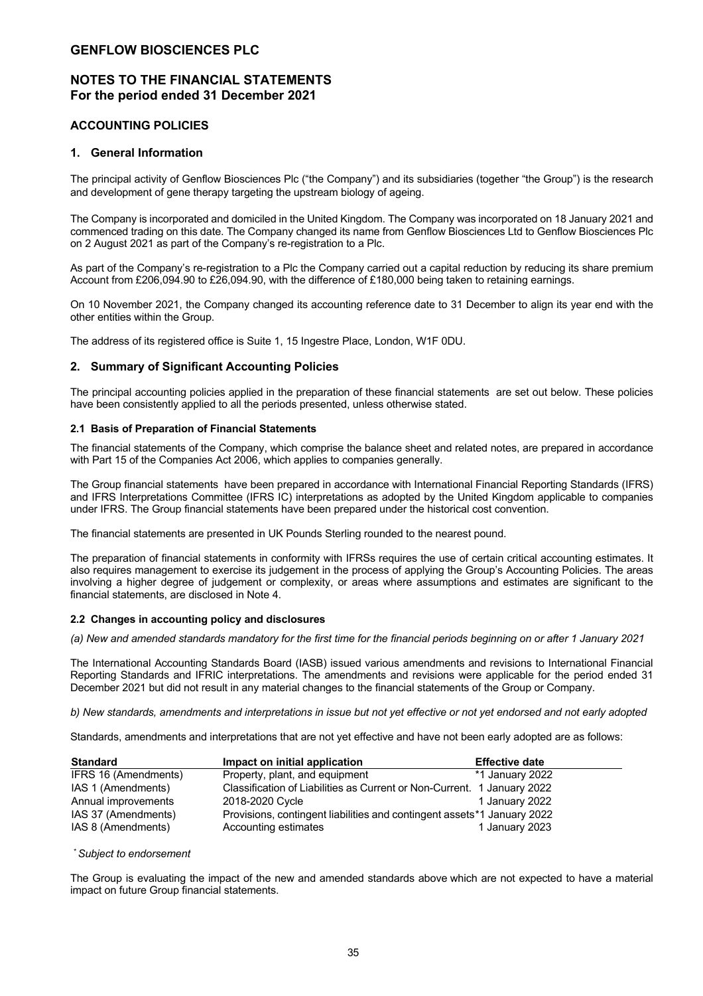## **NOTES TO THE FINANCIAL STATEMENTS For the period ended 31 December 2021**

### **ACCOUNTING POLICIES**

### **1. General Information**

The principal activity of Genflow Biosciences Plc ("the Company") and its subsidiaries (together "the Group") is the research and development of gene therapy targeting the upstream biology of ageing.

The Company is incorporated and domiciled in the United Kingdom. The Company was incorporated on 18 January 2021 and commenced trading on this date. The Company changed its name from Genflow Biosciences Ltd to Genflow Biosciences Plc on 2 August 2021 as part of the Company's re-registration to a Plc.

As part of the Company's re-registration to a Plc the Company carried out a capital reduction by reducing its share premium Account from £206,094.90 to £26,094.90, with the difference of £180,000 being taken to retaining earnings.

On 10 November 2021, the Company changed its accounting reference date to 31 December to align its year end with the other entities within the Group.

The address of its registered office is Suite 1, 15 Ingestre Place, London, W1F 0DU.

### **2. Summary of Significant Accounting Policies**

The principal accounting policies applied in the preparation of these financial statements are set out below. These policies have been consistently applied to all the periods presented, unless otherwise stated.

### **2.1 Basis of Preparation of Financial Statements**

The financial statements of the Company, which comprise the balance sheet and related notes, are prepared in accordance with Part 15 of the Companies Act 2006, which applies to companies generally.

The Group financial statements have been prepared in accordance with International Financial Reporting Standards (IFRS) and IFRS Interpretations Committee (IFRS IC) interpretations as adopted by the United Kingdom applicable to companies under IFRS. The Group financial statements have been prepared under the historical cost convention.

The financial statements are presented in UK Pounds Sterling rounded to the nearest pound.

The preparation of financial statements in conformity with IFRSs requires the use of certain critical accounting estimates. It also requires management to exercise its judgement in the process of applying the Group's Accounting Policies. The areas involving a higher degree of judgement or complexity, or areas where assumptions and estimates are significant to the financial statements, are disclosed in Note 4.

### **2.2 Changes in accounting policy and disclosures**

*(a) New and amended standards mandatory for the first time for the financial periods beginning on or after 1 January 2021*

The International Accounting Standards Board (IASB) issued various amendments and revisions to International Financial Reporting Standards and IFRIC interpretations. The amendments and revisions were applicable for the period ended 31 December 2021 but did not result in any material changes to the financial statements of the Group or Company.

*b) New standards, amendments and interpretations in issue but not yet effective or not yet endorsed and not early adopted*

Standards, amendments and interpretations that are not yet effective and have not been early adopted are as follows:

| <b>Standard</b>      | Impact on initial application                                           | <b>Effective date</b> |
|----------------------|-------------------------------------------------------------------------|-----------------------|
| IFRS 16 (Amendments) | Property, plant, and equipment                                          | *1 January 2022       |
| IAS 1 (Amendments)   | Classification of Liabilities as Current or Non-Current. 1 January 2022 |                       |
| Annual improvements  | 2018-2020 Cycle                                                         | 1 January 2022        |
| IAS 37 (Amendments)  | Provisions, contingent liabilities and contingent assets*1 January 2022 |                       |
| IAS 8 (Amendments)   | Accounting estimates                                                    | 1 January 2023        |

*\* Subject to endorsement*

The Group is evaluating the impact of the new and amended standards above which are not expected to have a material impact on future Group financial statements.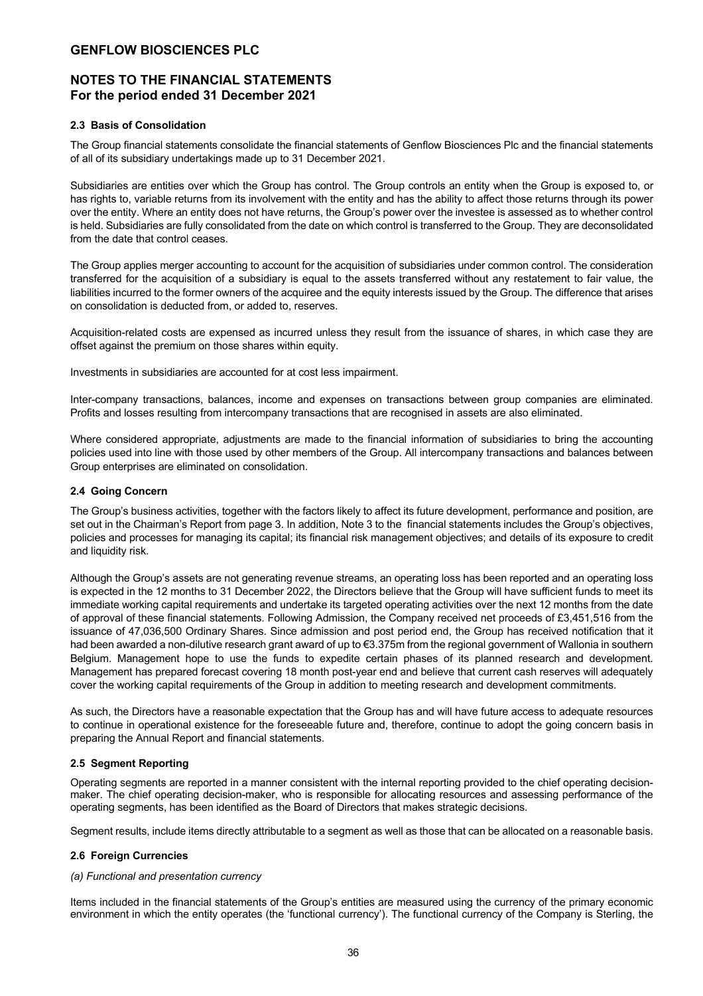## **NOTES TO THE FINANCIAL STATEMENTS For the period ended 31 December 2021**

### **2.3 Basis of Consolidation**

The Group financial statements consolidate the financial statements of Genflow Biosciences Plc and the financial statements of all of its subsidiary undertakings made up to 31 December 2021.

Subsidiaries are entities over which the Group has control. The Group controls an entity when the Group is exposed to, or has rights to, variable returns from its involvement with the entity and has the ability to affect those returns through its power over the entity. Where an entity does not have returns, the Group's power over the investee is assessed as to whether control is held. Subsidiaries are fully consolidated from the date on which control is transferred to the Group. They are deconsolidated from the date that control ceases.

The Group applies merger accounting to account for the acquisition of subsidiaries under common control. The consideration transferred for the acquisition of a subsidiary is equal to the assets transferred without any restatement to fair value, the liabilities incurred to the former owners of the acquiree and the equity interests issued by the Group. The difference that arises on consolidation is deducted from, or added to, reserves.

Acquisition-related costs are expensed as incurred unless they result from the issuance of shares, in which case they are offset against the premium on those shares within equity.

Investments in subsidiaries are accounted for at cost less impairment.

Inter-company transactions, balances, income and expenses on transactions between group companies are eliminated. Profits and losses resulting from intercompany transactions that are recognised in assets are also eliminated.

Where considered appropriate, adjustments are made to the financial information of subsidiaries to bring the accounting policies used into line with those used by other members of the Group. All intercompany transactions and balances between Group enterprises are eliminated on consolidation.

### **2.4 Going Concern**

The Group's business activities, together with the factors likely to affect its future development, performance and position, are set out in the Chairman's Report from page 3. In addition, Note 3 to the financial statements includes the Group's objectives, policies and processes for managing its capital; its financial risk management objectives; and details of its exposure to credit and liquidity risk.

Although the Group's assets are not generating revenue streams, an operating loss has been reported and an operating loss is expected in the 12 months to 31 December 2022, the Directors believe that the Group will have sufficient funds to meet its immediate working capital requirements and undertake its targeted operating activities over the next 12 months from the date of approval of these financial statements. Following Admission, the Company received net proceeds of £3,451,516 from the issuance of 47,036,500 Ordinary Shares. Since admission and post period end, the Group has received notification that it had been awarded a non-dilutive research grant award of up to €3.375m from the regional government of Wallonia in southern Belgium. Management hope to use the funds to expedite certain phases of its planned research and development. Management has prepared forecast covering 18 month post-year end and believe that current cash reserves will adequately cover the working capital requirements of the Group in addition to meeting research and development commitments.

As such, the Directors have a reasonable expectation that the Group has and will have future access to adequate resources to continue in operational existence for the foreseeable future and, therefore, continue to adopt the going concern basis in preparing the Annual Report and financial statements.

### **2.5 Segment Reporting**

Operating segments are reported in a manner consistent with the internal reporting provided to the chief operating decisionmaker. The chief operating decision-maker, who is responsible for allocating resources and assessing performance of the operating segments, has been identified as the Board of Directors that makes strategic decisions.

Segment results, include items directly attributable to a segment as well as those that can be allocated on a reasonable basis.

### **2.6 Foreign Currencies**

### *(a) Functional and presentation currency*

Items included in the financial statements of the Group's entities are measured using the currency of the primary economic environment in which the entity operates (the 'functional currency'). The functional currency of the Company is Sterling, the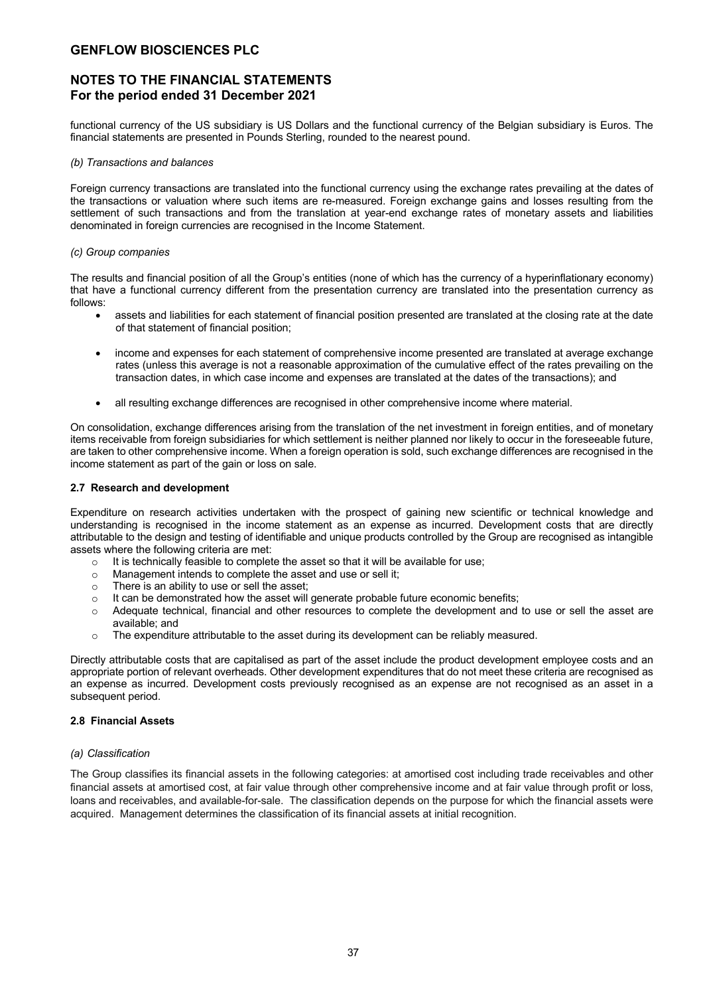### **NOTES TO THE FINANCIAL STATEMENTS For the period ended 31 December 2021**

functional currency of the US subsidiary is US Dollars and the functional currency of the Belgian subsidiary is Euros. The financial statements are presented in Pounds Sterling, rounded to the nearest pound.

### *(b) Transactions and balances*

Foreign currency transactions are translated into the functional currency using the exchange rates prevailing at the dates of the transactions or valuation where such items are re-measured. Foreign exchange gains and losses resulting from the settlement of such transactions and from the translation at year-end exchange rates of monetary assets and liabilities denominated in foreign currencies are recognised in the Income Statement.

### *(c) Group companies*

The results and financial position of all the Group's entities (none of which has the currency of a hyperinflationary economy) that have a functional currency different from the presentation currency are translated into the presentation currency as follows:

- assets and liabilities for each statement of financial position presented are translated at the closing rate at the date of that statement of financial position;
- income and expenses for each statement of comprehensive income presented are translated at average exchange rates (unless this average is not a reasonable approximation of the cumulative effect of the rates prevailing on the transaction dates, in which case income and expenses are translated at the dates of the transactions); and
- all resulting exchange differences are recognised in other comprehensive income where material.

On consolidation, exchange differences arising from the translation of the net investment in foreign entities, and of monetary items receivable from foreign subsidiaries for which settlement is neither planned nor likely to occur in the foreseeable future, are taken to other comprehensive income. When a foreign operation is sold, such exchange differences are recognised in the income statement as part of the gain or loss on sale.

### **2.7 Research and development**

Expenditure on research activities undertaken with the prospect of gaining new scientific or technical knowledge and understanding is recognised in the income statement as an expense as incurred. Development costs that are directly attributable to the design and testing of identifiable and unique products controlled by the Group are recognised as intangible assets where the following criteria are met:

- o It is technically feasible to complete the asset so that it will be available for use;
- o Management intends to complete the asset and use or sell it;
- o There is an ability to use or sell the asset;
- $\circ$  It can be demonstrated how the asset will generate probable future economic benefits;
- o Adequate technical, financial and other resources to complete the development and to use or sell the asset are available; and
- o The expenditure attributable to the asset during its development can be reliably measured.

Directly attributable costs that are capitalised as part of the asset include the product development employee costs and an appropriate portion of relevant overheads. Other development expenditures that do not meet these criteria are recognised as an expense as incurred. Development costs previously recognised as an expense are not recognised as an asset in a subsequent period.

### **2.8 Financial Assets**

### *(a) Classification*

The Group classifies its financial assets in the following categories: at amortised cost including trade receivables and other financial assets at amortised cost, at fair value through other comprehensive income and at fair value through profit or loss, loans and receivables, and available-for-sale. The classification depends on the purpose for which the financial assets were acquired. Management determines the classification of its financial assets at initial recognition.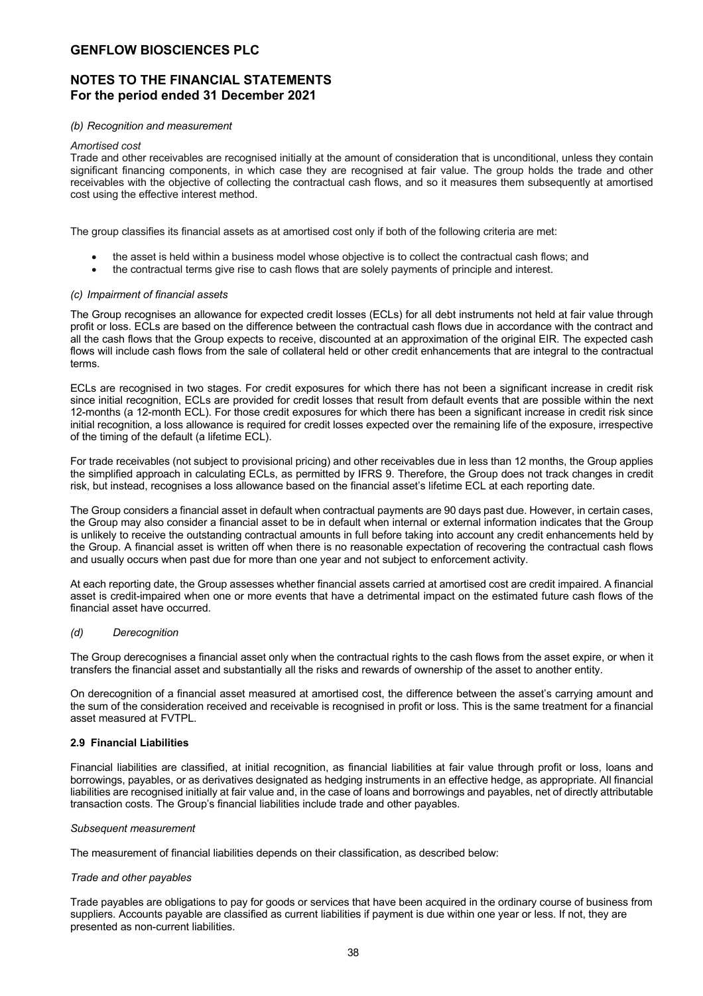## **NOTES TO THE FINANCIAL STATEMENTS For the period ended 31 December 2021**

### *(b) Recognition and measurement*

#### *Amortised cost*

Trade and other receivables are recognised initially at the amount of consideration that is unconditional, unless they contain significant financing components, in which case they are recognised at fair value. The group holds the trade and other receivables with the objective of collecting the contractual cash flows, and so it measures them subsequently at amortised cost using the effective interest method.

The group classifies its financial assets as at amortised cost only if both of the following criteria are met:

- the asset is held within a business model whose objective is to collect the contractual cash flows; and
- the contractual terms give rise to cash flows that are solely payments of principle and interest.

### *(c) Impairment of financial assets*

The Group recognises an allowance for expected credit losses (ECLs) for all debt instruments not held at fair value through profit or loss. ECLs are based on the difference between the contractual cash flows due in accordance with the contract and all the cash flows that the Group expects to receive, discounted at an approximation of the original EIR. The expected cash flows will include cash flows from the sale of collateral held or other credit enhancements that are integral to the contractual terms.

ECLs are recognised in two stages. For credit exposures for which there has not been a significant increase in credit risk since initial recognition, ECLs are provided for credit losses that result from default events that are possible within the next 12-months (a 12-month ECL). For those credit exposures for which there has been a significant increase in credit risk since initial recognition, a loss allowance is required for credit losses expected over the remaining life of the exposure, irrespective of the timing of the default (a lifetime ECL).

For trade receivables (not subject to provisional pricing) and other receivables due in less than 12 months, the Group applies the simplified approach in calculating ECLs, as permitted by IFRS 9. Therefore, the Group does not track changes in credit risk, but instead, recognises a loss allowance based on the financial asset's lifetime ECL at each reporting date.

The Group considers a financial asset in default when contractual payments are 90 days past due. However, in certain cases, the Group may also consider a financial asset to be in default when internal or external information indicates that the Group is unlikely to receive the outstanding contractual amounts in full before taking into account any credit enhancements held by the Group. A financial asset is written off when there is no reasonable expectation of recovering the contractual cash flows and usually occurs when past due for more than one year and not subject to enforcement activity.

At each reporting date, the Group assesses whether financial assets carried at amortised cost are credit impaired. A financial asset is credit-impaired when one or more events that have a detrimental impact on the estimated future cash flows of the financial asset have occurred.

### *(d) Derecognition*

The Group derecognises a financial asset only when the contractual rights to the cash flows from the asset expire, or when it transfers the financial asset and substantially all the risks and rewards of ownership of the asset to another entity.

On derecognition of a financial asset measured at amortised cost, the difference between the asset's carrying amount and the sum of the consideration received and receivable is recognised in profit or loss. This is the same treatment for a financial asset measured at FVTPL.

### **2.9 Financial Liabilities**

Financial liabilities are classified, at initial recognition, as financial liabilities at fair value through profit or loss, loans and borrowings, payables, or as derivatives designated as hedging instruments in an effective hedge, as appropriate. All financial liabilities are recognised initially at fair value and, in the case of loans and borrowings and payables, net of directly attributable transaction costs. The Group's financial liabilities include trade and other payables.

### *Subsequent measurement*

The measurement of financial liabilities depends on their classification, as described below:

### *Trade and other payables*

Trade payables are obligations to pay for goods or services that have been acquired in the ordinary course of business from suppliers. Accounts payable are classified as current liabilities if payment is due within one year or less. If not, they are presented as non-current liabilities.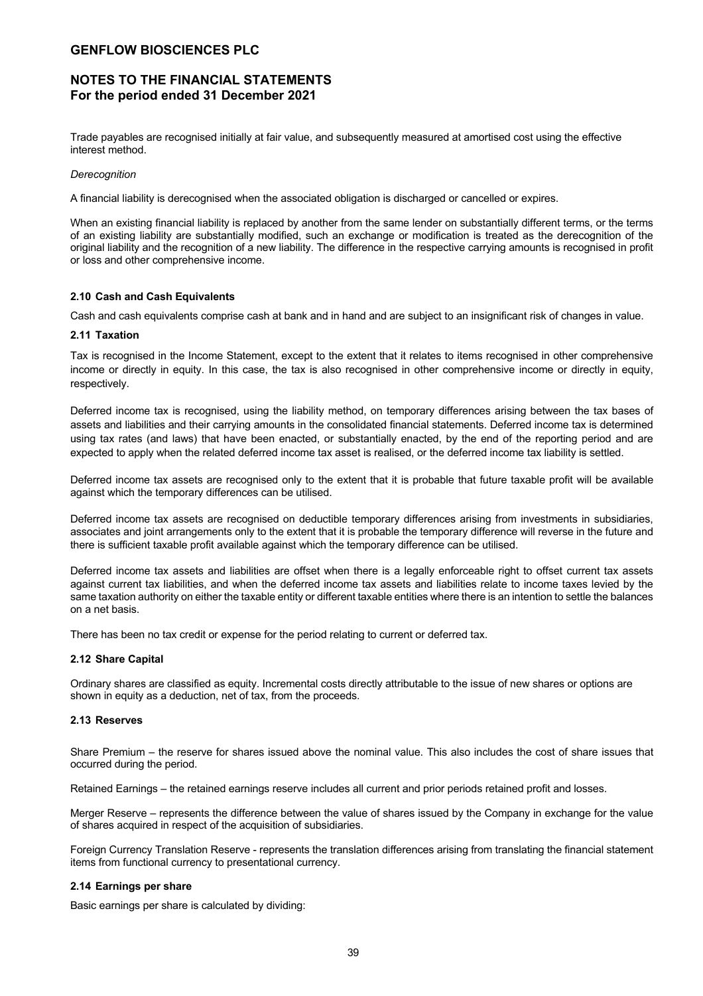## **NOTES TO THE FINANCIAL STATEMENTS For the period ended 31 December 2021**

Trade payables are recognised initially at fair value, and subsequently measured at amortised cost using the effective interest method.

### *Derecognition*

A financial liability is derecognised when the associated obligation is discharged or cancelled or expires.

When an existing financial liability is replaced by another from the same lender on substantially different terms, or the terms of an existing liability are substantially modified, such an exchange or modification is treated as the derecognition of the original liability and the recognition of a new liability. The difference in the respective carrying amounts is recognised in profit or loss and other comprehensive income.

### **2.10 Cash and Cash Equivalents**

Cash and cash equivalents comprise cash at bank and in hand and are subject to an insignificant risk of changes in value.

### **2.11 Taxation**

Tax is recognised in the Income Statement, except to the extent that it relates to items recognised in other comprehensive income or directly in equity. In this case, the tax is also recognised in other comprehensive income or directly in equity, respectively.

Deferred income tax is recognised, using the liability method, on temporary differences arising between the tax bases of assets and liabilities and their carrying amounts in the consolidated financial statements. Deferred income tax is determined using tax rates (and laws) that have been enacted, or substantially enacted, by the end of the reporting period and are expected to apply when the related deferred income tax asset is realised, or the deferred income tax liability is settled.

Deferred income tax assets are recognised only to the extent that it is probable that future taxable profit will be available against which the temporary differences can be utilised.

Deferred income tax assets are recognised on deductible temporary differences arising from investments in subsidiaries, associates and joint arrangements only to the extent that it is probable the temporary difference will reverse in the future and there is sufficient taxable profit available against which the temporary difference can be utilised.

Deferred income tax assets and liabilities are offset when there is a legally enforceable right to offset current tax assets against current tax liabilities, and when the deferred income tax assets and liabilities relate to income taxes levied by the same taxation authority on either the taxable entity or different taxable entities where there is an intention to settle the balances on a net basis.

There has been no tax credit or expense for the period relating to current or deferred tax.

### **2.12 Share Capital**

Ordinary shares are classified as equity. Incremental costs directly attributable to the issue of new shares or options are shown in equity as a deduction, net of tax, from the proceeds.

### **2.13 Reserves**

Share Premium – the reserve for shares issued above the nominal value. This also includes the cost of share issues that occurred during the period.

Retained Earnings – the retained earnings reserve includes all current and prior periods retained profit and losses.

Merger Reserve – represents the difference between the value of shares issued by the Company in exchange for the value of shares acquired in respect of the acquisition of subsidiaries.

Foreign Currency Translation Reserve - represents the translation differences arising from translating the financial statement items from functional currency to presentational currency.

### **2.14 Earnings per share**

Basic earnings per share is calculated by dividing: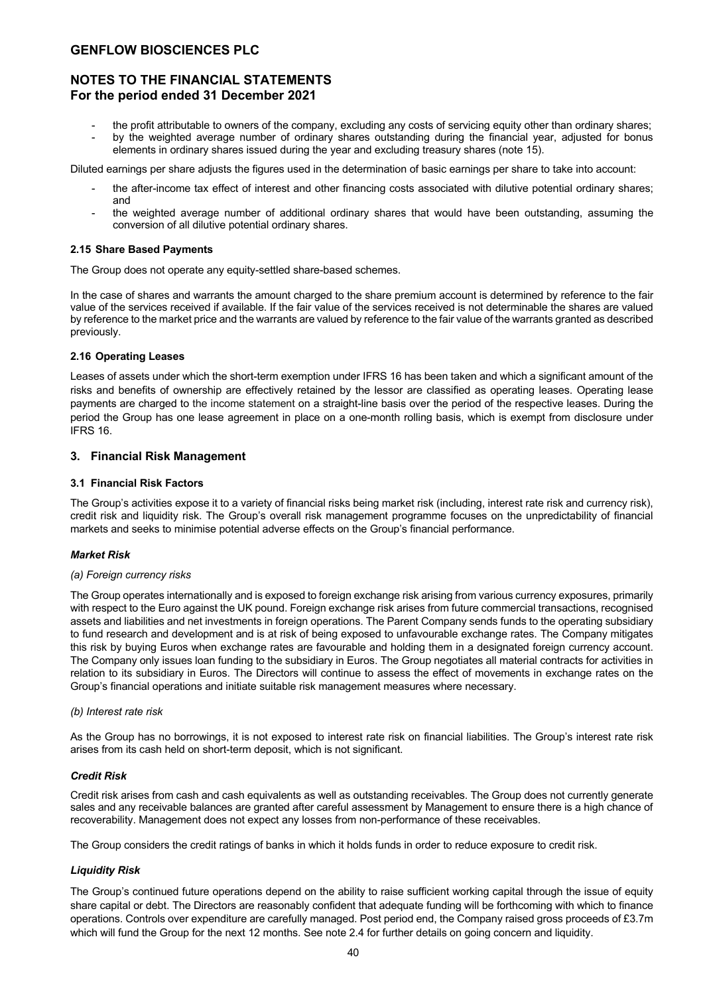## **NOTES TO THE FINANCIAL STATEMENTS For the period ended 31 December 2021**

- the profit attributable to owners of the company, excluding any costs of servicing equity other than ordinary shares;
- by the weighted average number of ordinary shares outstanding during the financial year, adjusted for bonus elements in ordinary shares issued during the year and excluding treasury shares (note 15).

Diluted earnings per share adjusts the figures used in the determination of basic earnings per share to take into account:

- the after-income tax effect of interest and other financing costs associated with dilutive potential ordinary shares; and
- the weighted average number of additional ordinary shares that would have been outstanding, assuming the conversion of all dilutive potential ordinary shares.

### **2.15 Share Based Payments**

The Group does not operate any equity-settled share-based schemes.

In the case of shares and warrants the amount charged to the share premium account is determined by reference to the fair value of the services received if available. If the fair value of the services received is not determinable the shares are valued by reference to the market price and the warrants are valued by reference to the fair value of the warrants granted as described previously.

### **2.16 Operating Leases**

Leases of assets under which the short-term exemption under IFRS 16 has been taken and which a significant amount of the risks and benefits of ownership are effectively retained by the lessor are classified as operating leases. Operating lease payments are charged to the income statement on a straight-line basis over the period of the respective leases. During the period the Group has one lease agreement in place on a one-month rolling basis, which is exempt from disclosure under IFRS 16.

### **3. Financial Risk Management**

### **3.1 Financial Risk Factors**

The Group's activities expose it to a variety of financial risks being market risk (including, interest rate risk and currency risk), credit risk and liquidity risk. The Group's overall risk management programme focuses on the unpredictability of financial markets and seeks to minimise potential adverse effects on the Group's financial performance.

### *Market Risk*

### *(a) Foreign currency risks*

The Group operates internationally and is exposed to foreign exchange risk arising from various currency exposures, primarily with respect to the Euro against the UK pound. Foreign exchange risk arises from future commercial transactions, recognised assets and liabilities and net investments in foreign operations. The Parent Company sends funds to the operating subsidiary to fund research and development and is at risk of being exposed to unfavourable exchange rates. The Company mitigates this risk by buying Euros when exchange rates are favourable and holding them in a designated foreign currency account. The Company only issues loan funding to the subsidiary in Euros. The Group negotiates all material contracts for activities in relation to its subsidiary in Euros. The Directors will continue to assess the effect of movements in exchange rates on the Group's financial operations and initiate suitable risk management measures where necessary.

### *(b) Interest rate risk*

As the Group has no borrowings, it is not exposed to interest rate risk on financial liabilities. The Group's interest rate risk arises from its cash held on short-term deposit, which is not significant.

### *Credit Risk*

Credit risk arises from cash and cash equivalents as well as outstanding receivables. The Group does not currently generate sales and any receivable balances are granted after careful assessment by Management to ensure there is a high chance of recoverability. Management does not expect any losses from non-performance of these receivables.

The Group considers the credit ratings of banks in which it holds funds in order to reduce exposure to credit risk.

### *Liquidity Risk*

The Group's continued future operations depend on the ability to raise sufficient working capital through the issue of equity share capital or debt. The Directors are reasonably confident that adequate funding will be forthcoming with which to finance operations. Controls over expenditure are carefully managed. Post period end, the Company raised gross proceeds of £3.7m which will fund the Group for the next 12 months. See note 2.4 for further details on going concern and liquidity.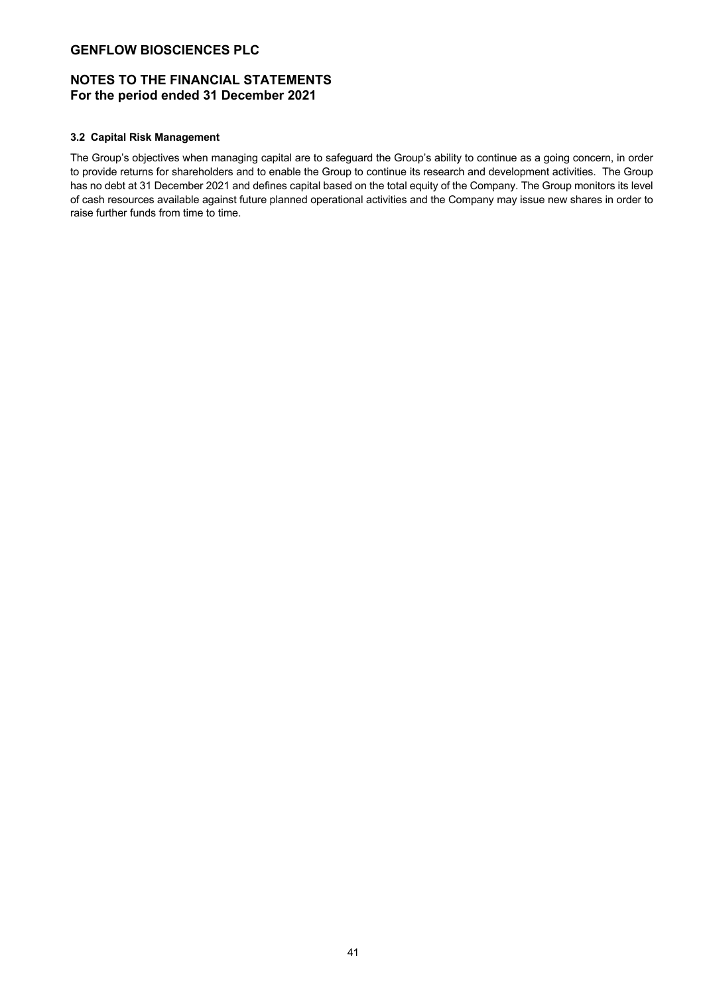## **NOTES TO THE FINANCIAL STATEMENTS For the period ended 31 December 2021**

### **3.2 Capital Risk Management**

The Group's objectives when managing capital are to safeguard the Group's ability to continue as a going concern, in order to provide returns for shareholders and to enable the Group to continue its research and development activities. The Group has no debt at 31 December 2021 and defines capital based on the total equity of the Company. The Group monitors its level of cash resources available against future planned operational activities and the Company may issue new shares in order to raise further funds from time to time.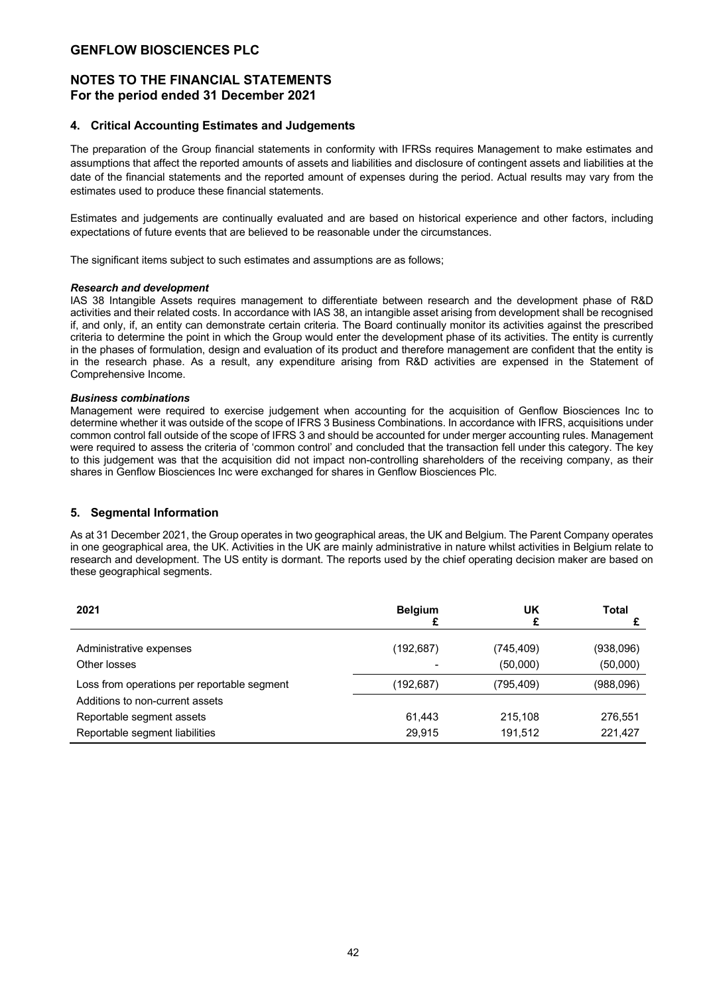## **NOTES TO THE FINANCIAL STATEMENTS For the period ended 31 December 2021**

### **4. Critical Accounting Estimates and Judgements**

The preparation of the Group financial statements in conformity with IFRSs requires Management to make estimates and assumptions that affect the reported amounts of assets and liabilities and disclosure of contingent assets and liabilities at the date of the financial statements and the reported amount of expenses during the period. Actual results may vary from the estimates used to produce these financial statements.

Estimates and judgements are continually evaluated and are based on historical experience and other factors, including expectations of future events that are believed to be reasonable under the circumstances.

The significant items subject to such estimates and assumptions are as follows;

### *Research and development*

IAS 38 Intangible Assets requires management to differentiate between research and the development phase of R&D activities and their related costs. In accordance with IAS 38, an intangible asset arising from development shall be recognised if, and only, if, an entity can demonstrate certain criteria. The Board continually monitor its activities against the prescribed criteria to determine the point in which the Group would enter the development phase of its activities. The entity is currently in the phases of formulation, design and evaluation of its product and therefore management are confident that the entity is in the research phase. As a result, any expenditure arising from R&D activities are expensed in the Statement of Comprehensive Income.

### *Business combinations*

Management were required to exercise judgement when accounting for the acquisition of Genflow Biosciences Inc to determine whether it was outside of the scope of IFRS 3 Business Combinations. In accordance with IFRS, acquisitions under common control fall outside of the scope of IFRS 3 and should be accounted for under merger accounting rules. Management were required to assess the criteria of 'common control' and concluded that the transaction fell under this category. The key to this judgement was that the acquisition did not impact non-controlling shareholders of the receiving company, as their shares in Genflow Biosciences Inc were exchanged for shares in Genflow Biosciences Plc.

### **5. Segmental Information**

As at 31 December 2021, the Group operates in two geographical areas, the UK and Belgium. The Parent Company operates in one geographical area, the UK. Activities in the UK are mainly administrative in nature whilst activities in Belgium relate to research and development. The US entity is dormant. The reports used by the chief operating decision maker are based on these geographical segments.

| 2021                                        | <b>Belgium</b> | UK                     | Total                 |
|---------------------------------------------|----------------|------------------------|-----------------------|
| Administrative expenses<br>Other losses     | (192, 687)     | (745, 409)<br>(50,000) | (938,096)<br>(50,000) |
| Loss from operations per reportable segment | (192, 687)     | (795,409)              | (988,096)             |
| Additions to non-current assets             |                |                        |                       |
| Reportable segment assets                   | 61.443         | 215.108                | 276,551               |
| Reportable segment liabilities              | 29.915         | 191,512                | 221,427               |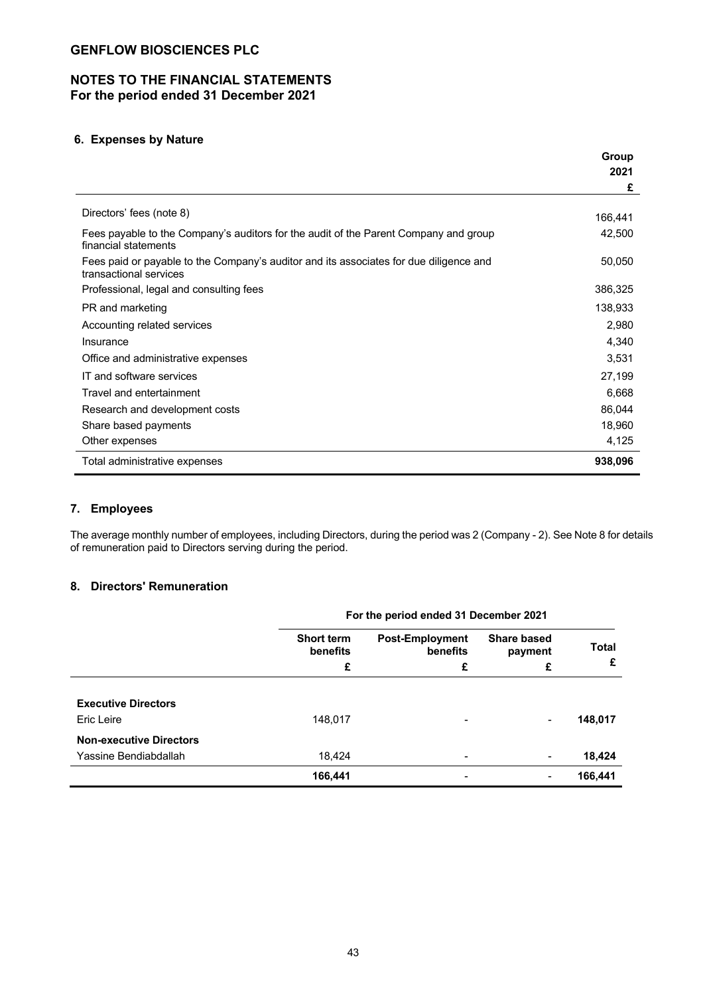## **NOTES TO THE FINANCIAL STATEMENTS For the period ended 31 December 2021**

## **6. Expenses by Nature**

|                                                                                                                  | Group   |
|------------------------------------------------------------------------------------------------------------------|---------|
|                                                                                                                  | 2021    |
|                                                                                                                  | £       |
| Directors' fees (note 8)                                                                                         | 166,441 |
| Fees payable to the Company's auditors for the audit of the Parent Company and group<br>financial statements     | 42,500  |
| Fees paid or payable to the Company's auditor and its associates for due diligence and<br>transactional services | 50,050  |
| Professional, legal and consulting fees                                                                          | 386,325 |
| PR and marketing                                                                                                 | 138,933 |
| Accounting related services                                                                                      | 2,980   |
| Insurance                                                                                                        | 4,340   |
| Office and administrative expenses                                                                               | 3,531   |
| IT and software services                                                                                         | 27,199  |
| Travel and entertainment                                                                                         | 6,668   |
| Research and development costs                                                                                   | 86,044  |
| Share based payments                                                                                             | 18,960  |
| Other expenses                                                                                                   | 4,125   |
| Total administrative expenses                                                                                    | 938,096 |

### **7. Employees**

The average monthly number of employees, including Directors, during the period was 2 (Company - 2). See Note 8 for details of remuneration paid to Directors serving during the period.

## **8. Directors' Remuneration**

|                                | For the period ended 31 December 2021                               |   |                               |              |  |
|--------------------------------|---------------------------------------------------------------------|---|-------------------------------|--------------|--|
|                                | <b>Short term</b><br><b>Post-Employment</b><br>benefits<br>benefits |   | <b>Share based</b><br>payment | <b>Total</b> |  |
|                                | £                                                                   | £ | £                             | £            |  |
| <b>Executive Directors</b>     |                                                                     |   |                               |              |  |
| Eric Leire                     | 148,017                                                             |   | ۰                             | 148,017      |  |
| <b>Non-executive Directors</b> |                                                                     |   |                               |              |  |
| Yassine Bendiabdallah          | 18,424                                                              |   | ۰                             | 18,424       |  |
|                                | 166,441                                                             |   |                               | 166,441      |  |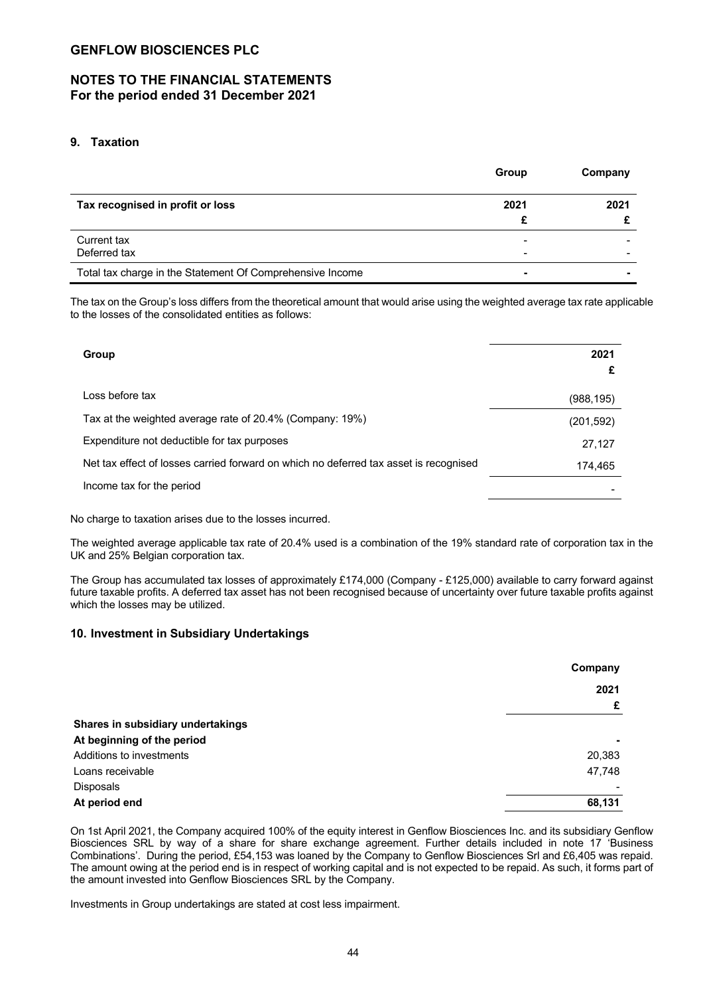## **NOTES TO THE FINANCIAL STATEMENTS For the period ended 31 December 2021**

## **9. Taxation**

|                                                           | Group | Company |
|-----------------------------------------------------------|-------|---------|
| Tax recognised in profit or loss                          | 2021  | 2021    |
|                                                           | £     |         |
| Current tax<br>Deferred tax                               |       |         |
| Total tax charge in the Statement Of Comprehensive Income | ۰     |         |

The tax on the Group's loss differs from the theoretical amount that would arise using the weighted average tax rate applicable to the losses of the consolidated entities as follows:

| Group                                                                                 | 2021      |
|---------------------------------------------------------------------------------------|-----------|
| Loss before tax                                                                       | (988,195) |
| Tax at the weighted average rate of 20.4% (Company: 19%)                              | (201,592) |
| Expenditure not deductible for tax purposes                                           | 27,127    |
| Net tax effect of losses carried forward on which no deferred tax asset is recognised | 174,465   |
| Income tax for the period                                                             |           |

No charge to taxation arises due to the losses incurred.

The weighted average applicable tax rate of 20.4% used is a combination of the 19% standard rate of corporation tax in the UK and 25% Belgian corporation tax.

The Group has accumulated tax losses of approximately £174,000 (Company - £125,000) available to carry forward against future taxable profits. A deferred tax asset has not been recognised because of uncertainty over future taxable profits against which the losses may be utilized.

### **10. Investment in Subsidiary Undertakings**

|                                   | Company |
|-----------------------------------|---------|
|                                   | 2021    |
|                                   | £       |
| Shares in subsidiary undertakings |         |
| At beginning of the period        |         |
| Additions to investments          | 20,383  |
| Loans receivable                  | 47,748  |
| <b>Disposals</b>                  |         |
| At period end                     | 68,131  |

On 1st April 2021, the Company acquired 100% of the equity interest in Genflow Biosciences Inc. and its subsidiary Genflow Biosciences SRL by way of a share for share exchange agreement. Further details included in note 17 'Business Combinations'. During the period, £54,153 was loaned by the Company to Genflow Biosciences Srl and £6,405 was repaid. The amount owing at the period end is in respect of working capital and is not expected to be repaid. As such, it forms part of the amount invested into Genflow Biosciences SRL by the Company.

Investments in Group undertakings are stated at cost less impairment.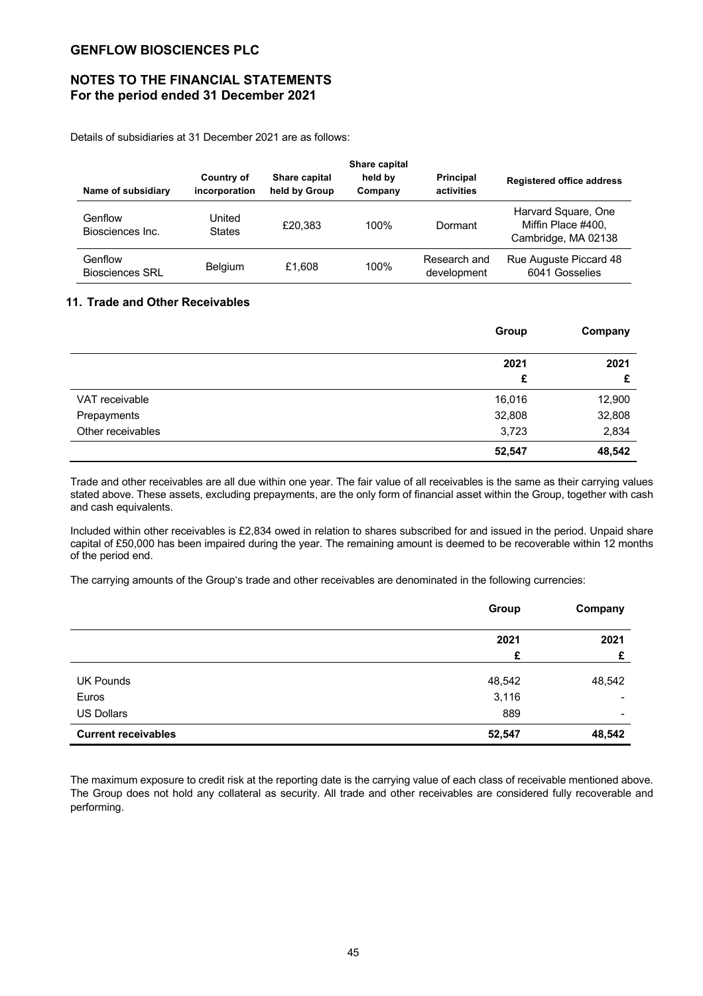## **NOTES TO THE FINANCIAL STATEMENTS For the period ended 31 December 2021**

Details of subsidiaries at 31 December 2021 are as follows:

| Name of subsidiary                | Country of<br>incorporation | Share capital<br>held by Group | Share capital<br>held by<br>Company | <b>Principal</b><br>activities | <b>Registered office address</b>                                 |
|-----------------------------------|-----------------------------|--------------------------------|-------------------------------------|--------------------------------|------------------------------------------------------------------|
| Genflow<br>Biosciences Inc.       | United<br><b>States</b>     | £20.383                        | 100%                                | Dormant                        | Harvard Square, One<br>Miffin Place #400.<br>Cambridge, MA 02138 |
| Genflow<br><b>Biosciences SRL</b> | <b>Belgium</b>              | £1.608                         | 100%                                | Research and<br>development    | Rue Auguste Piccard 48<br>6041 Gosselies                         |

### **11. Trade and Other Receivables**

|                   | Group  | Company |
|-------------------|--------|---------|
|                   | 2021   | 2021    |
|                   | £      | £       |
| VAT receivable    | 16,016 | 12,900  |
| Prepayments       | 32,808 | 32,808  |
| Other receivables | 3,723  | 2,834   |
|                   | 52,547 | 48,542  |

Trade and other receivables are all due within one year. The fair value of all receivables is the same as their carrying values stated above. These assets, excluding prepayments, are the only form of financial asset within the Group, together with cash and cash equivalents.

Included within other receivables is £2,834 owed in relation to shares subscribed for and issued in the period. Unpaid share capital of £50,000 has been impaired during the year. The remaining amount is deemed to be recoverable within 12 months of the period end.

The carrying amounts of the Group's trade and other receivables are denominated in the following currencies:

|                            | Group  | Company                  |
|----------------------------|--------|--------------------------|
|                            | 2021   | 2021                     |
|                            | £      | £                        |
| <b>UK Pounds</b>           | 48,542 | 48,542                   |
| Euros                      | 3,116  |                          |
| <b>US Dollars</b>          | 889    | $\overline{\phantom{0}}$ |
| <b>Current receivables</b> | 52,547 | 48,542                   |

The maximum exposure to credit risk at the reporting date is the carrying value of each class of receivable mentioned above. The Group does not hold any collateral as security. All trade and other receivables are considered fully recoverable and performing.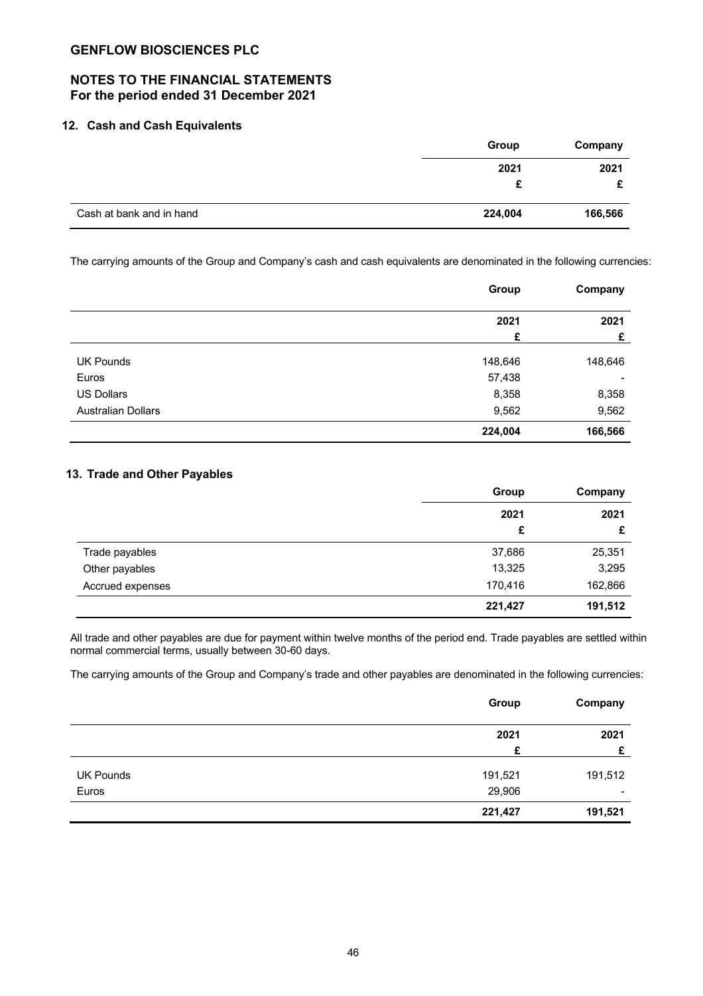## **NOTES TO THE FINANCIAL STATEMENTS For the period ended 31 December 2021**

### **12. Cash and Cash Equivalents**

|                          | Group   | Company |  |
|--------------------------|---------|---------|--|
|                          | 2021    | 2021    |  |
|                          |         |         |  |
| Cash at bank and in hand | 224,004 | 166,566 |  |

The carrying amounts of the Group and Company's cash and cash equivalents are denominated in the following currencies:

|                           | Group   | Company |
|---------------------------|---------|---------|
|                           | 2021    | 2021    |
|                           | £       | £       |
| <b>UK Pounds</b>          | 148,646 | 148,646 |
| Euros                     | 57,438  | ٠       |
| <b>US Dollars</b>         | 8,358   | 8,358   |
| <b>Australian Dollars</b> | 9,562   | 9,562   |
|                           | 224,004 | 166,566 |

## **13. Trade and Other Payables**

|                  | Group   | Company<br>2021<br>£ |  |
|------------------|---------|----------------------|--|
|                  | 2021    |                      |  |
|                  | £       |                      |  |
| Trade payables   | 37,686  | 25,351               |  |
| Other payables   | 13,325  | 3,295                |  |
| Accrued expenses | 170,416 | 162,866              |  |
|                  | 221,427 | 191,512              |  |

All trade and other payables are due for payment within twelve months of the period end. Trade payables are settled within normal commercial terms, usually between 30-60 days.

The carrying amounts of the Group and Company's trade and other payables are denominated in the following currencies:

|                  | Group   | Company |
|------------------|---------|---------|
|                  | 2021    | 2021    |
|                  | £       | £       |
| <b>UK Pounds</b> | 191,521 | 191,512 |
| Euros            | 29,906  | ٠       |
|                  | 221,427 | 191,521 |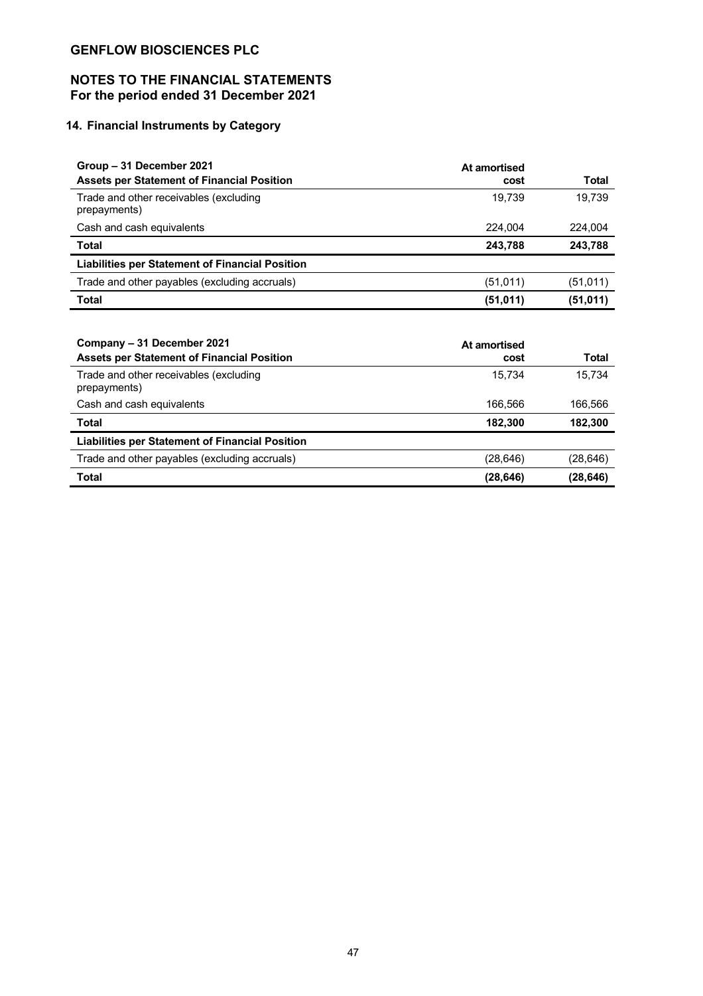# **NOTES TO THE FINANCIAL STATEMENTS For the period ended 31 December 2021**

# **14. Financial Instruments by Category**

| Group - 31 December 2021                               | At amortised |           |
|--------------------------------------------------------|--------------|-----------|
| <b>Assets per Statement of Financial Position</b>      | cost         | Total     |
| Trade and other receivables (excluding<br>prepayments) | 19.739       | 19.739    |
| Cash and cash equivalents                              | 224.004      | 224.004   |
| <b>Total</b>                                           | 243,788      | 243,788   |
| <b>Liabilities per Statement of Financial Position</b> |              |           |
| Trade and other payables (excluding accruals)          | (51,011)     | (51, 011) |
| <b>Total</b>                                           | (51,011)     | (51,011)  |

| Company – 31 December 2021<br><b>Assets per Statement of Financial Position</b> | At amortised<br>cost | Total    |
|---------------------------------------------------------------------------------|----------------------|----------|
| Trade and other receivables (excluding<br>prepayments)                          | 15.734               | 15.734   |
| Cash and cash equivalents                                                       | 166.566              | 166,566  |
| <b>Total</b>                                                                    | 182,300              | 182,300  |
| <b>Liabilities per Statement of Financial Position</b>                          |                      |          |
| Trade and other payables (excluding accruals)                                   | (28, 646)            | (28,646) |
| <b>Total</b>                                                                    | (28, 646)            | (28,646) |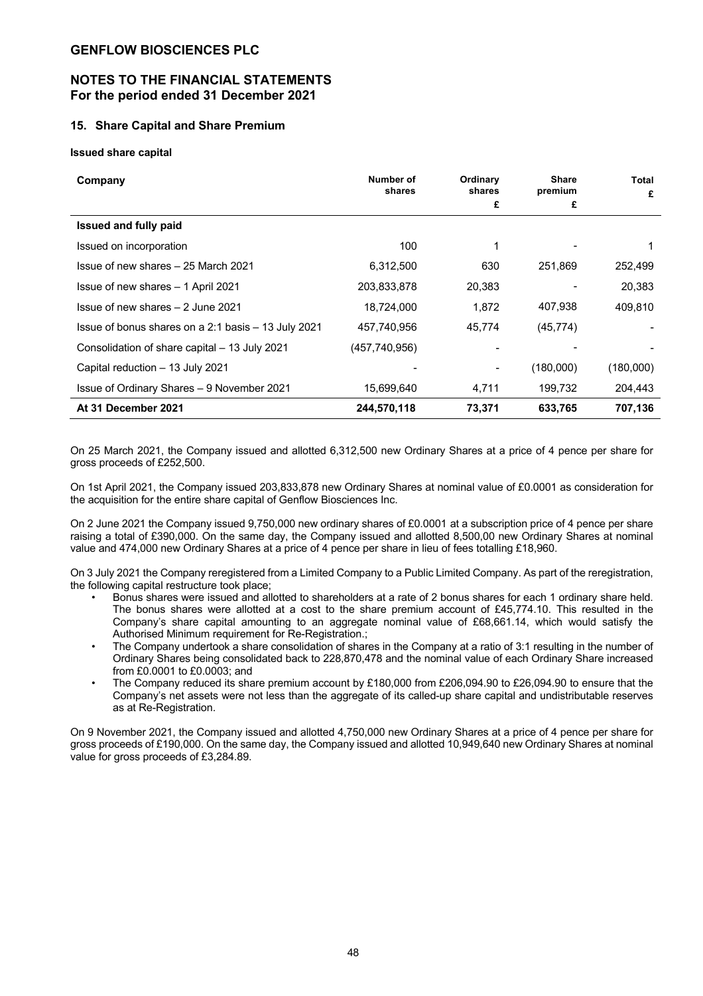## **NOTES TO THE FINANCIAL STATEMENTS For the period ended 31 December 2021**

### **15. Share Capital and Share Premium**

**Issued share capital**

| Company                                             | Number of<br>shares | Ordinary<br>shares | <b>Share</b><br>premium | Total<br>£ |
|-----------------------------------------------------|---------------------|--------------------|-------------------------|------------|
|                                                     |                     | £                  | £                       |            |
| <b>Issued and fully paid</b>                        |                     |                    |                         |            |
| Issued on incorporation                             | 100                 |                    |                         |            |
| Issue of new shares - 25 March 2021                 | 6,312,500           | 630                | 251,869                 | 252.499    |
| Issue of new shares - 1 April 2021                  | 203,833,878         | 20,383             |                         | 20,383     |
| Issue of new shares - 2 June 2021                   | 18,724,000          | 1,872              | 407,938                 | 409.810    |
| Issue of bonus shares on a 2:1 basis - 13 July 2021 | 457,740,956         | 45,774             | (45, 774)               |            |
| Consolidation of share capital - 13 July 2021       | (457,740,956)       |                    |                         |            |
| Capital reduction - 13 July 2021                    |                     |                    | (180,000)               | (180,000)  |
| Issue of Ordinary Shares - 9 November 2021          | 15,699,640          | 4,711              | 199,732                 | 204.443    |
| At 31 December 2021                                 | 244,570,118         | 73,371             | 633,765                 | 707,136    |

On 25 March 2021, the Company issued and allotted 6,312,500 new Ordinary Shares at a price of 4 pence per share for gross proceeds of £252,500.

On 1st April 2021, the Company issued 203,833,878 new Ordinary Shares at nominal value of £0.0001 as consideration for the acquisition for the entire share capital of Genflow Biosciences Inc.

On 2 June 2021 the Company issued 9,750,000 new ordinary shares of £0.0001 at a subscription price of 4 pence per share raising a total of £390,000. On the same day, the Company issued and allotted 8,500,00 new Ordinary Shares at nominal value and 474,000 new Ordinary Shares at a price of 4 pence per share in lieu of fees totalling £18,960.

On 3 July 2021 the Company reregistered from a Limited Company to a Public Limited Company. As part of the reregistration, the following capital restructure took place;

- Bonus shares were issued and allotted to shareholders at a rate of 2 bonus shares for each 1 ordinary share held. The bonus shares were allotted at a cost to the share premium account of £45,774.10. This resulted in the Company's share capital amounting to an aggregate nominal value of £68,661.14, which would satisfy the Authorised Minimum requirement for Re-Registration.;
- The Company undertook a share consolidation of shares in the Company at a ratio of 3:1 resulting in the number of Ordinary Shares being consolidated back to 228,870,478 and the nominal value of each Ordinary Share increased from £0.0001 to £0.0003; and
- The Company reduced its share premium account by £180,000 from £206,094.90 to £26,094.90 to ensure that the Company's net assets were not less than the aggregate of its called-up share capital and undistributable reserves as at Re-Registration.

On 9 November 2021, the Company issued and allotted 4,750,000 new Ordinary Shares at a price of 4 pence per share for gross proceeds of £190,000. On the same day, the Company issued and allotted 10,949,640 new Ordinary Shares at nominal value for gross proceeds of £3,284.89.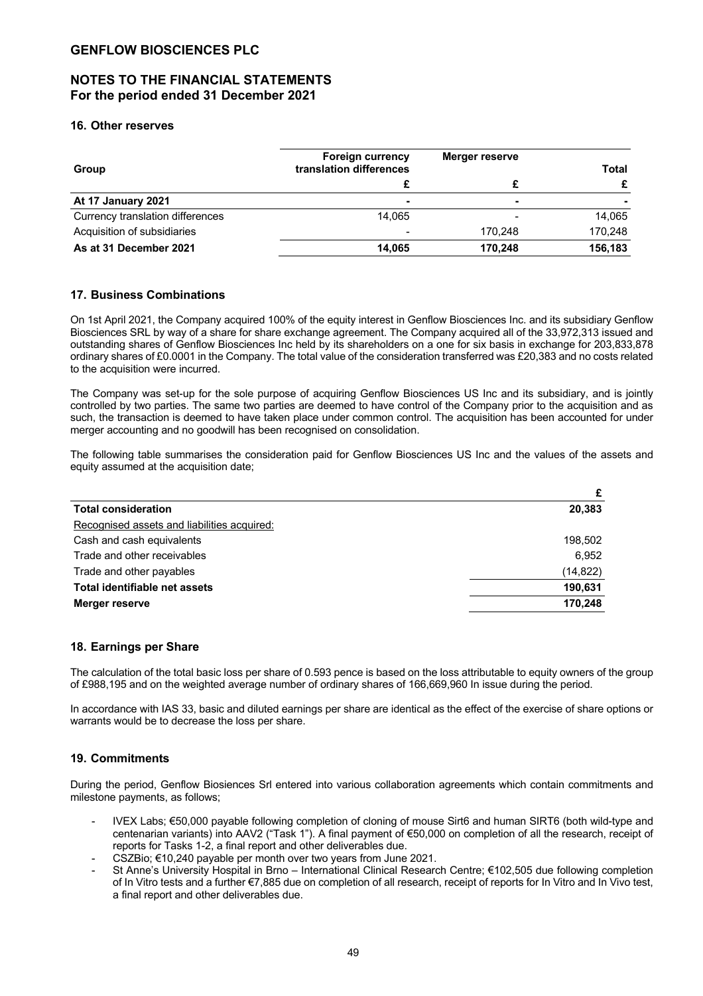## **NOTES TO THE FINANCIAL STATEMENTS For the period ended 31 December 2021**

### **16. Other reserves**

| Group                            | <b>Foreign currency</b><br>translation differences | Merger reserve | <b>Total</b> |
|----------------------------------|----------------------------------------------------|----------------|--------------|
|                                  |                                                    |                |              |
| At 17 January 2021               | $\blacksquare$                                     | $\blacksquare$ |              |
| Currency translation differences | 14.065                                             |                | 14.065       |
| Acquisition of subsidiaries      | $\overline{\phantom{0}}$                           | 170.248        | 170,248      |
| As at 31 December 2021           | 14,065                                             | 170.248        | 156,183      |

### **17. Business Combinations**

On 1st April 2021, the Company acquired 100% of the equity interest in Genflow Biosciences Inc. and its subsidiary Genflow Biosciences SRL by way of a share for share exchange agreement. The Company acquired all of the 33,972,313 issued and outstanding shares of Genflow Biosciences Inc held by its shareholders on a one for six basis in exchange for 203,833,878 ordinary shares of £0.0001 in the Company. The total value of the consideration transferred was £20,383 and no costs related to the acquisition were incurred.

The Company was set-up for the sole purpose of acquiring Genflow Biosciences US Inc and its subsidiary, and is jointly controlled by two parties. The same two parties are deemed to have control of the Company prior to the acquisition and as such, the transaction is deemed to have taken place under common control. The acquisition has been accounted for under merger accounting and no goodwill has been recognised on consolidation.

The following table summarises the consideration paid for Genflow Biosciences US Inc and the values of the assets and equity assumed at the acquisition date;

|                                             | £         |
|---------------------------------------------|-----------|
| <b>Total consideration</b>                  | 20,383    |
| Recognised assets and liabilities acquired: |           |
| Cash and cash equivalents                   | 198.502   |
| Trade and other receivables                 | 6.952     |
| Trade and other payables                    | (14, 822) |
| Total identifiable net assets               | 190,631   |
| Merger reserve                              | 170,248   |

### **18. Earnings per Share**

The calculation of the total basic loss per share of 0.593 pence is based on the loss attributable to equity owners of the group of £988,195 and on the weighted average number of ordinary shares of 166,669,960 In issue during the period.

In accordance with IAS 33, basic and diluted earnings per share are identical as the effect of the exercise of share options or warrants would be to decrease the loss per share.

### **19. Commitments**

During the period, Genflow Biosiences Srl entered into various collaboration agreements which contain commitments and milestone payments, as follows;

- IVEX Labs; €50,000 payable following completion of cloning of mouse Sirt6 and human SIRT6 (both wild-type and centenarian variants) into AAV2 ("Task 1"). A final payment of €50,000 on completion of all the research, receipt of reports for Tasks 1-2, a final report and other deliverables due.
- CSZBio; €10,240 payable per month over two years from June 2021.
- St Anne's University Hospital in Brno International Clinical Research Centre; €102,505 due following completion of In Vitro tests and a further €7,885 due on completion of all research, receipt of reports for In Vitro and In Vivo test, a final report and other deliverables due.